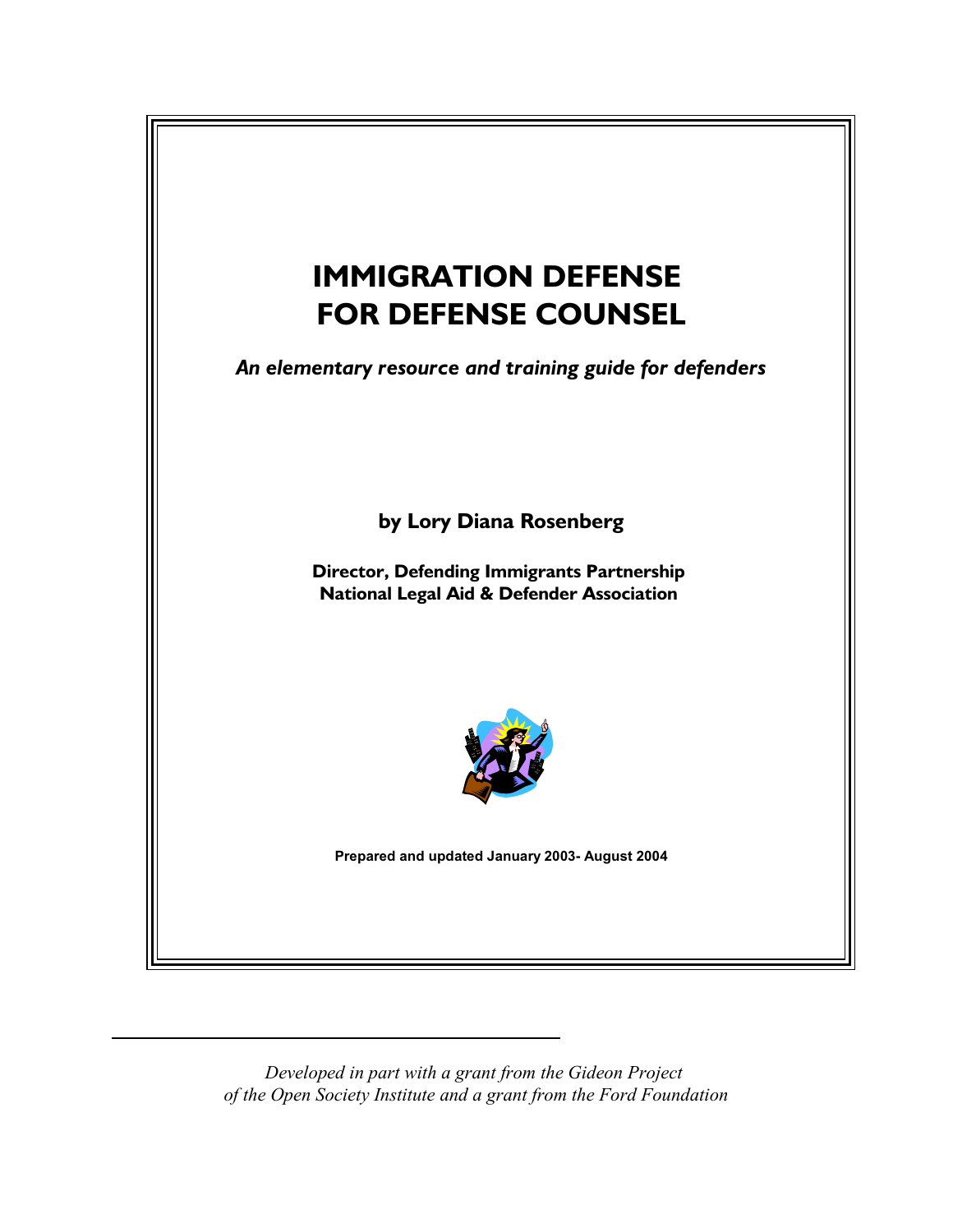

*Developed in part with a grant from the Gideon Project of the Open Society Institute and a grant from the Ford Foundation*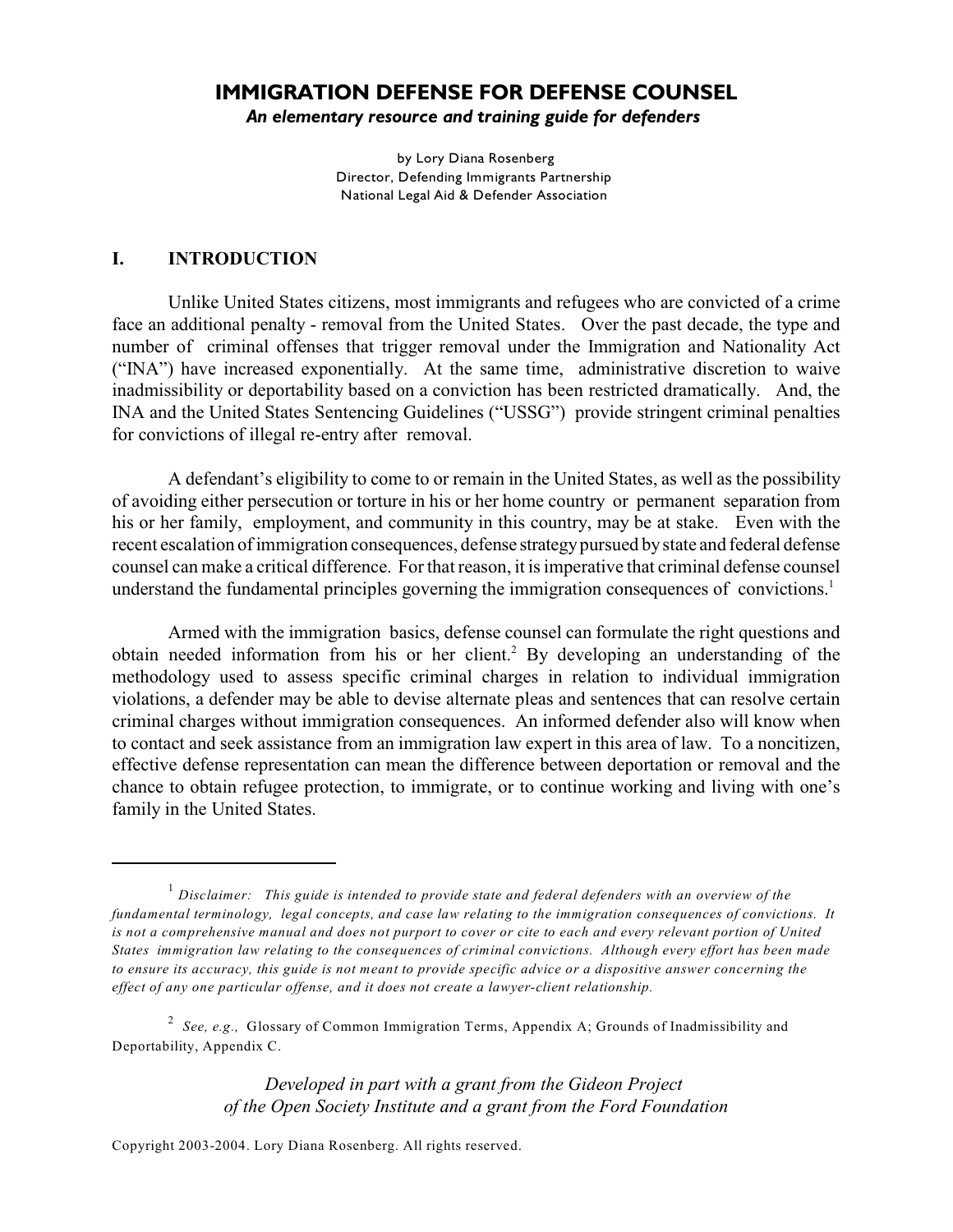# **IMMIGRATION DEFENSE FOR DEFENSE COUNSEL**

*An elementary resource and training guide for defenders* 

by Lory Diana Rosenberg Director, Defending Immigrants Partnership National Legal Aid & Defender Association

#### **I. INTRODUCTION**

Unlike United States citizens, most immigrants and refugees who are convicted of a crime face an additional penalty - removal from the United States. Over the past decade, the type and number of criminal offenses that trigger removal under the Immigration and Nationality Act ("INA") have increased exponentially. At the same time, administrative discretion to waive inadmissibility or deportability based on a conviction has been restricted dramatically. And, the INA and the United States Sentencing Guidelines ("USSG") provide stringent criminal penalties for convictions of illegal re-entry after removal.

A defendant's eligibility to come to or remain in the United States, as well as the possibility of avoiding either persecution or torture in his or her home country or permanent separation from his or her family, employment, and community in this country, may be at stake. Even with the recent escalation of immigration consequences, defense strategy pursued by state and federal defense counsel can make a critical difference. For that reason, it is imperative that criminal defense counsel understand the fundamental principles governing the immigration consequences of convictions. 1

Armed with the immigration basics, defense counsel can formulate the right questions and obtain needed information from his or her client.<sup>2</sup> By developing an understanding of the methodology used to assess specific criminal charges in relation to individual immigration violations, a defender may be able to devise alternate pleas and sentences that can resolve certain criminal charges without immigration consequences. An informed defender also will know when to contact and seek assistance from an immigration law expert in this area of law. To a noncitizen, effective defense representation can mean the difference between deportation or removal and the chance to obtain refugee protection, to immigrate, or to continue working and living with one's family in the United States.

*Developed in part with a grant from the Gideon Project of the Open Society Institute and a grant from the Ford Foundation*

<sup>&</sup>lt;sup>1</sup> Disclaimer: This guide is intended to provide state and federal defenders with an overview of the *fundamental terminology, legal concepts, and case law relating to the immigration consequences of convictions. It is not a comprehensive manual and does not purport to cover or cite to each and every relevant portion of United States immigration law relating to the consequences of criminal convictions. Although every effort has been made to ensure its accuracy, this guide is not meant to provide specific advice or a dispositive answer concerning the effect of any one particular offense, and it does not create a lawyer-client relationship.* 

*See, e.g.,* Glossary of Common Immigration Terms, Appendix A; Grounds of Inadmissibility and <sup>2</sup> Deportability, Appendix C.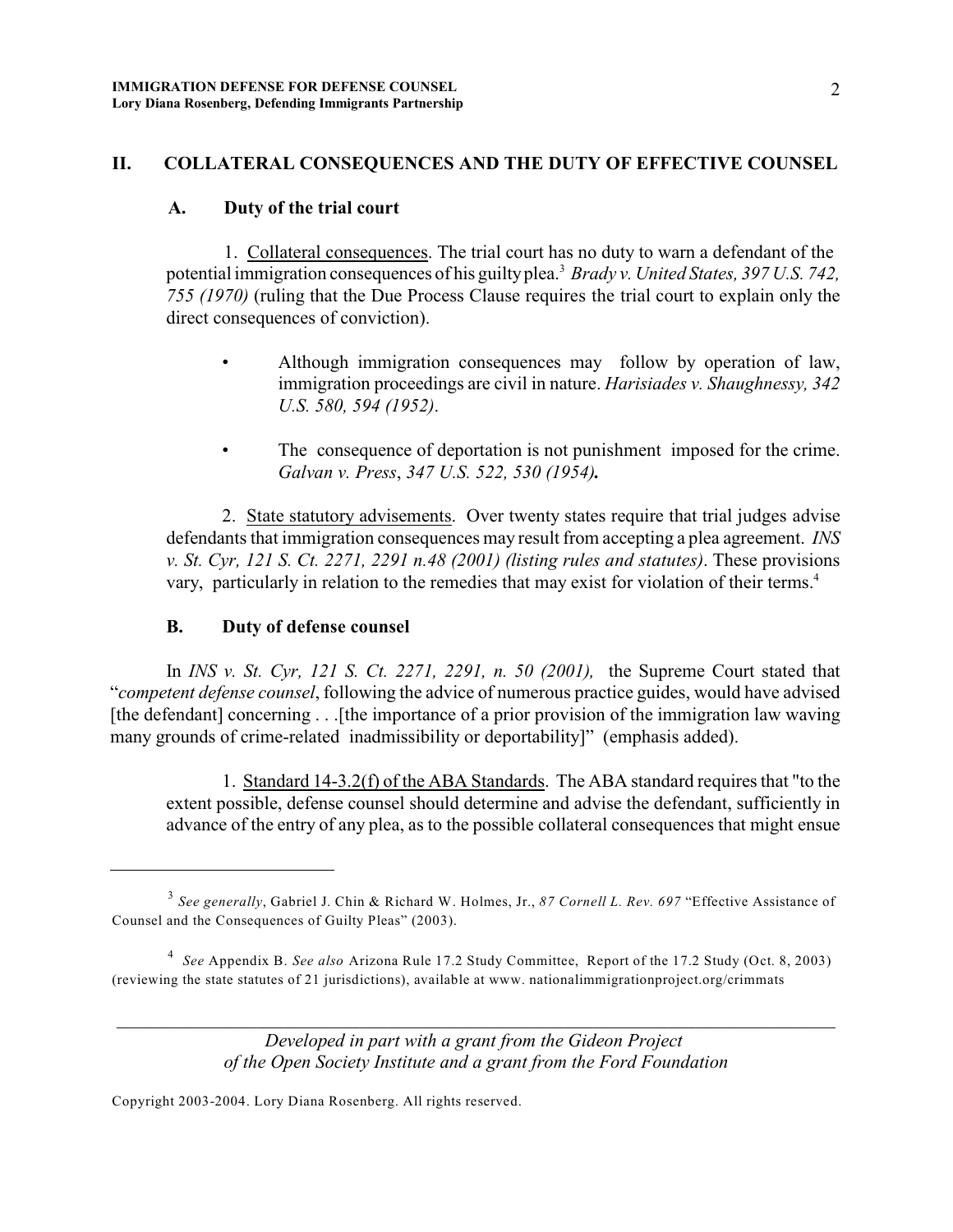## **II. COLLATERAL CONSEQUENCES AND THE DUTY OF EFFECTIVE COUNSEL**

#### **A. Duty of the trial court**

1. Collateral consequences. The trial court has no duty to warn a defendant of the potential immigration consequences of his guilty plea.<sup>3</sup> Brady v. United States, 397 U.S. 742, *755 (1970)* (ruling that the Due Process Clause requires the trial court to explain only the direct consequences of conviction).

- Although immigration consequences may follow by operation of law, immigration proceedings are civil in nature. *Harisiades v. Shaughnessy, 342 U.S. 580, 594 (1952)*.
- The consequence of deportation is not punishment imposed for the crime. *Galvan v. Press*, *347 U.S. 522, 530 (1954).*

2. State statutory advisements. Over twenty states require that trial judges advise defendants that immigration consequences may result from accepting a plea agreement. *INS v. St. Cyr, 121 S. Ct. 2271, 2291 n.48 (2001) (listing rules and statutes)*. These provisions vary, particularly in relation to the remedies that may exist for violation of their terms.<sup>4</sup>

#### **B. Duty of defense counsel**

In *INS v. St. Cyr, 121 S. Ct. 2271, 2291, n. 50 (2001),* the Supreme Court stated that "*competent defense counsel*, following the advice of numerous practice guides, would have advised [the defendant] concerning . . .[the importance of a prior provision of the immigration law waving many grounds of crime-related inadmissibility or deportability]" (emphasis added).

1. Standard 14-3.2(f) of the ABA Standards. The ABA standard requires that "to the extent possible, defense counsel should determine and advise the defendant, sufficiently in advance of the entry of any plea, as to the possible collateral consequences that might ensue

*Developed in part with a grant from the Gideon Project of the Open Society Institute and a grant from the Ford Foundation*

*\_\_\_\_\_\_\_\_\_\_\_\_\_\_\_\_\_\_\_\_\_\_\_\_\_\_\_\_\_\_\_\_\_\_\_\_\_\_\_\_\_\_\_\_\_\_\_\_\_\_\_\_\_\_\_\_\_\_\_\_\_\_\_\_\_\_\_\_\_\_\_\_\_\_\_\_\_*

*See generally*, Gabriel J. Chin & Richard W. Holmes, Jr., *87 Cornell L. Rev. 697* "Effective Assistance of <sup>3</sup> Counsel and the Consequences of Guilty Pleas" (2003).

*See* Appendix B. *See also* Arizona Rule 17.2 Study Committee, Report of the 17.2 Study (Oct. 8, 2003) <sup>4</sup> (reviewing the state statutes of 21 jurisdictions), available at www. nationalimmigrationproject.org/crimmats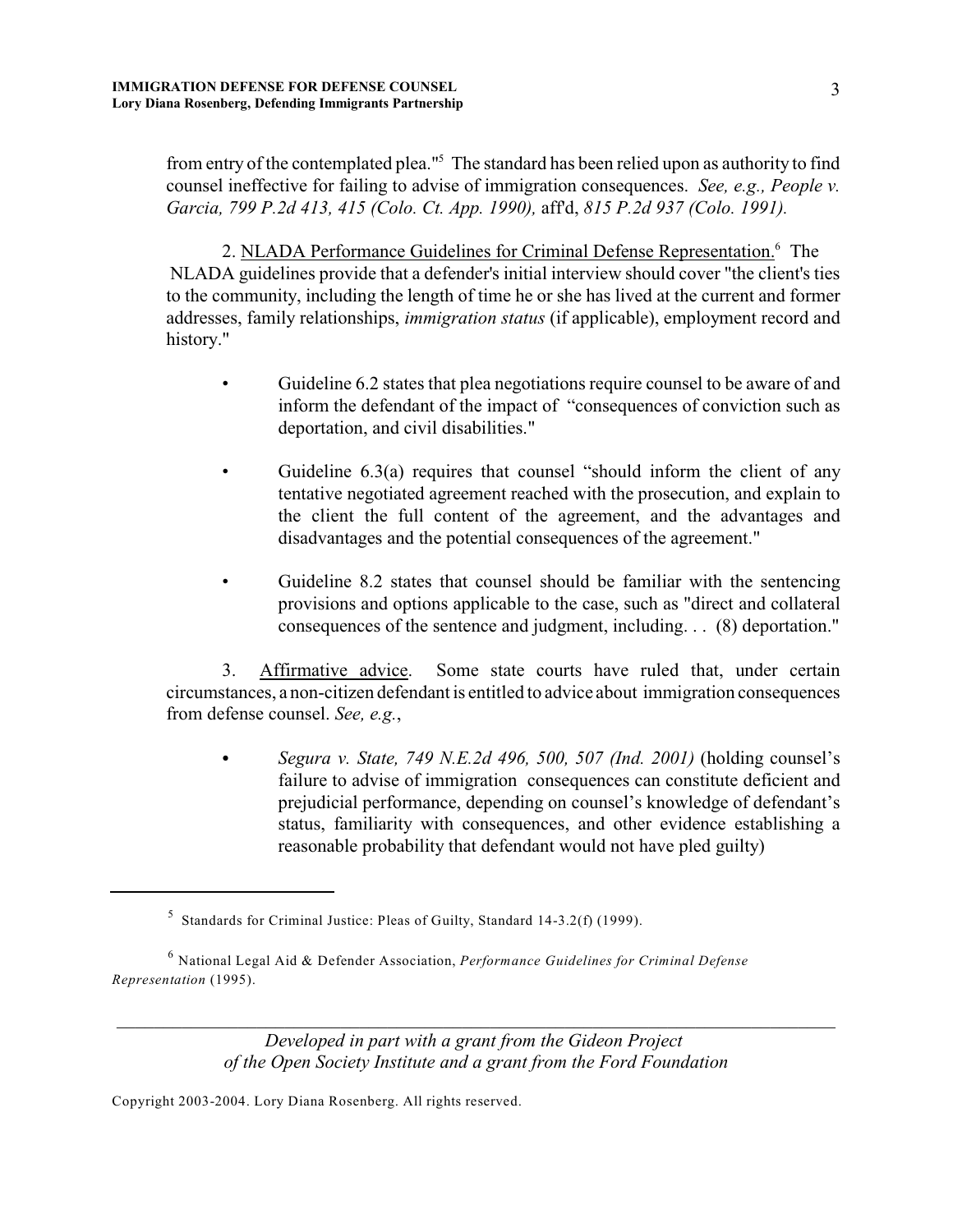from entry of the contemplated plea."<sup>5</sup> The standard has been relied upon as authority to find counsel ineffective for failing to advise of immigration consequences. *See, e.g., People v. Garcia, 799 P.2d 413, 415 (Colo. Ct. App. 1990),* aff'd, *815 P.2d 937 (Colo. 1991).*

2. NLADA Performance Guidelines for Criminal Defense Representation.<sup>6</sup> The NLADA guidelines provide that a defender's initial interview should cover "the client's ties to the community, including the length of time he or she has lived at the current and former addresses, family relationships, *immigration status* (if applicable), employment record and history."

- Guideline 6.2 states that plea negotiations require counsel to be aware of and inform the defendant of the impact of "consequences of conviction such as deportation, and civil disabilities."
- Guideline 6.3(a) requires that counsel "should inform the client of any tentative negotiated agreement reached with the prosecution, and explain to the client the full content of the agreement, and the advantages and disadvantages and the potential consequences of the agreement."
- Guideline 8.2 states that counsel should be familiar with the sentencing provisions and options applicable to the case, such as "direct and collateral consequences of the sentence and judgment, including. . . (8) deportation."

3. Affirmative advice. Some state courts have ruled that, under certain circumstances, a non-citizen defendant is entitled to advice about immigration consequences from defense counsel. *See, e.g.*,

• Segura *v. State, 749 N.E.2d 496, 500, 507 (Ind. 2001)* (holding counsel's failure to advise of immigration consequences can constitute deficient and prejudicial performance, depending on counsel's knowledge of defendant's status, familiarity with consequences, and other evidence establishing a reasonable probability that defendant would not have pled guilty)

*Developed in part with a grant from the Gideon Project of the Open Society Institute and a grant from the Ford Foundation*

*\_\_\_\_\_\_\_\_\_\_\_\_\_\_\_\_\_\_\_\_\_\_\_\_\_\_\_\_\_\_\_\_\_\_\_\_\_\_\_\_\_\_\_\_\_\_\_\_\_\_\_\_\_\_\_\_\_\_\_\_\_\_\_\_\_\_\_\_\_\_\_\_\_\_\_\_\_*

 $\frac{5}{10}$  Standards for Criminal Justice: Pleas of Guilty, Standard 14-3.2(f) (1999).

National Legal Aid & Defender Association, *Performance Guidelines for Criminal Defense* 6 *Representation* (1995).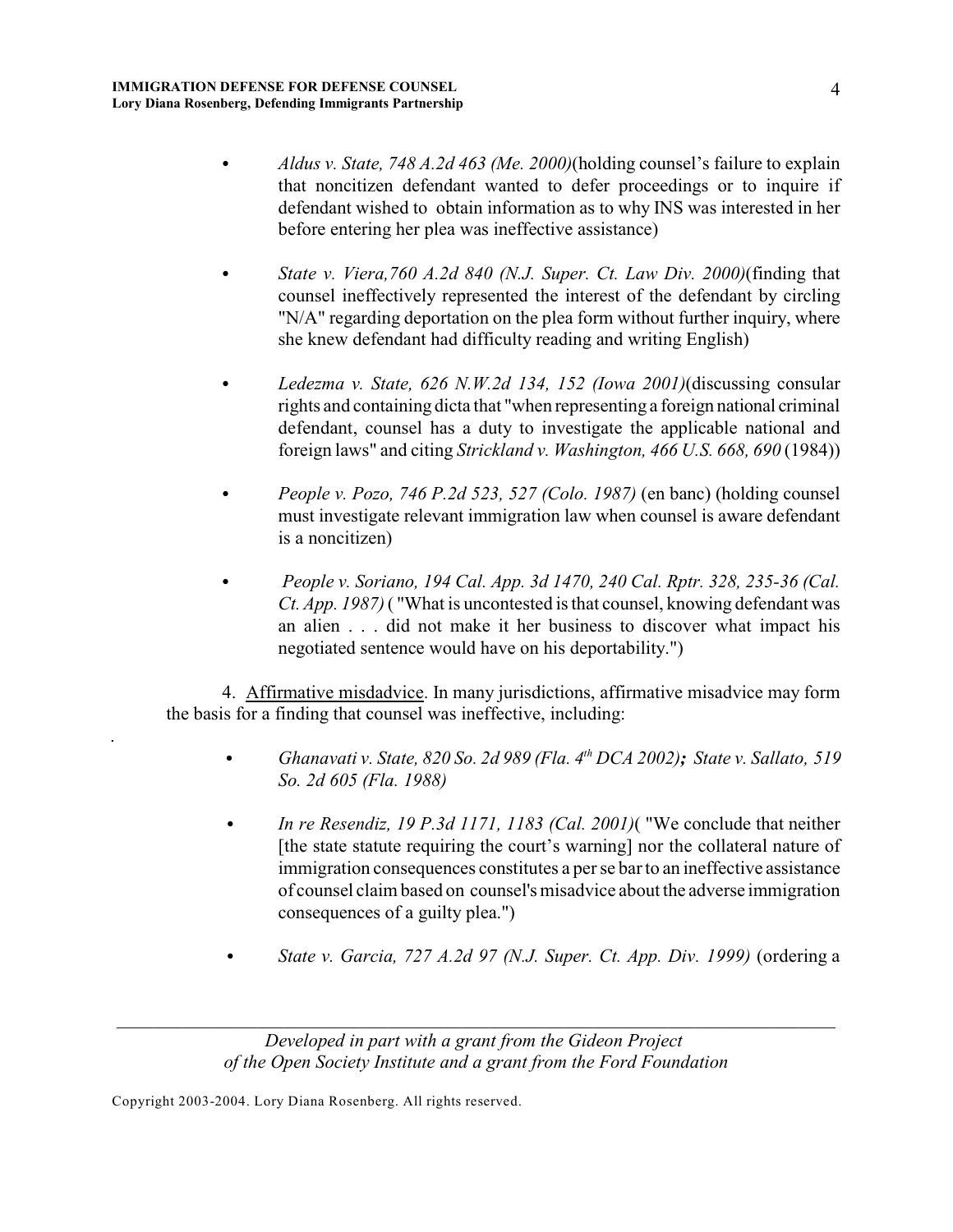- *Aldus v. State, 748 A.2d 463 (Me. 2000)*(holding counsel's failure to explain that noncitizen defendant wanted to defer proceedings or to inquire if defendant wished to obtain information as to why INS was interested in her before entering her plea was ineffective assistance)
- State v. Viera, 760 A.2d 840 (N.J. Super. Ct. Law Div. 2000) (finding that counsel ineffectively represented the interest of the defendant by circling "N/A" regarding deportation on the plea form without further inquiry, where she knew defendant had difficulty reading and writing English)
- C *Ledezma v. State, 626 N.W.2d 134, 152 (Iowa 2001)*(discussing consular rights and containing dicta that "when representing a foreign national criminal defendant, counsel has a duty to investigate the applicable national and foreign laws" and citing *Strickland v. Washington, 466 U.S. 668, 690* (1984))
- People v. Pozo, 746 P.2d 523, 527 (Colo. 1987) (en banc) (holding counsel must investigate relevant immigration law when counsel is aware defendant is a noncitizen)
- C *People v. Soriano, 194 Cal. App. 3d 1470, 240 Cal. Rptr. 328, 235-36 (Cal. Ct. App. 1987)* ( "What is uncontested is that counsel, knowing defendant was an alien . . . did not make it her business to discover what impact his negotiated sentence would have on his deportability.")

4. Affirmative misdadvice. In many jurisdictions, affirmative misadvice may form the basis for a finding that counsel was ineffective, including:

- C *Ghanavati v. State, 820 So. 2d 989 (Fla. 4 DCA 2002); State v. Sallato, 519 th So. 2d 605 (Fla. 1988)*
- *In re Resendiz, 19 P.3d 1171, 1183 (Cal. 2001)* ("We conclude that neither [the state statute requiring the court's warning] nor the collateral nature of immigration consequences constitutes a per se bar to an ineffective assistance of counsel claim based on counsel's misadvice about the adverse immigration consequences of a guilty plea.")
- C *State v. Garcia, 727 A.2d 97 (N.J. Super. Ct. App. Div. 1999)* (ordering a

*\_\_\_\_\_\_\_\_\_\_\_\_\_\_\_\_\_\_\_\_\_\_\_\_\_\_\_\_\_\_\_\_\_\_\_\_\_\_\_\_\_\_\_\_\_\_\_\_\_\_\_\_\_\_\_\_\_\_\_\_\_\_\_\_\_\_\_\_\_\_\_\_\_\_\_\_\_*

.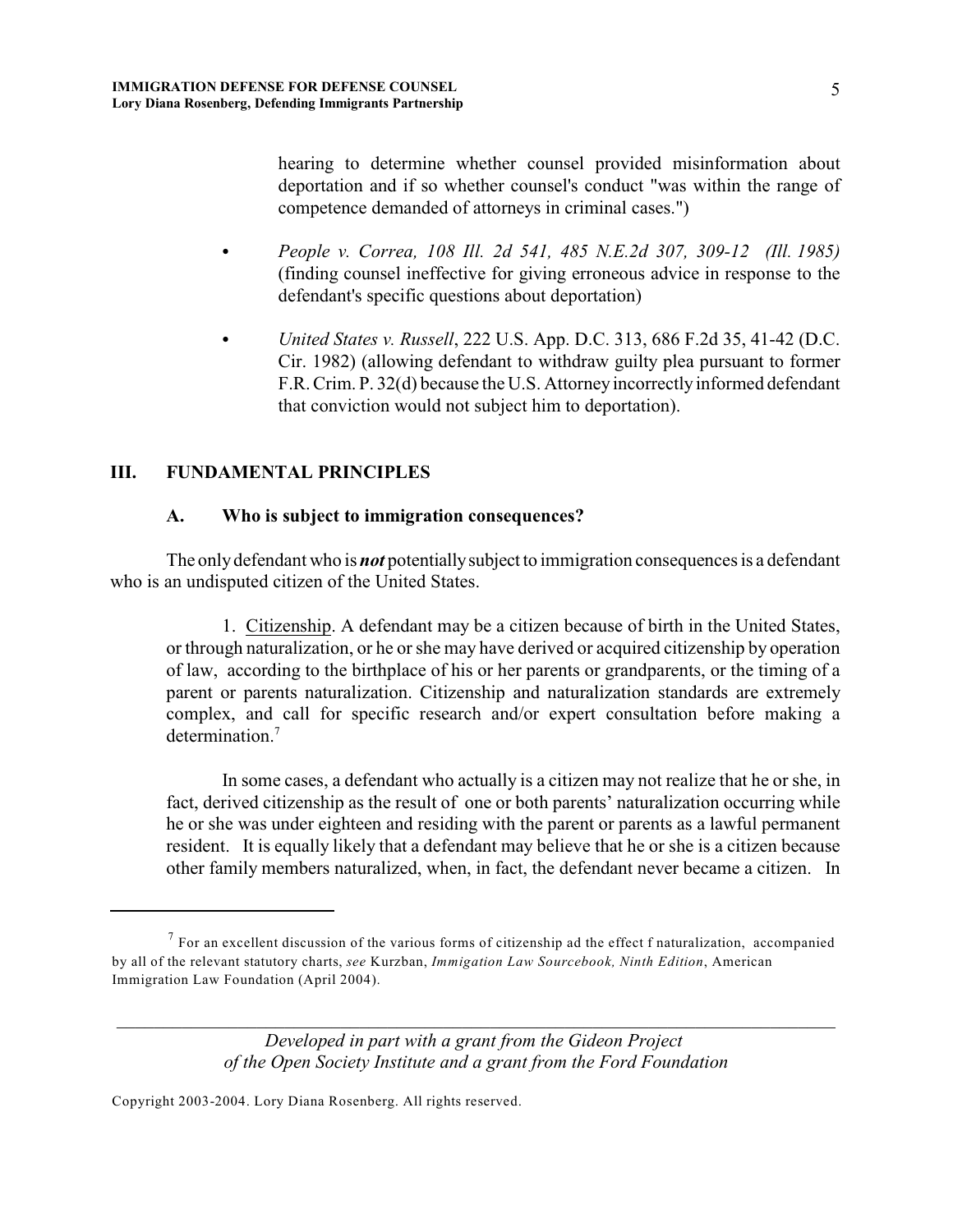hearing to determine whether counsel provided misinformation about deportation and if so whether counsel's conduct "was within the range of competence demanded of attorneys in criminal cases.")

- C *People v. Correa, 108 Ill. 2d 541, 485 N.E.2d 307, 309-12 (Ill. 1985)* (finding counsel ineffective for giving erroneous advice in response to the defendant's specific questions about deportation)
- C *United States v. Russell*, 222 U.S. App. D.C. 313, 686 F.2d 35, 41-42 (D.C. Cir. 1982) (allowing defendant to withdraw guilty plea pursuant to former F.R. Crim. P. 32(d) because the U.S. Attorney incorrectly informed defendant that conviction would not subject him to deportation).

## **III. FUNDAMENTAL PRINCIPLES**

#### **A. Who is subject to immigration consequences?**

The only defendant who is *not* potentially subject to immigration consequences is a defendant who is an undisputed citizen of the United States.

1. Citizenship. A defendant may be a citizen because of birth in the United States, or through naturalization, or he orshe may have derived or acquired citizenship by operation of law, according to the birthplace of his or her parents or grandparents, or the timing of a parent or parents naturalization. Citizenship and naturalization standards are extremely complex, and call for specific research and/or expert consultation before making a determination.<sup>7</sup>

In some cases, a defendant who actually is a citizen may not realize that he or she, in fact, derived citizenship as the result of one or both parents' naturalization occurring while he or she was under eighteen and residing with the parent or parents as a lawful permanent resident. It is equally likely that a defendant may believe that he or she is a citizen because other family members naturalized, when, in fact, the defendant never became a citizen. In

*Developed in part with a grant from the Gideon Project of the Open Society Institute and a grant from the Ford Foundation*

*\_\_\_\_\_\_\_\_\_\_\_\_\_\_\_\_\_\_\_\_\_\_\_\_\_\_\_\_\_\_\_\_\_\_\_\_\_\_\_\_\_\_\_\_\_\_\_\_\_\_\_\_\_\_\_\_\_\_\_\_\_\_\_\_\_\_\_\_\_\_\_\_\_\_\_\_\_*

 $<sup>7</sup>$  For an excellent discussion of the various forms of citizenship ad the effect f naturalization, accompanied</sup> by all of the relevant statutory charts, *see* Kurzban, *Immigation Law Sourcebook, Ninth Edition*, American Immigration Law Foundation (April 2004).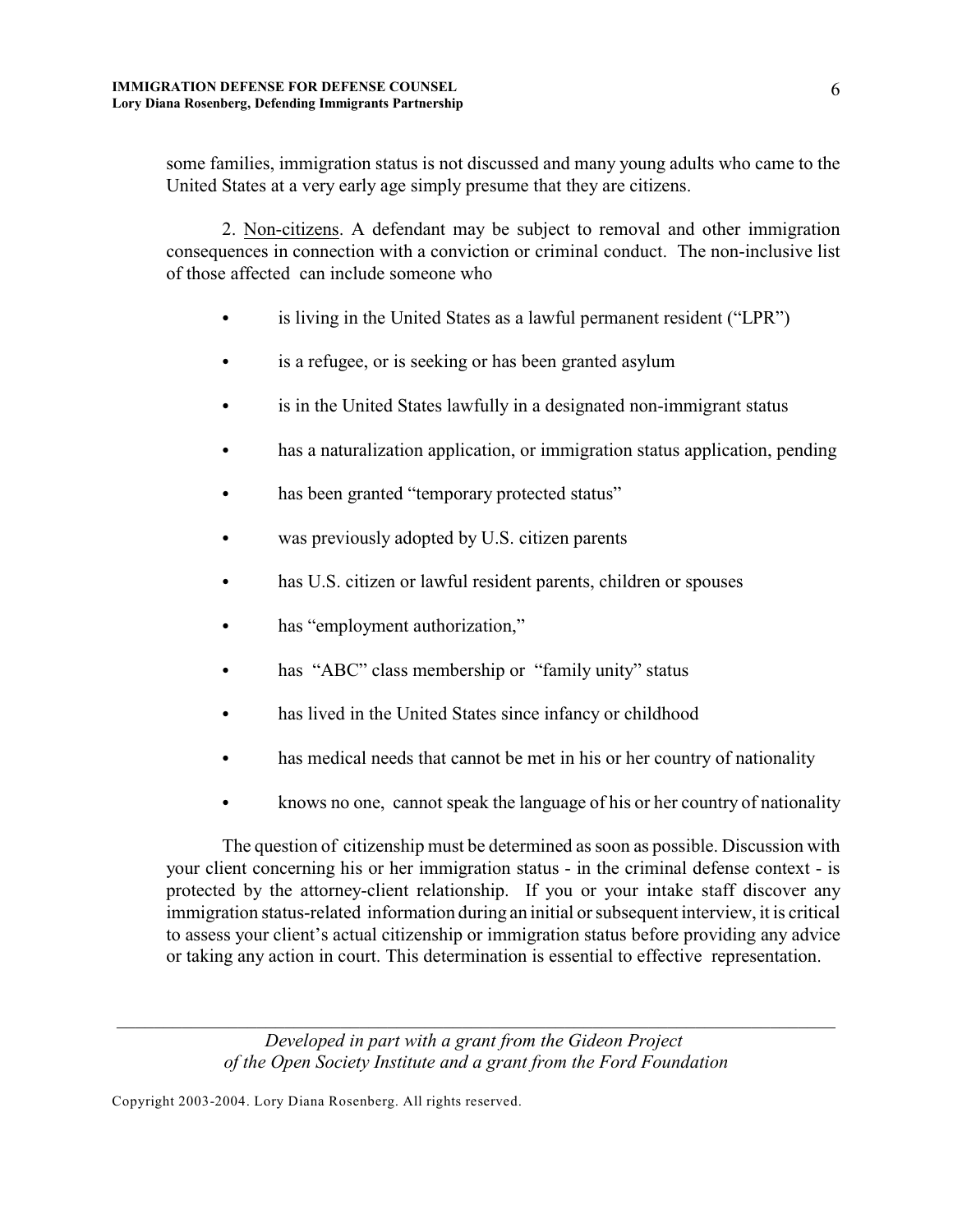some families, immigration status is not discussed and many young adults who came to the United States at a very early age simply presume that they are citizens.

2. Non-citizens. A defendant may be subject to removal and other immigration consequences in connection with a conviction or criminal conduct. The non-inclusive list of those affected can include someone who

- is living in the United States as a lawful permanent resident ("LPR")
- is a refugee, or is seeking or has been granted asylum
- is in the United States lawfully in a designated non-immigrant status
- has a naturalization application, or immigration status application, pending
- has been granted "temporary protected status"
- was previously adopted by U.S. citizen parents
- has U.S. citizen or lawful resident parents, children or spouses
- has "employment authorization,"
- has "ABC" class membership or "family unity" status
- has lived in the United States since infancy or childhood
- has medical needs that cannot be met in his or her country of nationality
- knows no one, cannot speak the language of his or her country of nationality

The question of citizenship must be determined as soon as possible. Discussion with your client concerning his or her immigration status - in the criminal defense context - is protected by the attorney-client relationship. If you or your intake staff discover any immigration status-related information during an initial or subsequent interview, it is critical to assess your client's actual citizenship or immigration status before providing any advice or taking any action in court. This determination is essential to effective representation.

*Developed in part with a grant from the Gideon Project of the Open Society Institute and a grant from the Ford Foundation*

*\_\_\_\_\_\_\_\_\_\_\_\_\_\_\_\_\_\_\_\_\_\_\_\_\_\_\_\_\_\_\_\_\_\_\_\_\_\_\_\_\_\_\_\_\_\_\_\_\_\_\_\_\_\_\_\_\_\_\_\_\_\_\_\_\_\_\_\_\_\_\_\_\_\_\_\_\_*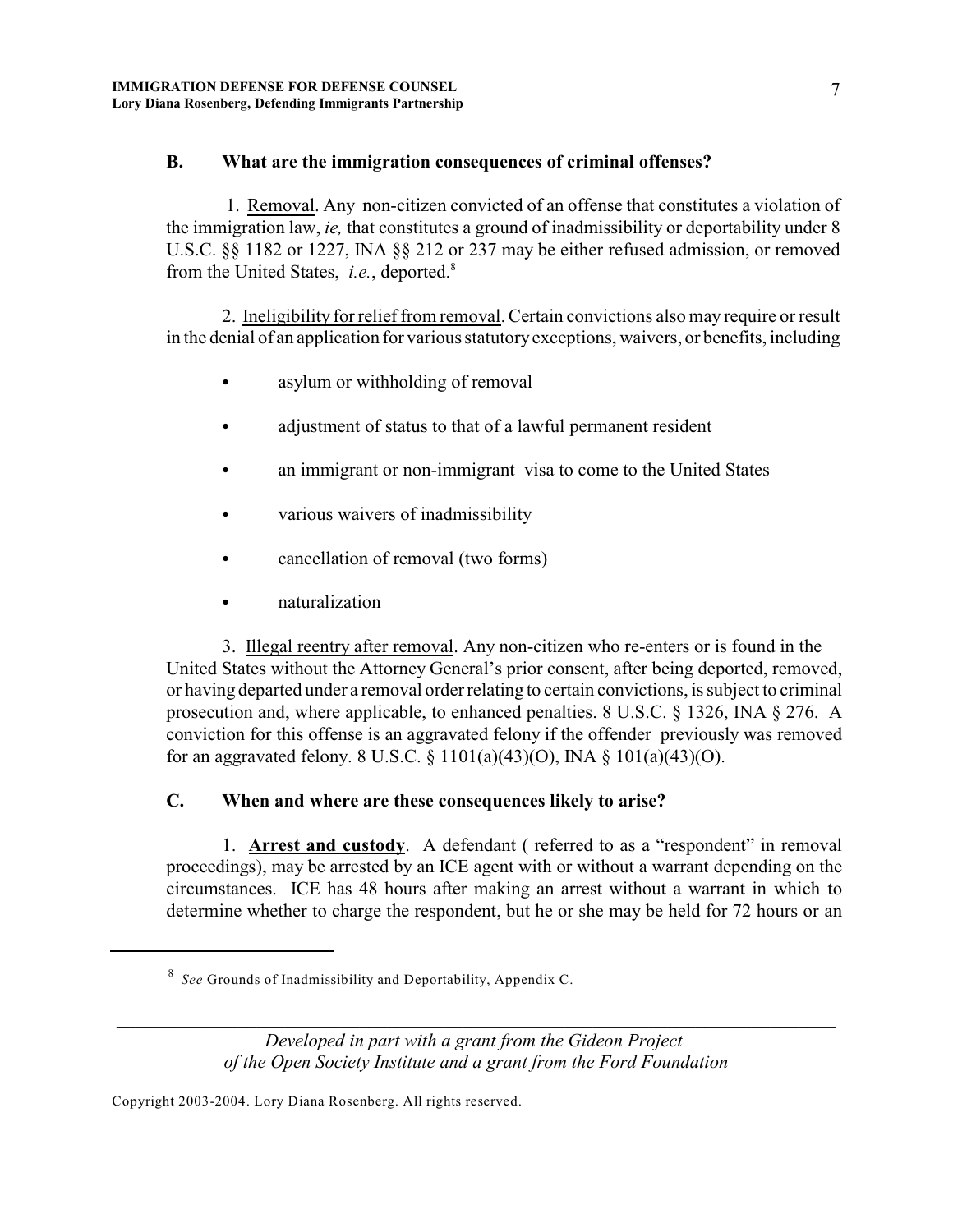## **B. What are the immigration consequences of criminal offenses?**

1. Removal. Any non-citizen convicted of an offense that constitutes a violation of the immigration law, *ie,* that constitutes a ground of inadmissibility or deportability under 8 U.S.C. §§ 1182 or 1227, INA §§ 212 or 237 may be either refused admission, or removed from the United States, *i.e.*, deported. 8

2. Ineligibility for relief from removal. Certain convictions also may require or result in the denial of an application for various statutoryexceptions, waivers, or benefits, including

- asylum or withholding of removal
- adjustment of status to that of a lawful permanent resident
- an immigrant or non-immigrant visa to come to the United States
- various waivers of inadmissibility
- cancellation of removal (two forms)
- naturalization

3. Illegal reentry after removal. Any non-citizen who re-enters or is found in the United States without the Attorney General's prior consent, after being deported, removed, or having departed under a removal order relating to certain convictions, is subject to criminal prosecution and, where applicable, to enhanced penalties. 8 U.S.C. § 1326, INA § 276. A conviction for this offense is an aggravated felony if the offender previously was removed for an aggravated felony. 8 U.S.C. § 1101(a)(43)(O), INA § 101(a)(43)(O).

# **C. When and where are these consequences likely to arise?**

1. **Arrest and custody**. A defendant ( referred to as a "respondent" in removal proceedings), may be arrested by an ICE agent with or without a warrant depending on the circumstances. ICE has 48 hours after making an arrest without a warrant in which to determine whether to charge the respondent, but he or she may be held for 72 hours or an

*\_\_\_\_\_\_\_\_\_\_\_\_\_\_\_\_\_\_\_\_\_\_\_\_\_\_\_\_\_\_\_\_\_\_\_\_\_\_\_\_\_\_\_\_\_\_\_\_\_\_\_\_\_\_\_\_\_\_\_\_\_\_\_\_\_\_\_\_\_\_\_\_\_\_\_\_\_*

*See* Grounds of Inadmissibility and Deportability, Appendix C. 8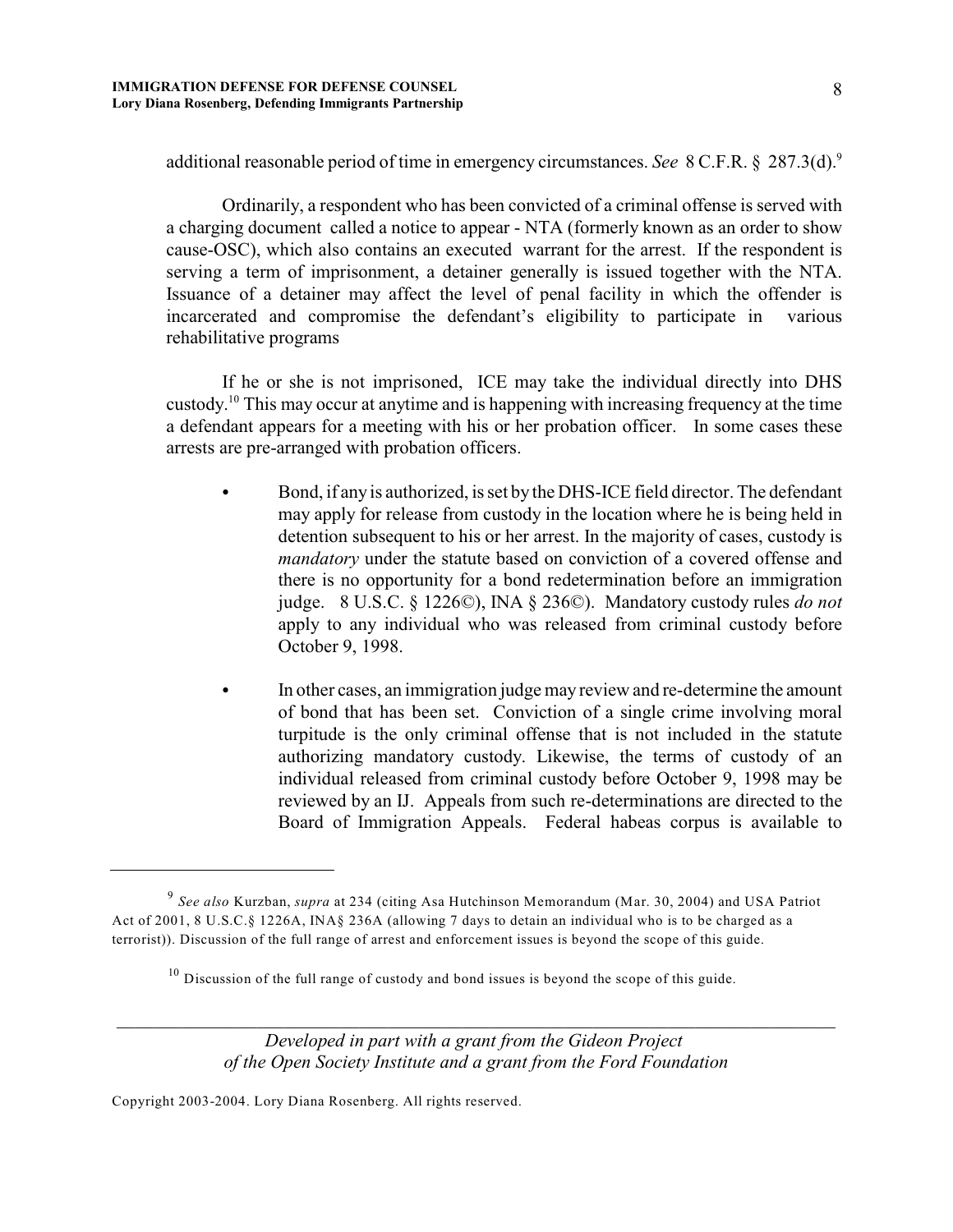additional reasonable period of time in emergency circumstances. *See* 8 C.F.R. § 287.3(d).<sup>9</sup>

Ordinarily, a respondent who has been convicted of a criminal offense is served with a charging document called a notice to appear - NTA (formerly known as an order to show cause-OSC), which also contains an executed warrant for the arrest. If the respondent is serving a term of imprisonment, a detainer generally is issued together with the NTA. Issuance of a detainer may affect the level of penal facility in which the offender is incarcerated and compromise the defendant's eligibility to participate in various rehabilitative programs

If he or she is not imprisoned, ICE may take the individual directly into DHS custody.<sup>10</sup> This may occur at anytime and is happening with increasing frequency at the time a defendant appears for a meeting with his or her probation officer. In some cases these arrests are pre-arranged with probation officers.

- Bond, if any is authorized, is set by the DHS-ICE field director. The defendant may apply for release from custody in the location where he is being held in detention subsequent to his or her arrest. In the majority of cases, custody is *mandatory* under the statute based on conviction of a covered offense and there is no opportunity for a bond redetermination before an immigration judge. 8 U.S.C. § 1226©), INA § 236©). Mandatory custody rules *do not* apply to any individual who was released from criminal custody before October 9, 1998.
- In other cases, an immigration judge may review and re-determine the amount of bond that has been set. Conviction of a single crime involving moral turpitude is the only criminal offense that is not included in the statute authorizing mandatory custody. Likewise, the terms of custody of an individual released from criminal custody before October 9, 1998 may be reviewed by an IJ. Appeals from such re-determinations are directed to the Board of Immigration Appeals. Federal habeas corpus is available to

*Developed in part with a grant from the Gideon Project of the Open Society Institute and a grant from the Ford Foundation*

*\_\_\_\_\_\_\_\_\_\_\_\_\_\_\_\_\_\_\_\_\_\_\_\_\_\_\_\_\_\_\_\_\_\_\_\_\_\_\_\_\_\_\_\_\_\_\_\_\_\_\_\_\_\_\_\_\_\_\_\_\_\_\_\_\_\_\_\_\_\_\_\_\_\_\_\_\_*

<sup>&</sup>lt;sup>9</sup> See also Kurzban, *supra* at 234 (citing Asa Hutchinson Memorandum (Mar. 30, 2004) and USA Patriot Act of 2001, 8 U.S.C.§ 1226A, INA§ 236A (allowing 7 days to detain an individual who is to be charged as a terrorist)). Discussion of the full range of arrest and enforcement issues is beyond the scope of this guide.

 $10$  Discussion of the full range of custody and bond issues is beyond the scope of this guide.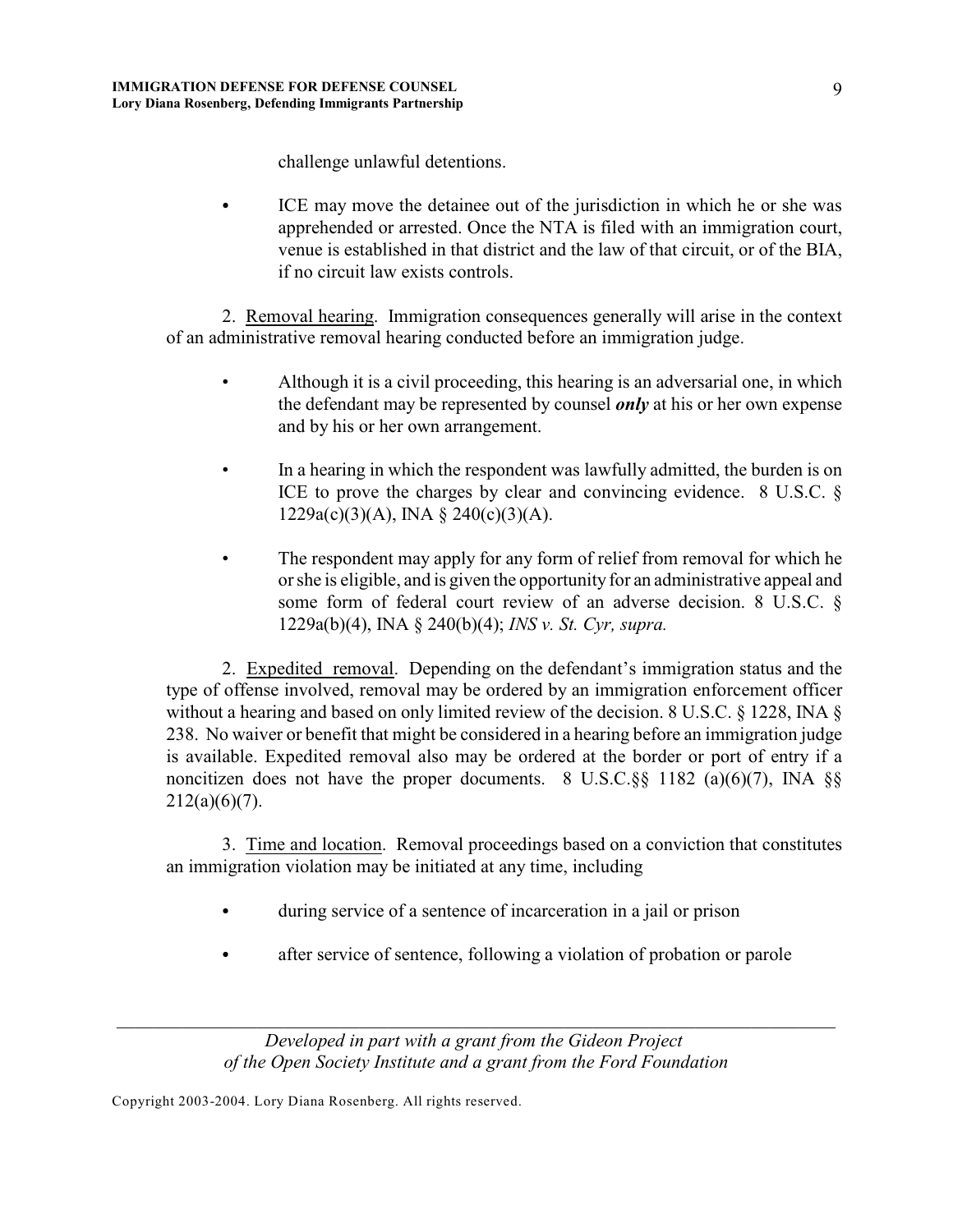challenge unlawful detentions.

ICE may move the detainee out of the jurisdiction in which he or she was apprehended or arrested. Once the NTA is filed with an immigration court, venue is established in that district and the law of that circuit, or of the BIA, if no circuit law exists controls.

2. Removal hearing. Immigration consequences generally will arise in the context of an administrative removal hearing conducted before an immigration judge.

- Although it is a civil proceeding, this hearing is an adversarial one, in which the defendant may be represented by counsel *only* at his or her own expense and by his or her own arrangement.
- In a hearing in which the respondent was lawfully admitted, the burden is on ICE to prove the charges by clear and convincing evidence. 8 U.S.C. § 1229a(c)(3)(A), INA § 240(c)(3)(A).
- The respondent may apply for any form of relief from removal for which he or she is eligible, and is given the opportunity for an administrative appeal and some form of federal court review of an adverse decision. 8 U.S.C. § 1229a(b)(4), INA § 240(b)(4); *INS v. St. Cyr, supra.*

2. Expedited removal. Depending on the defendant's immigration status and the type of offense involved, removal may be ordered by an immigration enforcement officer without a hearing and based on only limited review of the decision. 8 U.S.C. § 1228, INA § 238. No waiver or benefit that might be considered in a hearing before an immigration judge is available. Expedited removal also may be ordered at the border or port of entry if a noncitizen does not have the proper documents. 8 U.S.C. $\S$ § 1182 (a)(6)(7), INA  $\S$ §  $212(a)(6)(7)$ .

3. Time and location. Removal proceedings based on a conviction that constitutes an immigration violation may be initiated at any time, including

- during service of a sentence of incarceration in a jail or prison
- after service of sentence, following a violation of probation or parole

*Developed in part with a grant from the Gideon Project of the Open Society Institute and a grant from the Ford Foundation*

*\_\_\_\_\_\_\_\_\_\_\_\_\_\_\_\_\_\_\_\_\_\_\_\_\_\_\_\_\_\_\_\_\_\_\_\_\_\_\_\_\_\_\_\_\_\_\_\_\_\_\_\_\_\_\_\_\_\_\_\_\_\_\_\_\_\_\_\_\_\_\_\_\_\_\_\_\_*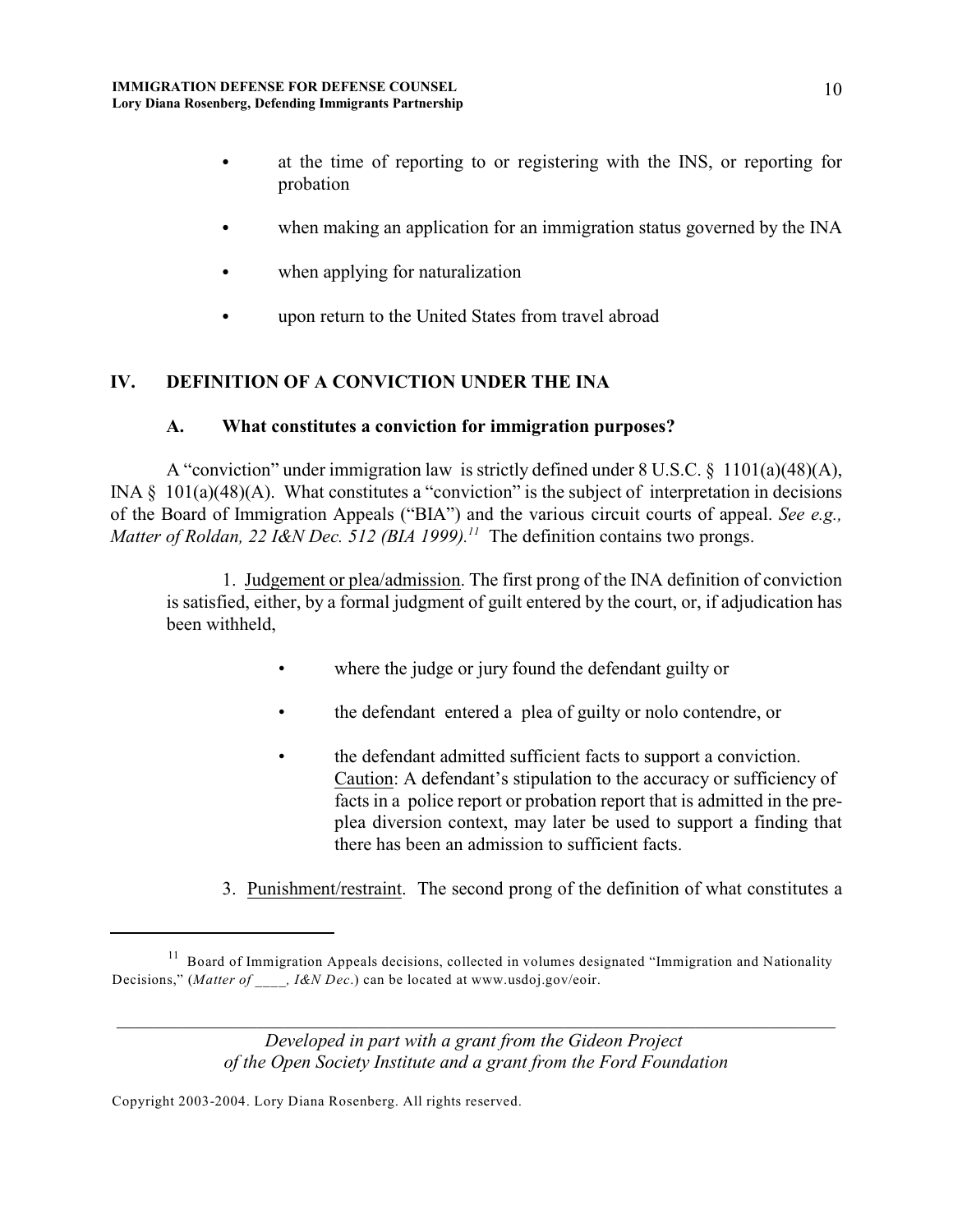- at the time of reporting to or registering with the INS, or reporting for probation
- when making an application for an immigration status governed by the INA
- when applying for naturalization
- upon return to the United States from travel abroad

# **IV. DEFINITION OF A CONVICTION UNDER THE INA**

## **A. What constitutes a conviction for immigration purposes?**

A "conviction" under immigration law is strictly defined under 8 U.S.C. § 1101(a)(48)(A), INA  $\S$  101(a)(48)(A). What constitutes a "conviction" is the subject of interpretation in decisions of the Board of Immigration Appeals ("BIA") and the various circuit courts of appeal. *See e.g., Matter of Roldan, 22 I&N Dec. 512 (BIA 1999).*<sup>11</sup> The definition contains two prongs.

1. Judgement or plea/admission. The first prong of the INA definition of conviction is satisfied, either, by a formal judgment of guilt entered by the court, or, if adjudication has been withheld,

- where the judge or jury found the defendant guilty or
- the defendant entered a plea of guilty or nolo contendre, or
- the defendant admitted sufficient facts to support a conviction. Caution: A defendant's stipulation to the accuracy or sufficiency of facts in a police report or probation report that is admitted in the preplea diversion context, may later be used to support a finding that there has been an admission to sufficient facts.
- 3. Punishment/restraint. The second prong of the definition of what constitutes a

*Developed in part with a grant from the Gideon Project of the Open Society Institute and a grant from the Ford Foundation*

*\_\_\_\_\_\_\_\_\_\_\_\_\_\_\_\_\_\_\_\_\_\_\_\_\_\_\_\_\_\_\_\_\_\_\_\_\_\_\_\_\_\_\_\_\_\_\_\_\_\_\_\_\_\_\_\_\_\_\_\_\_\_\_\_\_\_\_\_\_\_\_\_\_\_\_\_\_*

<sup>&</sup>lt;sup>11</sup> Board of Immigration Appeals decisions, collected in volumes designated "Immigration and Nationality Decisions," (*Matter of \_\_\_\_, I&N Dec*.) can be located at www.usdoj.gov/eoir.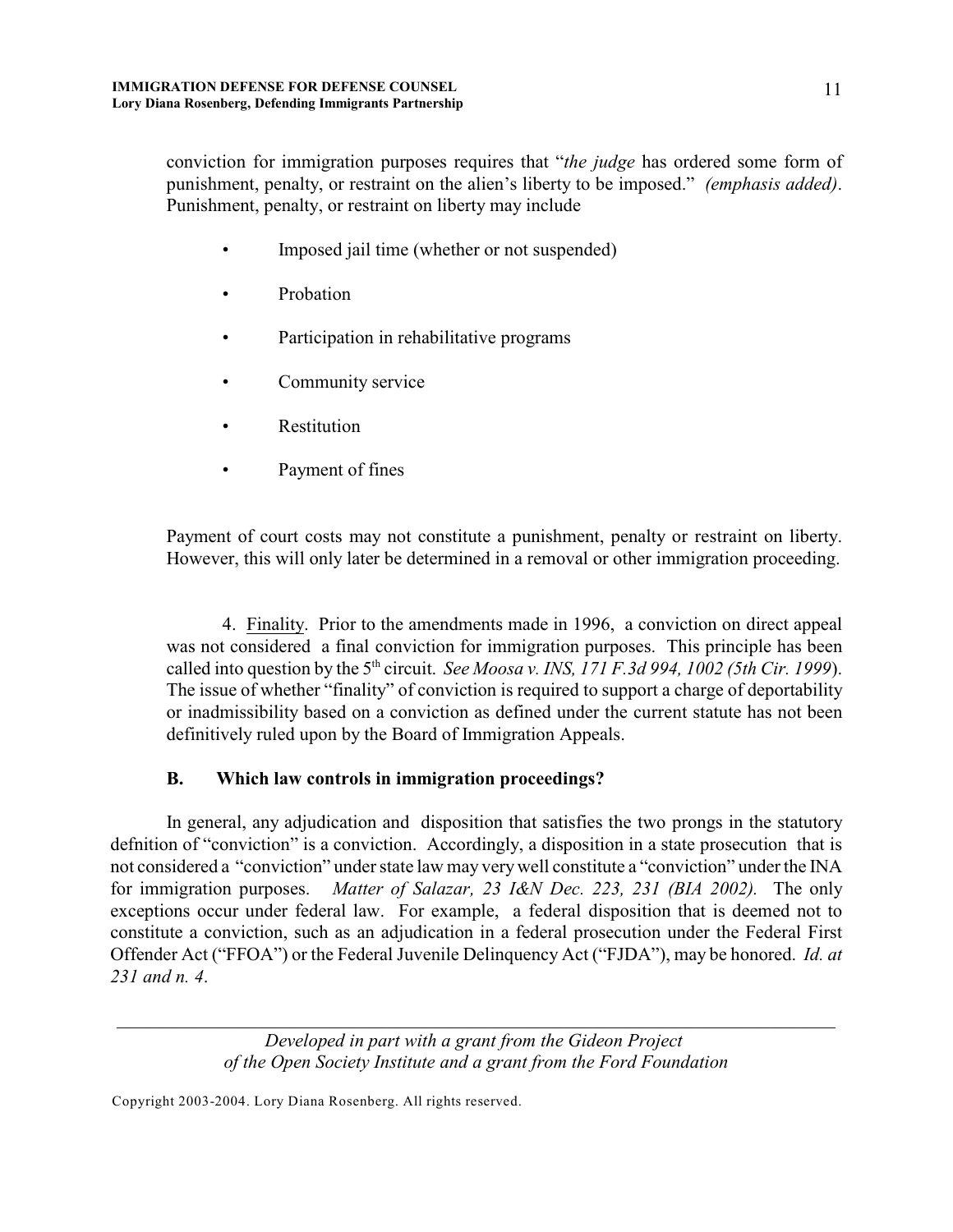conviction for immigration purposes requires that "*the judge* has ordered some form of punishment, penalty, or restraint on the alien's liberty to be imposed." *(emphasis added)*. Punishment, penalty, or restraint on liberty may include

- Imposed jail time (whether or not suspended)
- Probation
- Participation in rehabilitative programs
- Community service
- **Restitution**
- Payment of fines

Payment of court costs may not constitute a punishment, penalty or restraint on liberty. However, this will only later be determined in a removal or other immigration proceeding.

4. Finality. Prior to the amendments made in 1996, a conviction on direct appeal was not considered a final conviction for immigration purposes. This principle has been called into question by the  $5<sup>th</sup>$  circuit. *See Moosa v. INS, 171 F.3d 994, 1002 (5th Cir. 1999)*. The issue of whether "finality" of conviction is required to support a charge of deportability or inadmissibility based on a conviction as defined under the current statute has not been definitively ruled upon by the Board of Immigration Appeals.

# **B. Which law controls in immigration proceedings?**

In general, any adjudication and disposition that satisfies the two prongs in the statutory defnition of "conviction" is a conviction. Accordingly, a disposition in a state prosecution that is not considered a "conviction" under state law may very well constitute a "conviction" under the INA for immigration purposes. *Matter of Salazar, 23 I&N Dec. 223, 231 (BIA 2002).* The only exceptions occur under federal law. For example, a federal disposition that is deemed not to constitute a conviction, such as an adjudication in a federal prosecution under the Federal First Offender Act ("FFOA") or the Federal Juvenile Delinquency Act ("FJDA"), may be honored. *Id. at 231 and n. 4*.

> *Developed in part with a grant from the Gideon Project of the Open Society Institute and a grant from the Ford Foundation*

*\_\_\_\_\_\_\_\_\_\_\_\_\_\_\_\_\_\_\_\_\_\_\_\_\_\_\_\_\_\_\_\_\_\_\_\_\_\_\_\_\_\_\_\_\_\_\_\_\_\_\_\_\_\_\_\_\_\_\_\_\_\_\_\_\_\_\_\_\_\_\_\_\_\_\_\_\_*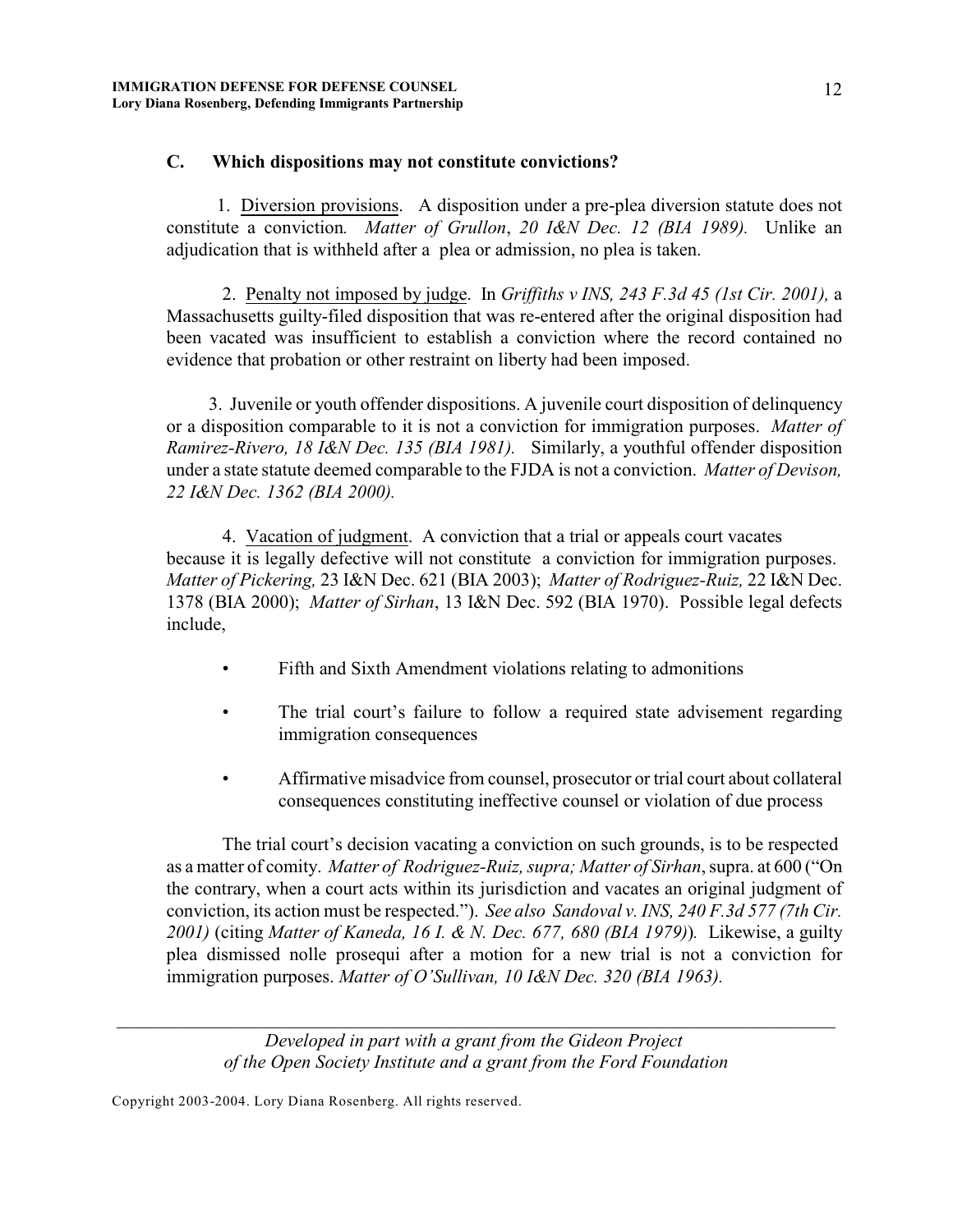#### **C. Which dispositions may not constitute convictions?**

 1. Diversion provisions. A disposition under a pre-plea diversion statute does not constitute a conviction*. Matter of Grullon*, *20 I&N Dec. 12 (BIA 1989).* Unlike an adjudication that is withheld after a plea or admission, no plea is taken.

2. Penalty not imposed by judge. In *Griffiths v INS, 243 F.3d 45 (1st Cir. 2001),* a Massachusetts guilty-filed disposition that was re-entered after the original disposition had been vacated was insufficient to establish a conviction where the record contained no evidence that probation or other restraint on liberty had been imposed.

 3. Juvenile or youth offender dispositions. A juvenile court disposition of delinquency or a disposition comparable to it is not a conviction for immigration purposes. *Matter of Ramirez-Rivero, 18 I&N Dec. 135 (BIA 1981).* Similarly, a youthful offender disposition under a state statute deemed comparable to the FJDA is not a conviction. *Matter of Devison, 22 I&N Dec. 1362 (BIA 2000).* 

4. Vacation of judgment. A conviction that a trial or appeals court vacates because it is legally defective will not constitute a conviction for immigration purposes. *Matter of Pickering,* 23 I&N Dec. 621 (BIA 2003); *Matter of Rodriguez-Ruiz,* 22 I&N Dec. 1378 (BIA 2000); *Matter of Sirhan*, 13 I&N Dec. 592 (BIA 1970). Possible legal defects include,

- Fifth and Sixth Amendment violations relating to admonitions
- The trial court's failure to follow a required state advisement regarding immigration consequences
- Affirmative misadvice from counsel, prosecutor or trial court about collateral consequences constituting ineffective counsel or violation of due process

The trial court's decision vacating a conviction on such grounds, is to be respected as a matter of comity. *Matter of Rodriguez-Ruiz, supra; Matter of Sirhan*, supra. at 600 ("On the contrary, when a court acts within its jurisdiction and vacates an original judgment of conviction, its action must be respected."). *See also Sandoval v. INS, 240 F.3d 577 (7th Cir. 2001)* (citing *Matter of Kaneda, 16 I. & N. Dec. 677, 680 (BIA 1979)*)*.* Likewise, a guilty plea dismissed nolle prosequi after a motion for a new trial is not a conviction for immigration purposes. *Matter of O'Sullivan, 10 I&N Dec. 320 (BIA 1963).*

*Developed in part with a grant from the Gideon Project of the Open Society Institute and a grant from the Ford Foundation*

*\_\_\_\_\_\_\_\_\_\_\_\_\_\_\_\_\_\_\_\_\_\_\_\_\_\_\_\_\_\_\_\_\_\_\_\_\_\_\_\_\_\_\_\_\_\_\_\_\_\_\_\_\_\_\_\_\_\_\_\_\_\_\_\_\_\_\_\_\_\_\_\_\_\_\_\_\_*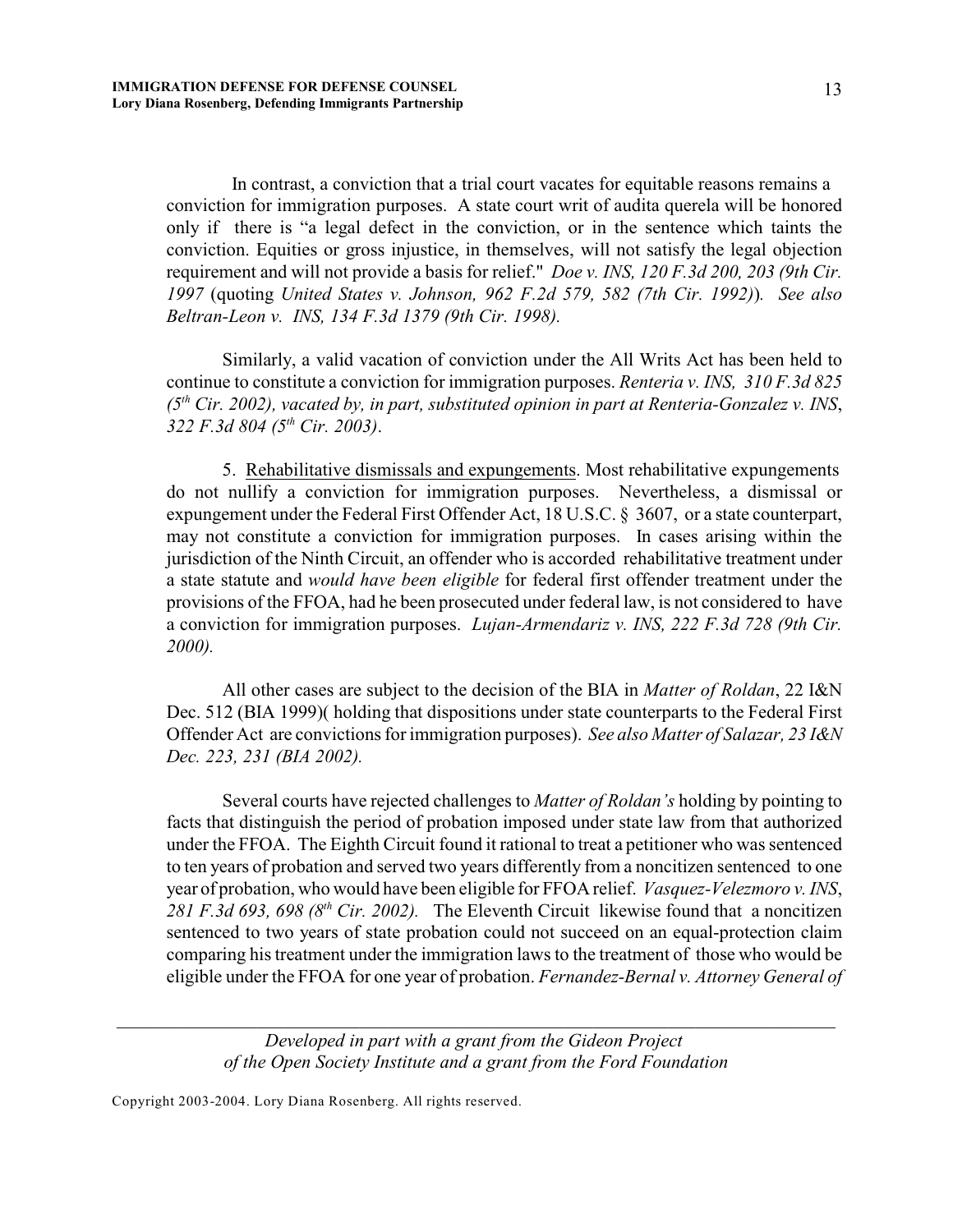In contrast, a conviction that a trial court vacates for equitable reasons remains a conviction for immigration purposes. A state court writ of audita querela will be honored only if there is "a legal defect in the conviction, or in the sentence which taints the conviction. Equities or gross injustice, in themselves, will not satisfy the legal objection requirement and will not provide a basis for relief." *Doe v. INS, 120 F.3d 200, 203 (9th Cir. 1997* (quoting *United States v. Johnson, 962 F.2d 579, 582 (7th Cir. 1992)*)*. See also Beltran-Leon v. INS, 134 F.3d 1379 (9th Cir. 1998).* 

Similarly, a valid vacation of conviction under the All Writs Act has been held to continue to constitute a conviction for immigration purposes. *Renteria v. INS, 310 F.3d 825* (5<sup>th</sup> Cir. 2002), vacated by, in part, substituted opinion in part at Renteria-Gonzalez v. INS, *322 F.3d 804 (5<sup>th</sup> Cir. 2003).* 

5. Rehabilitative dismissals and expungements. Most rehabilitative expungements do not nullify a conviction for immigration purposes. Nevertheless, a dismissal or expungement under the Federal First Offender Act, 18 U.S.C. § 3607, or a state counterpart, may not constitute a conviction for immigration purposes. In cases arising within the jurisdiction of the Ninth Circuit, an offender who is accorded rehabilitative treatment under a state statute and *would have been eligible* for federal first offender treatment under the provisions of the FFOA, had he been prosecuted under federal law, is not considered to have a conviction for immigration purposes. *Lujan-Armendariz v. INS, 222 F.3d 728 (9th Cir. 2000).* 

All other cases are subject to the decision of the BIA in *Matter of Roldan*, 22 I&N Dec. 512 (BIA 1999)( holding that dispositions under state counterparts to the Federal First Offender Act are convictions for immigration purposes). *See also Matter of Salazar, 23 I&N Dec. 223, 231 (BIA 2002).*

Several courts have rejected challenges to *Matter of Roldan's* holding by pointing to facts that distinguish the period of probation imposed under state law from that authorized under the FFOA. The Eighth Circuit found it rational to treat a petitioner who was sentenced to ten years of probation and served two years differently from a noncitizen sentenced to one year of probation, who would have been eligible for FFOA relief. *Vasquez-Velezmoro v. INS*, 281 F.3d 693, 698 ( $8<sup>th</sup>$  Cir. 2002). The Eleventh Circuit likewise found that a noncitizen sentenced to two years of state probation could not succeed on an equal-protection claim comparing his treatment under the immigration laws to the treatment of those who would be eligible under the FFOA for one year of probation. *Fernandez-Bernal v. Attorney General of*

*Developed in part with a grant from the Gideon Project of the Open Society Institute and a grant from the Ford Foundation*

*\_\_\_\_\_\_\_\_\_\_\_\_\_\_\_\_\_\_\_\_\_\_\_\_\_\_\_\_\_\_\_\_\_\_\_\_\_\_\_\_\_\_\_\_\_\_\_\_\_\_\_\_\_\_\_\_\_\_\_\_\_\_\_\_\_\_\_\_\_\_\_\_\_\_\_\_\_*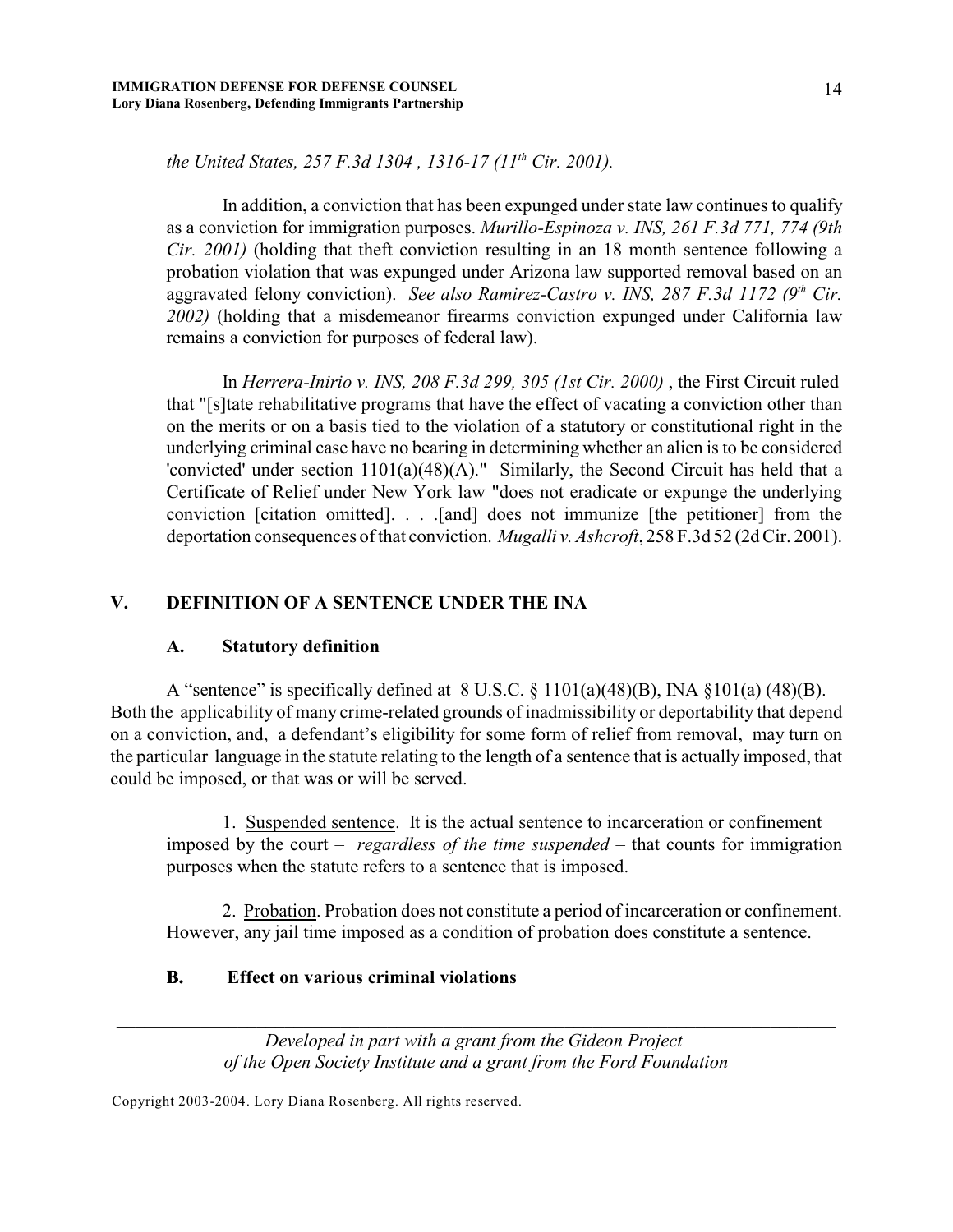14

*the United States, 257 F.3d 1304, 1316-17 (11<sup>th</sup> Cir. 2001).* 

In addition, a conviction that has been expunged under state law continues to qualify as a conviction for immigration purposes. *Murillo-Espinoza v. INS, 261 F.3d 771, 774 (9th Cir. 2001*) (holding that theft conviction resulting in an 18 month sentence following a probation violation that was expunged under Arizona law supported removal based on an aggravated felony conviction). *See also Ramirez-Castro v. INS, 287 F.3d 1172 (9<sup>th</sup> Cir. 2002)* (holding that a misdemeanor firearms conviction expunged under California law remains a conviction for purposes of federal law).

In *Herrera-Inirio v. INS, 208 F.3d 299, 305 (1st Cir. 2000)* , the First Circuit ruled that "[s]tate rehabilitative programs that have the effect of vacating a conviction other than on the merits or on a basis tied to the violation of a statutory or constitutional right in the underlying criminal case have no bearing in determining whether an alien is to be considered 'convicted' under section 1101(a)(48)(A)." Similarly, the Second Circuit has held that a Certificate of Relief under New York law "does not eradicate or expunge the underlying conviction [citation omitted]. . . .[and] does not immunize [the petitioner] from the deportation consequences of that conviction. *Mugalli v. Ashcroft*, 258 F.3d 52 (2d Cir. 2001).

## **V. DEFINITION OF A SENTENCE UNDER THE INA**

#### **A. Statutory definition**

A "sentence" is specifically defined at  $8 \text{ U.S.C.} \$  $1101(a)(48)(B)$ , INA  $\S 101(a)(48)(B)$ . Both the applicability of many crime-related grounds of inadmissibility or deportability that depend on a conviction, and, a defendant's eligibility for some form of relief from removal, may turn on the particular language in the statute relating to the length of a sentence that is actually imposed, that could be imposed, or that was or will be served.

1. Suspended sentence. It is the actual sentence to incarceration or confinement imposed by the court – *regardless of the time suspended* – that counts for immigration purposes when the statute refers to a sentence that is imposed.

2. Probation. Probation does not constitute a period of incarceration or confinement. However, any jail time imposed as a condition of probation does constitute a sentence.

### **B. Effect on various criminal violations**

*Developed in part with a grant from the Gideon Project of the Open Society Institute and a grant from the Ford Foundation*

*\_\_\_\_\_\_\_\_\_\_\_\_\_\_\_\_\_\_\_\_\_\_\_\_\_\_\_\_\_\_\_\_\_\_\_\_\_\_\_\_\_\_\_\_\_\_\_\_\_\_\_\_\_\_\_\_\_\_\_\_\_\_\_\_\_\_\_\_\_\_\_\_\_\_\_\_\_*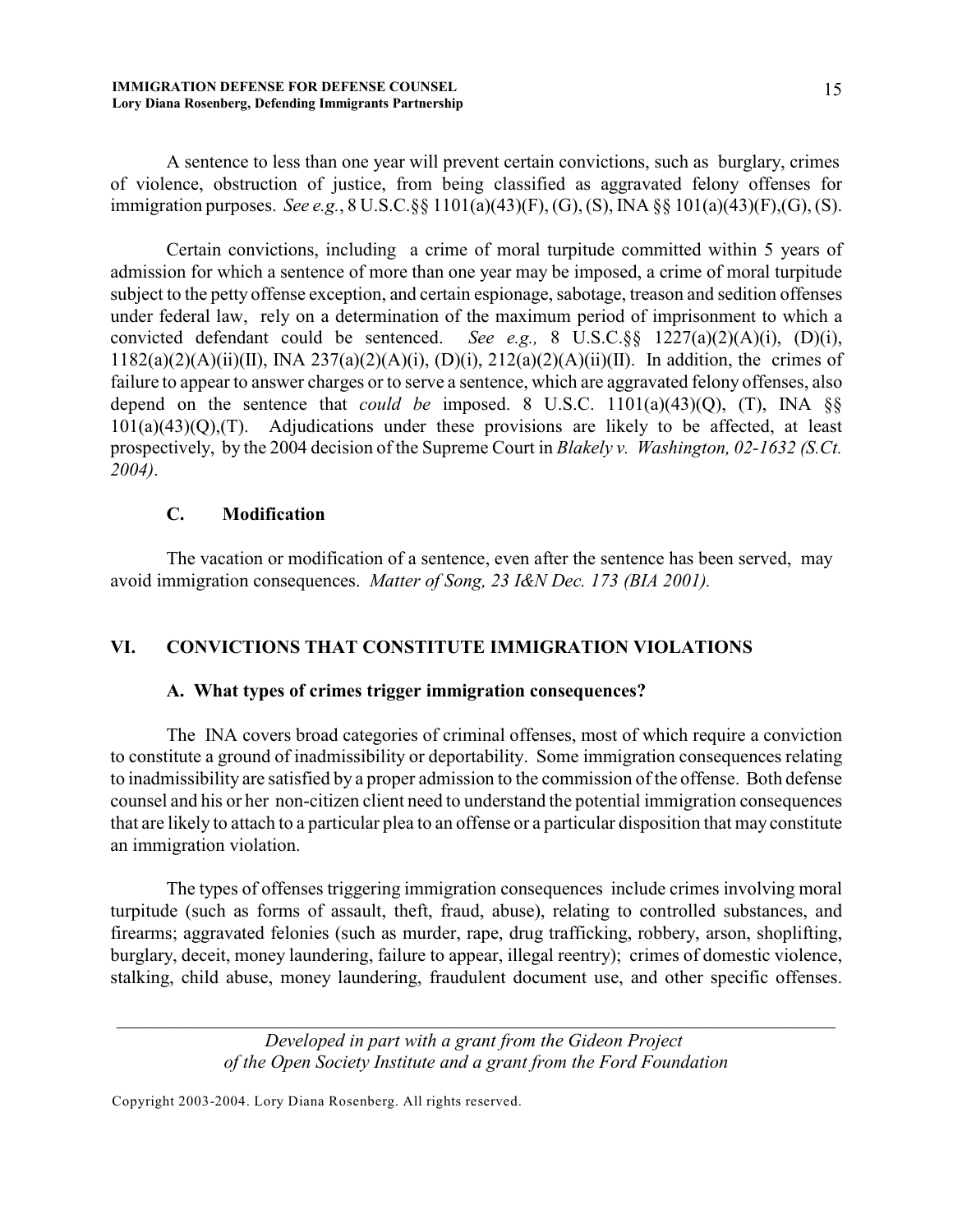A sentence to less than one year will prevent certain convictions, such as burglary, crimes of violence, obstruction of justice, from being classified as aggravated felony offenses for immigration purposes. *See e.g.*, 8 U.S.C.§§ 1101(a)(43)(F), (G), (S), INA §§ 101(a)(43)(F),(G), (S).

Certain convictions, including a crime of moral turpitude committed within 5 years of admission for which a sentence of more than one year may be imposed, a crime of moral turpitude subject to the petty offense exception, and certain espionage, sabotage, treason and sedition offenses under federal law, rely on a determination of the maximum period of imprisonment to which a convicted defendant could be sentenced. *See e.g.,* 8 U.S.C.§§ 1227(a)(2)(A)(i), (D)(i),  $1182(a)(2)(A)(ii)(II)$ , INA  $237(a)(2)(A)(i)$ ,  $(D)(i)$ ,  $212(a)(2)(A)(ii)(II)$ . In addition, the crimes of failure to appear to answer charges or to serve a sentence, which are aggravated felony offenses, also depend on the sentence that *could be* imposed. 8 U.S.C. 1101(a)(43)(Q), (T), INA §§  $101(a)(43)(Q)$ ,  $(T)$ . Adjudications under these provisions are likely to be affected, at least prospectively, by the 2004 decision of the Supreme Court in *Blakely v. Washington, 02-1632 (S.Ct. 2004)*.

### **C. Modification**

The vacation or modification of a sentence, even after the sentence has been served, may avoid immigration consequences. *Matter of Song, 23 I&N Dec. 173 (BIA 2001).*

# **VI. CONVICTIONS THAT CONSTITUTE IMMIGRATION VIOLATIONS**

# **A. What types of crimes trigger immigration consequences?**

The INA covers broad categories of criminal offenses, most of which require a conviction to constitute a ground of inadmissibility or deportability. Some immigration consequences relating to inadmissibility are satisfied by a proper admission to the commission of the offense. Both defense counsel and his or her non-citizen client need to understand the potential immigration consequences that are likely to attach to a particular plea to an offense or a particular disposition that may constitute an immigration violation.

The types of offenses triggering immigration consequences include crimes involving moral turpitude (such as forms of assault, theft, fraud, abuse), relating to controlled substances, and firearms; aggravated felonies (such as murder, rape, drug trafficking, robbery, arson, shoplifting, burglary, deceit, money laundering, failure to appear, illegal reentry); crimes of domestic violence, stalking, child abuse, money laundering, fraudulent document use, and other specific offenses.

> *Developed in part with a grant from the Gideon Project of the Open Society Institute and a grant from the Ford Foundation*

*\_\_\_\_\_\_\_\_\_\_\_\_\_\_\_\_\_\_\_\_\_\_\_\_\_\_\_\_\_\_\_\_\_\_\_\_\_\_\_\_\_\_\_\_\_\_\_\_\_\_\_\_\_\_\_\_\_\_\_\_\_\_\_\_\_\_\_\_\_\_\_\_\_\_\_\_\_*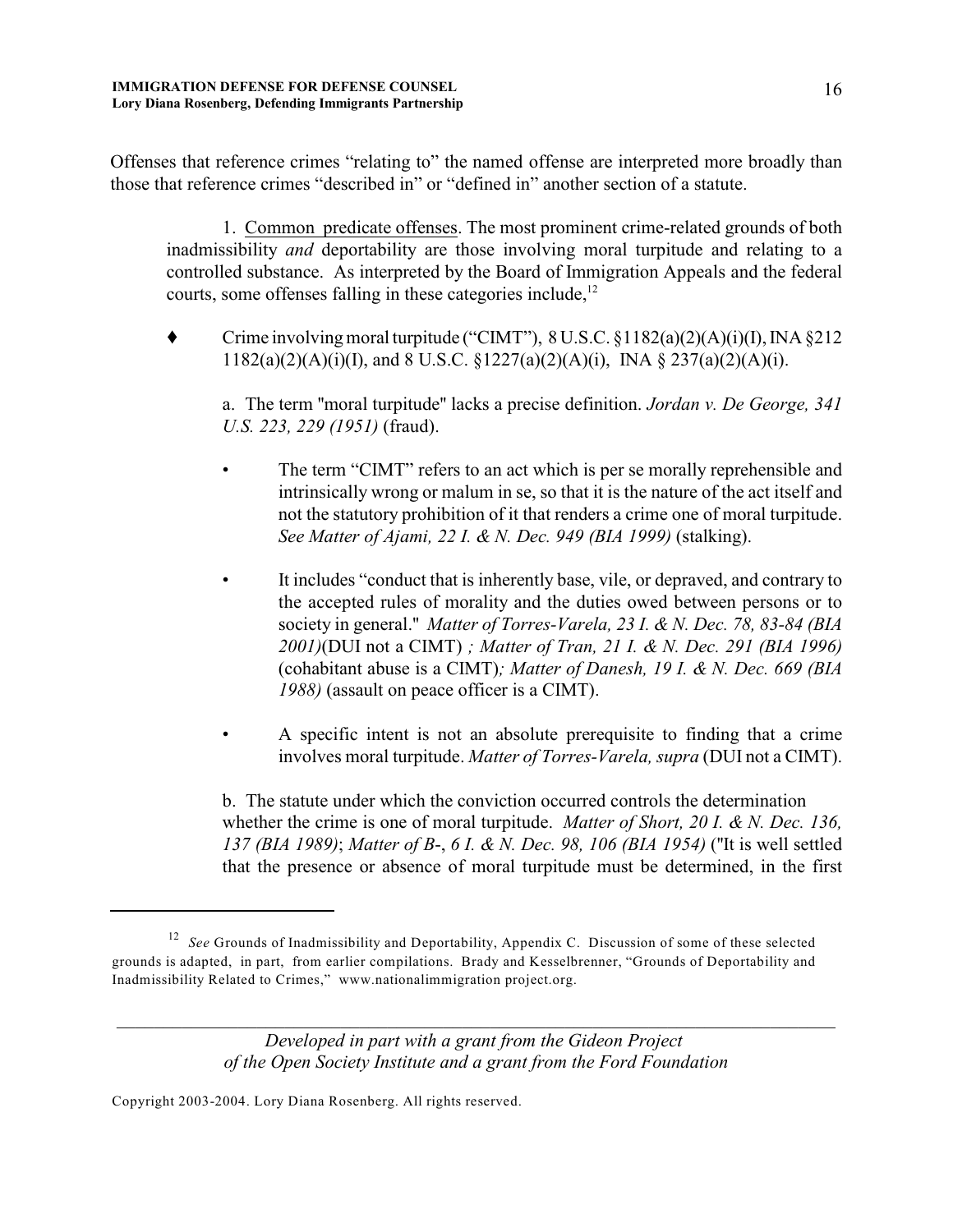Offenses that reference crimes "relating to" the named offense are interpreted more broadly than those that reference crimes "described in" or "defined in" another section of a statute.

1. Common predicate offenses. The most prominent crime-related grounds of both inadmissibility *and* deportability are those involving moral turpitude and relating to a controlled substance. As interpreted by the Board of Immigration Appeals and the federal courts, some offenses falling in these categories include, $12$ 

Crime involving moral turpitude ("CIMT"),  $8 \text{ U.S.C.} \$  $1182(a)(2)(\text{A})(i)(\text{I})$ , INA  $\S 212$  $1182(a)(2)(A)(i)(I)$ , and  $8$  U.S.C.  $\S 1227(a)(2)(A)(i)$ , INA  $\S 237(a)(2)(A)(i)$ .

a. The term ''moral turpitude'' lacks a precise definition. *Jordan v. De George, 341 U.S. 223, 229 (1951)* (fraud).

- The term "CIMT" refers to an act which is per se morally reprehensible and intrinsically wrong or malum in se, so that it is the nature of the act itself and not the statutory prohibition of it that renders a crime one of moral turpitude. *See Matter of Ajami, 22 I. & N. Dec. 949 (BIA 1999)* (stalking).
- It includes "conduct that is inherently base, vile, or depraved, and contrary to the accepted rules of morality and the duties owed between persons or to society in general.'' *Matter of Torres-Varela, 23 I. & N. Dec. 78, 83-84 (BIA 2001)*(DUI not a CIMT) *; Matter of Tran, 21 I. & N. Dec. 291 (BIA 1996)* (cohabitant abuse is a CIMT)*; Matter of Danesh, 19 I. & N. Dec. 669 (BIA 1988)* (assault on peace officer is a CIMT).
- A specific intent is not an absolute prerequisite to finding that a crime involves moral turpitude. *Matter of Torres-Varela, supra* (DUI not a CIMT).

b. The statute under which the conviction occurred controls the determination whether the crime is one of moral turpitude. *Matter of Short, 20 I. & N. Dec. 136, 137 (BIA 1989)*; *Matter of B*-, *6 I. & N. Dec. 98, 106 (BIA 1954)* (''It is well settled that the presence or absence of moral turpitude must be determined, in the first

*Developed in part with a grant from the Gideon Project of the Open Society Institute and a grant from the Ford Foundation*

*\_\_\_\_\_\_\_\_\_\_\_\_\_\_\_\_\_\_\_\_\_\_\_\_\_\_\_\_\_\_\_\_\_\_\_\_\_\_\_\_\_\_\_\_\_\_\_\_\_\_\_\_\_\_\_\_\_\_\_\_\_\_\_\_\_\_\_\_\_\_\_\_\_\_\_\_\_*

<sup>&</sup>lt;sup>12</sup> See Grounds of Inadmissibility and Deportability, Appendix C. Discussion of some of these selected grounds is adapted, in part, from earlier compilations. Brady and Kesselbrenner, "Grounds of Deportability and Inadmissibility Related to Crimes," www.nationalimmigration project.org.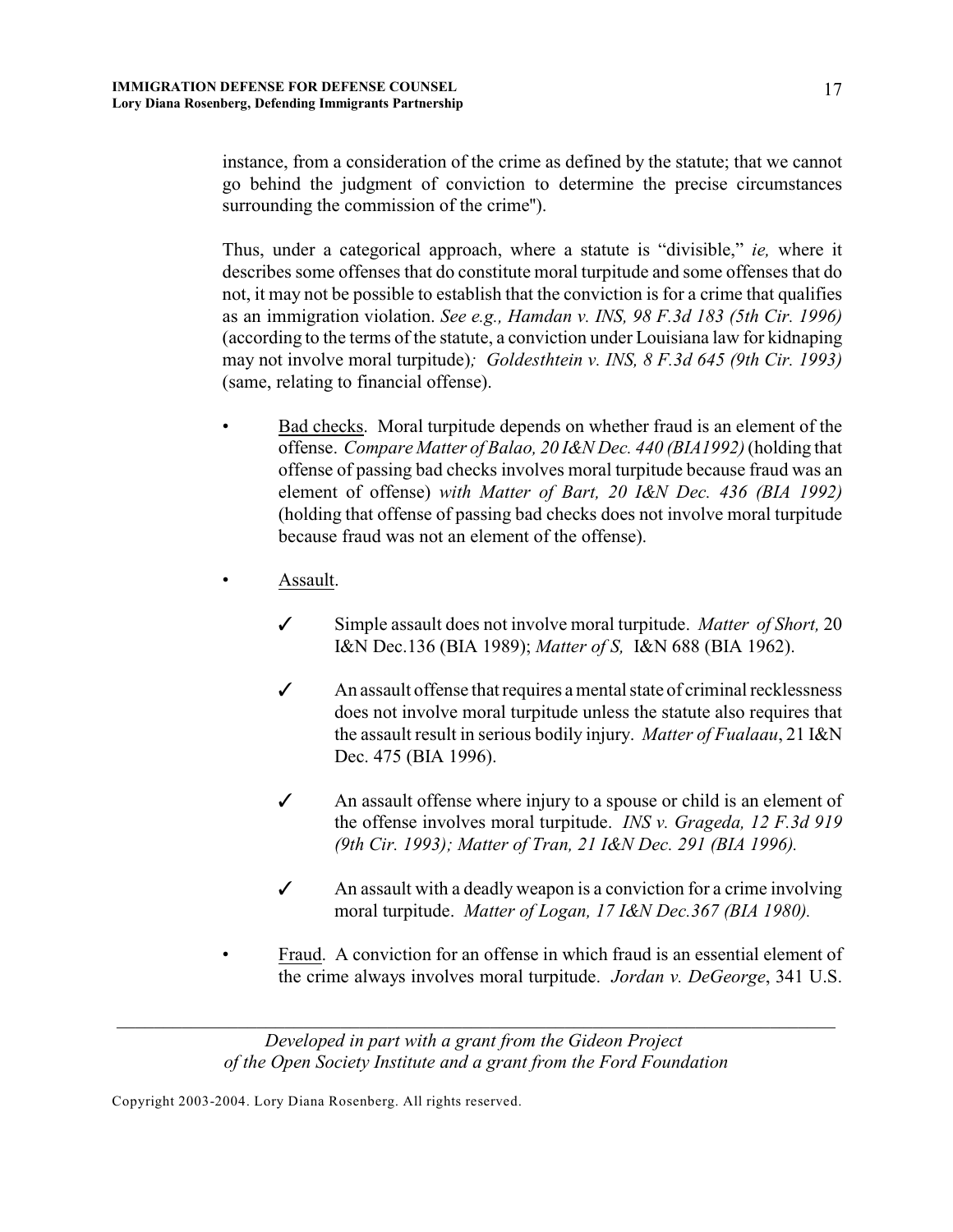instance, from a consideration of the crime as defined by the statute; that we cannot go behind the judgment of conviction to determine the precise circumstances surrounding the commission of the crime'').

Thus, under a categorical approach, where a statute is "divisible," *ie,* where it describes some offenses that do constitute moral turpitude and some offenses that do not, it may not be possible to establish that the conviction is for a crime that qualifies as an immigration violation. *See e.g., Hamdan v. INS, 98 F.3d 183 (5th Cir. 1996)* (according to the terms of the statute, a conviction under Louisiana law for kidnaping may not involve moral turpitude)*; Goldesthtein v. INS, 8 F.3d 645 (9th Cir. 1993)* (same, relating to financial offense).

- Bad checks. Moral turpitude depends on whether fraud is an element of the offense. *Compare Matter of Balao, 20 I&N Dec. 440 (BIA1992)* (holding that offense of passing bad checks involves moral turpitude because fraud was an element of offense) *with Matter of Bart, 20 I&N Dec. 436 (BIA 1992)* (holding that offense of passing bad checks does not involve moral turpitude because fraud was not an element of the offense).
- Assault.
	- T Simple assault does not involve moral turpitude. *Matter of Short,* 20 I&N Dec.136 (BIA 1989); *Matter of S,* I&N 688 (BIA 1962).
	- $\checkmark$  An assault offense that requires a mental state of criminal recklessness does not involve moral turpitude unless the statute also requires that the assault result in serious bodily injury. *Matter of Fualaau*, 21 I&N Dec. 475 (BIA 1996).
	- $\checkmark$  An assault offense where injury to a spouse or child is an element of the offense involves moral turpitude. *INS v. Grageda, 12 F.3d 919 (9th Cir. 1993); Matter of Tran, 21 I&N Dec. 291 (BIA 1996).*
	- $\checkmark$  An assault with a deadly weapon is a conviction for a crime involving moral turpitude. *Matter of Logan, 17 I&N Dec.367 (BIA 1980).*
- Fraud. A conviction for an offense in which fraud is an essential element of the crime always involves moral turpitude. *Jordan v. DeGeorge*, 341 U.S.

*\_\_\_\_\_\_\_\_\_\_\_\_\_\_\_\_\_\_\_\_\_\_\_\_\_\_\_\_\_\_\_\_\_\_\_\_\_\_\_\_\_\_\_\_\_\_\_\_\_\_\_\_\_\_\_\_\_\_\_\_\_\_\_\_\_\_\_\_\_\_\_\_\_\_\_\_\_*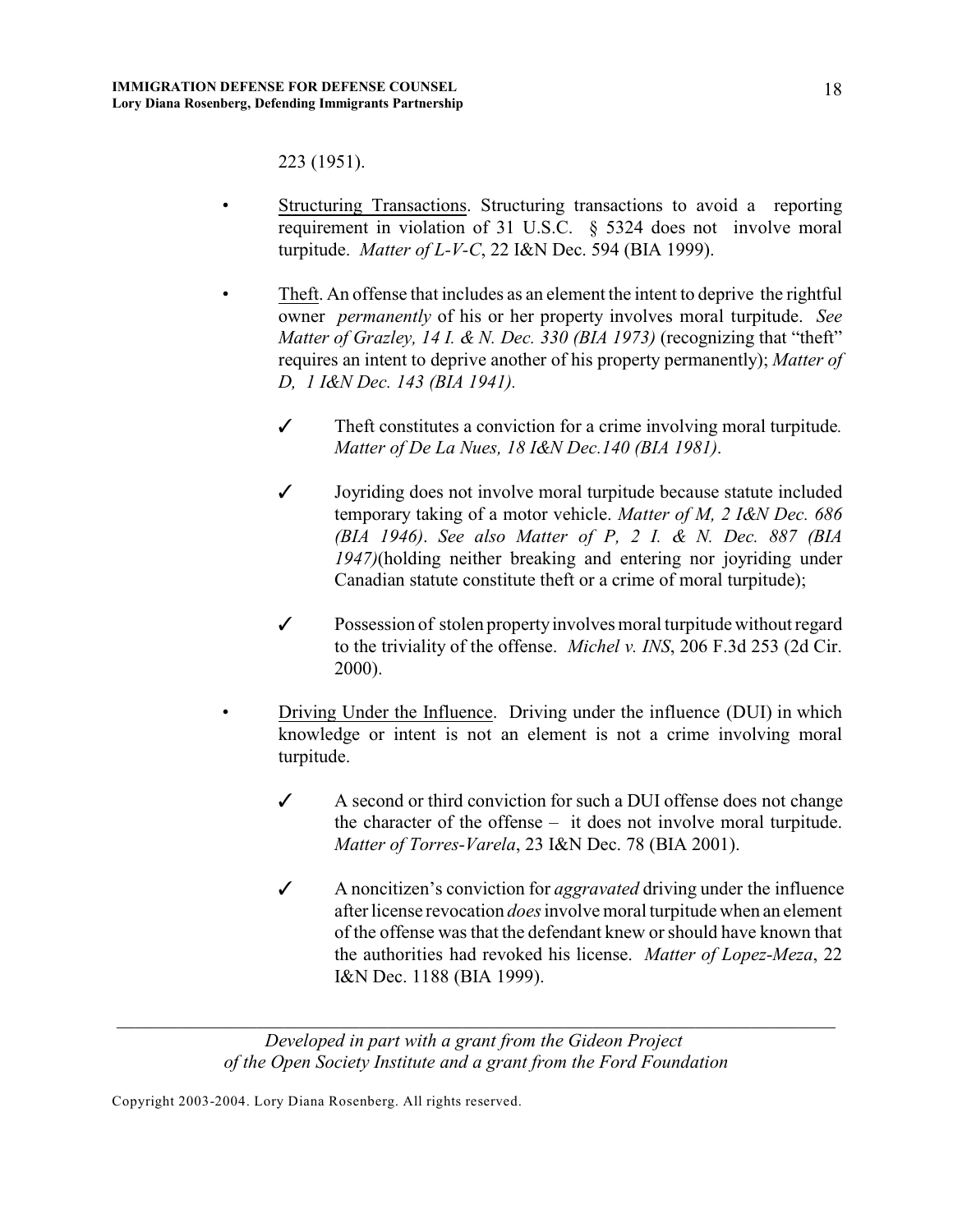223 (1951).

- Structuring Transactions. Structuring transactions to avoid a reporting requirement in violation of 31 U.S.C. § 5324 does not involve moral turpitude. *Matter of L-V-C*, 22 I&N Dec. 594 (BIA 1999).
- Theft. An offense that includes as an element the intent to deprive the rightful owner *permanently* of his or her property involves moral turpitude. *See Matter of Grazley, 14 I. & N. Dec. 330 (BIA 1973)* (recognizing that "theft" requires an intent to deprive another of his property permanently); *Matter of D, 1 I&N Dec. 143 (BIA 1941).*
	- *T* Theft constitutes a conviction for a crime involving moral turpitude*. Matter of De La Nues, 18 I&N Dec.140 (BIA 1981)*.
	- *T* Joyriding does not involve moral turpitude because statute included temporary taking of a motor vehicle. *Matter of M, 2 I&N Dec. 686 (BIA 1946)*. *See also Matter of P, 2 I. & N. Dec. 887 (BIA 1947)*(holding neither breaking and entering nor joyriding under Canadian statute constitute theft or a crime of moral turpitude);
	- $\checkmark$  Possession of stolen property involves moral turpitude without regard to the triviality of the offense. *Michel v. INS*, 206 F.3d 253 (2d Cir. 2000).
	- Driving Under the Influence. Driving under the influence (DUI) in which knowledge or intent is not an element is not a crime involving moral turpitude.
		- $\angle$  A second or third conviction for such a DUI offense does not change the character of the offense – it does not involve moral turpitude. *Matter of Torres-Varela*, 23 I&N Dec. 78 (BIA 2001).
		- T A noncitizen's conviction for *aggravated* driving under the influence after license revocation *does* involve moral turpitude when an element of the offense was that the defendant knew or should have known that the authorities had revoked his license. *Matter of Lopez-Meza*, 22 I&N Dec. 1188 (BIA 1999).

*Developed in part with a grant from the Gideon Project of the Open Society Institute and a grant from the Ford Foundation*

*\_\_\_\_\_\_\_\_\_\_\_\_\_\_\_\_\_\_\_\_\_\_\_\_\_\_\_\_\_\_\_\_\_\_\_\_\_\_\_\_\_\_\_\_\_\_\_\_\_\_\_\_\_\_\_\_\_\_\_\_\_\_\_\_\_\_\_\_\_\_\_\_\_\_\_\_\_*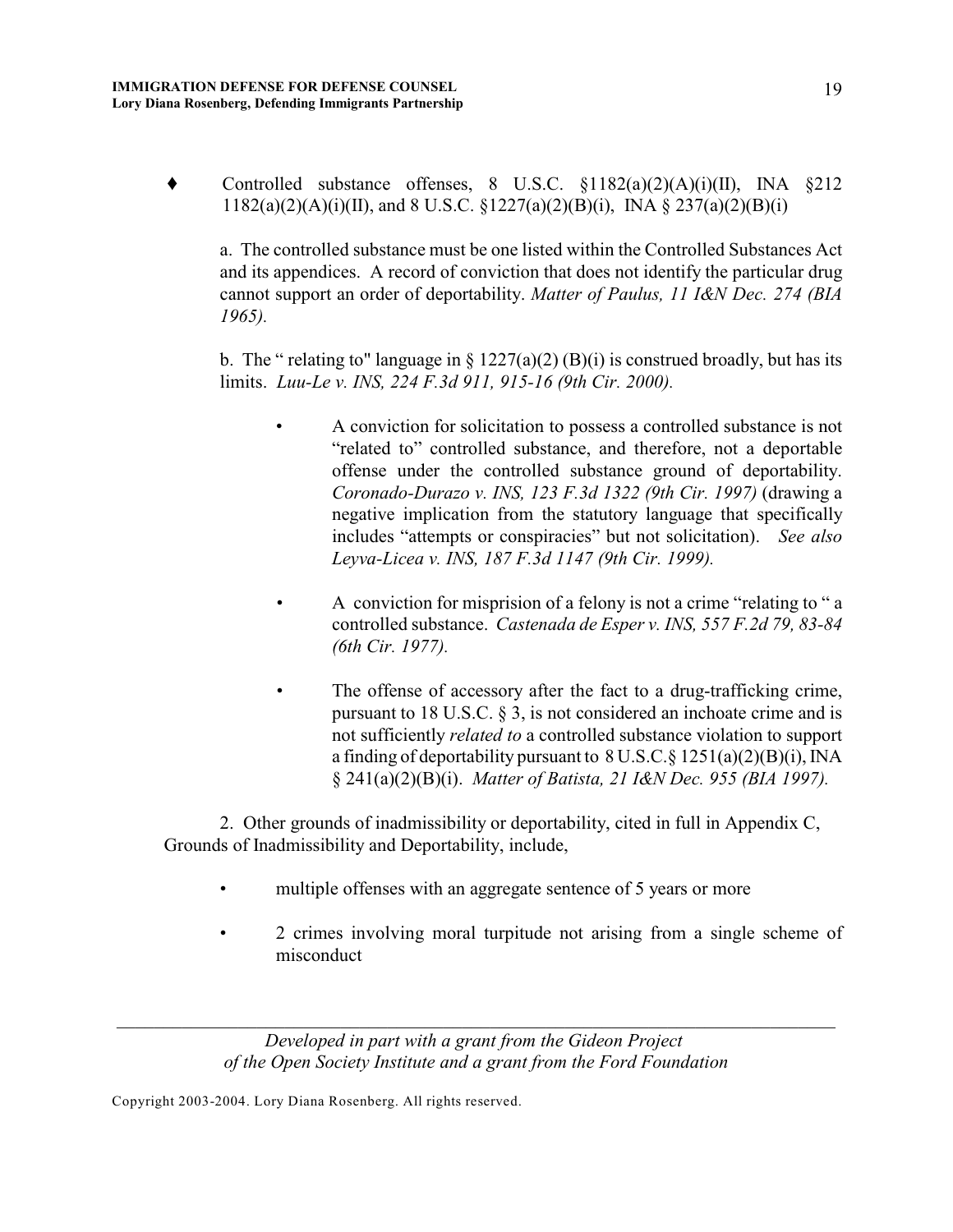Controlled substance offenses, 8 U.S.C. §1182(a)(2)(A)(i)(II), INA §212  $1182(a)(2)(A)(i)(II)$ , and 8 U.S.C.  $\S 1227(a)(2)(B)(i)$ , INA  $\S 237(a)(2)(B)(i)$ 

a. The controlled substance must be one listed within the Controlled Substances Act and its appendices. A record of conviction that does not identify the particular drug cannot support an order of deportability. *Matter of Paulus, 11 I&N Dec. 274 (BIA 1965).*

b. The " relating to" language in  $\S 1227(a)(2) (B)(i)$  is construed broadly, but has its limits. *Luu-Le v. INS, 224 F.3d 911, 915-16 (9th Cir. 2000).* 

- A conviction for solicitation to possess a controlled substance is not "related to" controlled substance, and therefore, not a deportable offense under the controlled substance ground of deportability. *Coronado-Durazo v. INS, 123 F.3d 1322 (9th Cir. 1997)* (drawing a negative implication from the statutory language that specifically includes "attempts or conspiracies" but not solicitation). *See also Leyva-Licea v. INS, 187 F.3d 1147 (9th Cir. 1999).*
- *•* A conviction for misprision of a felony is not a crime "relating to " a controlled substance. *Castenada de Esper v. INS, 557 F.2d 79, 83-84 (6th Cir. 1977).*
- The offense of accessory after the fact to a drug-trafficking crime, pursuant to 18 U.S.C. § 3, is not considered an inchoate crime and is not sufficiently *related to* a controlled substance violation to support a finding of deportability pursuant to 8 U.S.C.§ 1251(a)(2)(B)(i), INA § 241(a)(2)(B)(i). *Matter of Batista, 21 I&N Dec. 955 (BIA 1997).*

2. Other grounds of inadmissibility or deportability, cited in full in Appendix C, Grounds of Inadmissibility and Deportability, include,

- multiple offenses with an aggregate sentence of 5 years or more
- 2 crimes involving moral turpitude not arising from a single scheme of misconduct

*Developed in part with a grant from the Gideon Project of the Open Society Institute and a grant from the Ford Foundation*

*\_\_\_\_\_\_\_\_\_\_\_\_\_\_\_\_\_\_\_\_\_\_\_\_\_\_\_\_\_\_\_\_\_\_\_\_\_\_\_\_\_\_\_\_\_\_\_\_\_\_\_\_\_\_\_\_\_\_\_\_\_\_\_\_\_\_\_\_\_\_\_\_\_\_\_\_\_*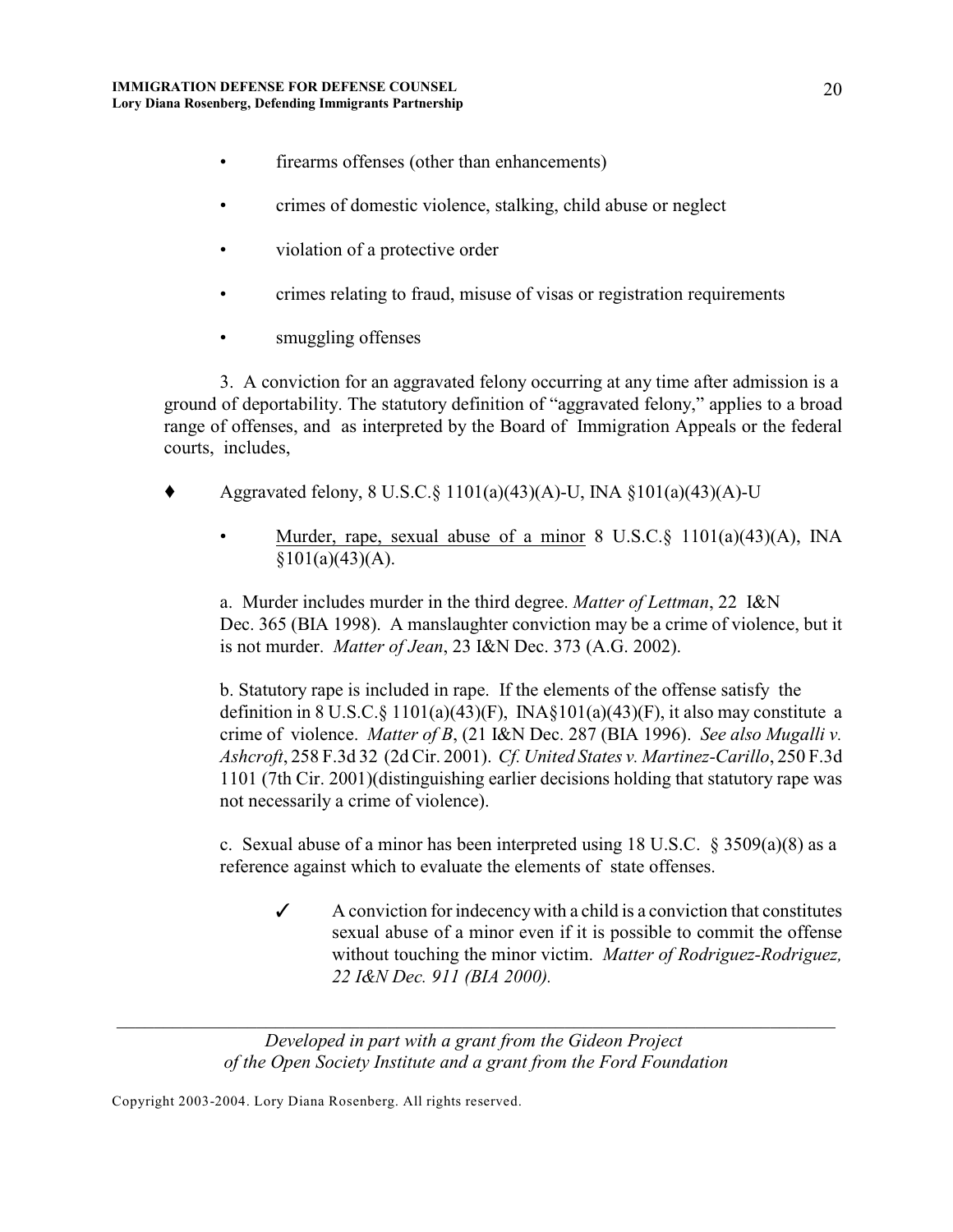- firearms offenses (other than enhancements)
- crimes of domestic violence, stalking, child abuse or neglect
- violation of a protective order
- crimes relating to fraud, misuse of visas or registration requirements
- smuggling offenses

3. A conviction for an aggravated felony occurring at any time after admission is a ground of deportability. The statutory definition of "aggravated felony," applies to a broad range of offenses, and as interpreted by the Board of Immigration Appeals or the federal courts, includes,

- Aggravated felony, 8 U.S.C.§ 1101(a)(43)(A)-U, INA §101(a)(43)(A)-U
	- Murder, rape, sexual abuse of a minor 8 U.S.C.§ 1101(a)(43)(A), INA  $§101(a)(43)(A).$

a. Murder includes murder in the third degree. *Matter of Lettman*, 22 I&N Dec. 365 (BIA 1998). A manslaughter conviction may be a crime of violence, but it is not murder. *Matter of Jean*, 23 I&N Dec. 373 (A.G. 2002).

b. Statutory rape is included in rape. If the elements of the offense satisfy the definition in 8 U.S.C. $\S$  1101(a)(43)(F), INA $\S$ 101(a)(43)(F), it also may constitute a crime of violence. *Matter of B*, (21 I&N Dec. 287 (BIA 1996). *See also Mugalli v. Ashcroft*, 258 F.3d 32 (2d Cir. 2001). *Cf. United States v. Martinez-Carillo*, 250 F.3d 1101 (7th Cir. 2001)(distinguishing earlier decisions holding that statutory rape was not necessarily a crime of violence).

c. Sexual abuse of a minor has been interpreted using 18 U.S.C.  $\S$  3509(a)(8) as a reference against which to evaluate the elements of state offenses.

 $\checkmark$  A conviction for indecency with a child is a conviction that constitutes sexual abuse of a minor even if it is possible to commit the offense without touching the minor victim. *Matter of Rodriguez-Rodriguez, 22 I&N Dec. 911 (BIA 2000).*

*Developed in part with a grant from the Gideon Project of the Open Society Institute and a grant from the Ford Foundation*

*\_\_\_\_\_\_\_\_\_\_\_\_\_\_\_\_\_\_\_\_\_\_\_\_\_\_\_\_\_\_\_\_\_\_\_\_\_\_\_\_\_\_\_\_\_\_\_\_\_\_\_\_\_\_\_\_\_\_\_\_\_\_\_\_\_\_\_\_\_\_\_\_\_\_\_\_\_*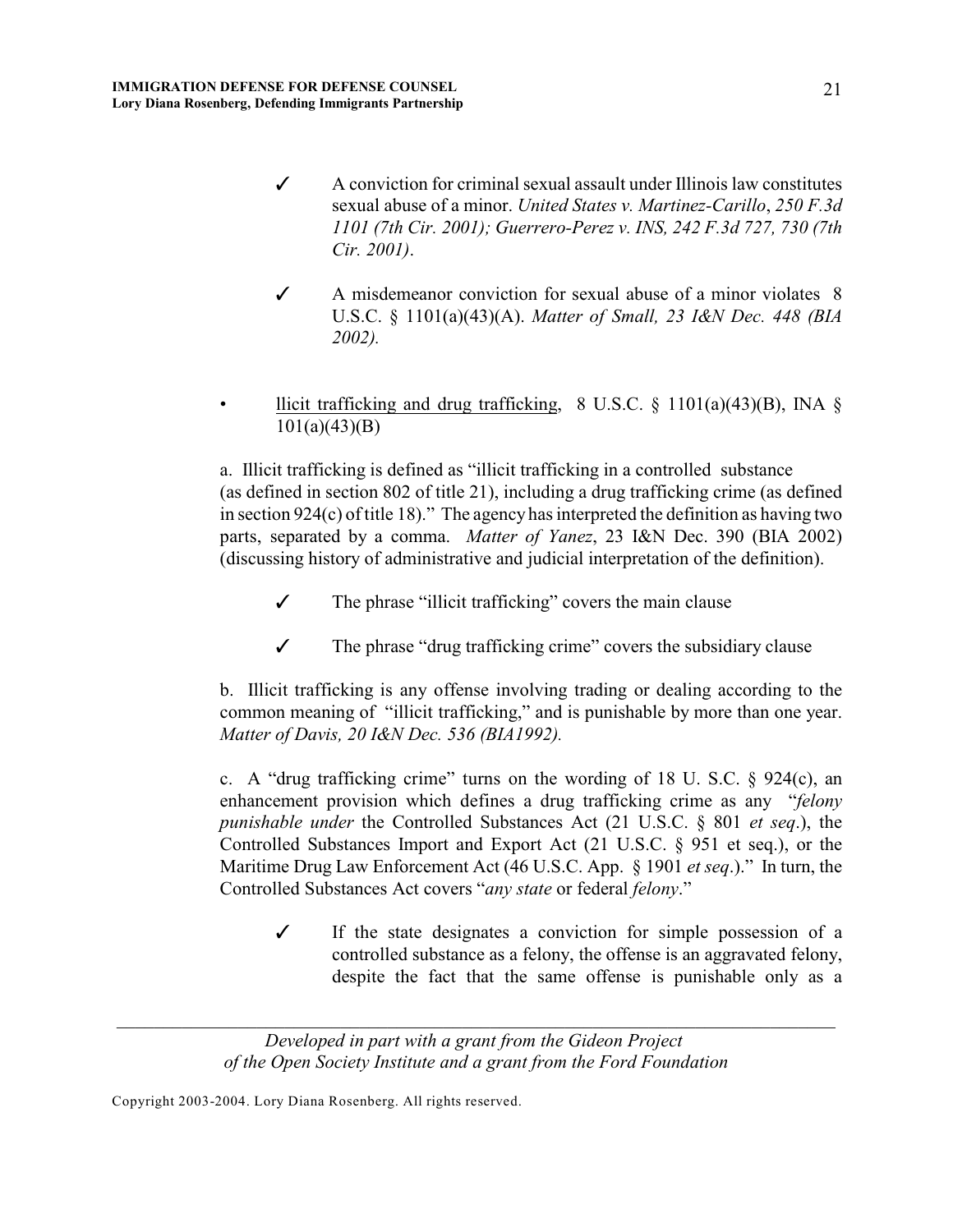- $\checkmark$  A conviction for criminal sexual assault under Illinois law constitutes sexual abuse of a minor. *United States v. Martinez-Carillo*, *250 F.3d 1101 (7th Cir. 2001); Guerrero-Perez v. INS, 242 F.3d 727, 730 (7th Cir. 2001)*.
- $\checkmark$  A misdemeanor conviction for sexual abuse of a minor violates 8 U.S.C. § 1101(a)(43)(A). *Matter of Small, 23 I&N Dec. 448 (BIA 2002).*
- llicit trafficking and drug trafficking, 8 U.S.C.  $\S$  1101(a)(43)(B), INA  $\S$ 101(a)(43)(B)

a. Illicit trafficking is defined as "illicit trafficking in a controlled substance (as defined in section 802 of title 21), including a drug trafficking crime (as defined in section 924(c) of title 18)." The agency has interpreted the definition as having two parts, separated by a comma. *Matter of Yanez*, 23 I&N Dec. 390 (BIA 2002) (discussing history of administrative and judicial interpretation of the definition).

- $\checkmark$  The phrase "illicit trafficking" covers the main clause
- $\checkmark$  The phrase "drug trafficking crime" covers the subsidiary clause

b. Illicit trafficking is any offense involving trading or dealing according to the common meaning of "illicit trafficking," and is punishable by more than one year. *Matter of Davis, 20 I&N Dec. 536 (BIA1992).*

c. A "drug trafficking crime" turns on the wording of 18 U. S.C. § 924(c), an enhancement provision which defines a drug trafficking crime as any "*felony punishable under* the Controlled Substances Act (21 U.S.C. § 801 *et seq*.), the Controlled Substances Import and Export Act (21 U.S.C. § 951 et seq.), or the Maritime Drug Law Enforcement Act (46 U.S.C. App. § 1901 *et seq*.)." In turn, the Controlled Substances Act covers "*any state* or federal *felony*."

 $\checkmark$  If the state designates a conviction for simple possession of a controlled substance as a felony, the offense is an aggravated felony, despite the fact that the same offense is punishable only as a

*Developed in part with a grant from the Gideon Project of the Open Society Institute and a grant from the Ford Foundation*

*\_\_\_\_\_\_\_\_\_\_\_\_\_\_\_\_\_\_\_\_\_\_\_\_\_\_\_\_\_\_\_\_\_\_\_\_\_\_\_\_\_\_\_\_\_\_\_\_\_\_\_\_\_\_\_\_\_\_\_\_\_\_\_\_\_\_\_\_\_\_\_\_\_\_\_\_\_*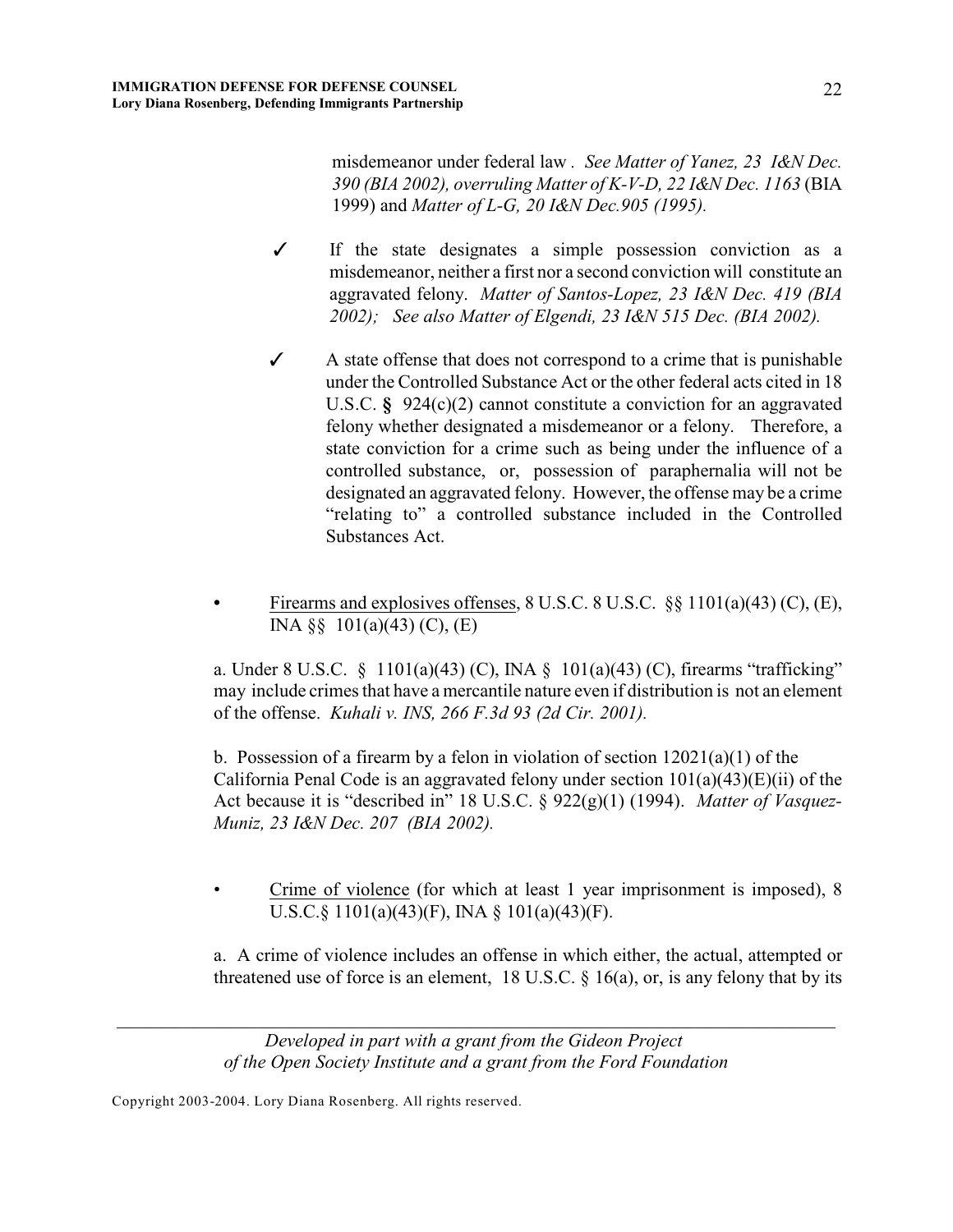misdemeanor under federal law *. See Matter of Yanez, 23 I&N Dec. 390 (BIA 2002), overruling Matter of K-V-D, 22 I&N Dec. 1163* (BIA 1999) and *Matter of L-G, 20 I&N Dec.905 (1995).*

- $\checkmark$  If the state designates a simple possession conviction as a misdemeanor, neither a first nor a second conviction will constitute an aggravated felony. *Matter of Santos-Lopez, 23 I&N Dec. 419 (BIA 2002); See also Matter of Elgendi, 23 I&N 515 Dec. (BIA 2002).*
- $\checkmark$  A state offense that does not correspond to a crime that is punishable under the Controlled Substance Act or the other federal acts cited in 18 U.S.C. **§** 924(c)(2) cannot constitute a conviction for an aggravated felony whether designated a misdemeanor or a felony. Therefore, a state conviction for a crime such as being under the influence of a controlled substance, or, possession of paraphernalia will not be designated an aggravated felony. However, the offense may be a crime "relating to" a controlled substance included in the Controlled Substances Act.
- **•** Firearms and explosives offenses, 8 U.S.C. 8 U.S.C. §§ 1101(a)(43) (C), (E), INA §§ 101(a)(43) (C), (E)

a. Under 8 U.S.C. § 1101(a)(43) (C), INA § 101(a)(43) (C), firearms "trafficking" may include crimes that have a mercantile nature even if distribution is not an element of the offense. *Kuhali v. INS, 266 F.3d 93 (2d Cir. 2001).*

b. Possession of a firearm by a felon in violation of section  $12021(a)(1)$  of the California Penal Code is an aggravated felony under section  $101(a)(43)(E)(ii)$  of the Act because it is "described in" 18 U.S.C. § 922(g)(1) (1994). *Matter of Vasquez-Muniz, 23 I&N Dec. 207 (BIA 2002).* 

• Crime of violence (for which at least 1 year imprisonment is imposed), 8 U.S.C.§ 1101(a)(43)(F), INA § 101(a)(43)(F).

a. A crime of violence includes an offense in which either, the actual, attempted or threatened use of force is an element, 18 U.S.C.  $\S$  16(a), or, is any felony that by its

*Developed in part with a grant from the Gideon Project of the Open Society Institute and a grant from the Ford Foundation*

*\_\_\_\_\_\_\_\_\_\_\_\_\_\_\_\_\_\_\_\_\_\_\_\_\_\_\_\_\_\_\_\_\_\_\_\_\_\_\_\_\_\_\_\_\_\_\_\_\_\_\_\_\_\_\_\_\_\_\_\_\_\_\_\_\_\_\_\_\_\_\_\_\_\_\_\_\_*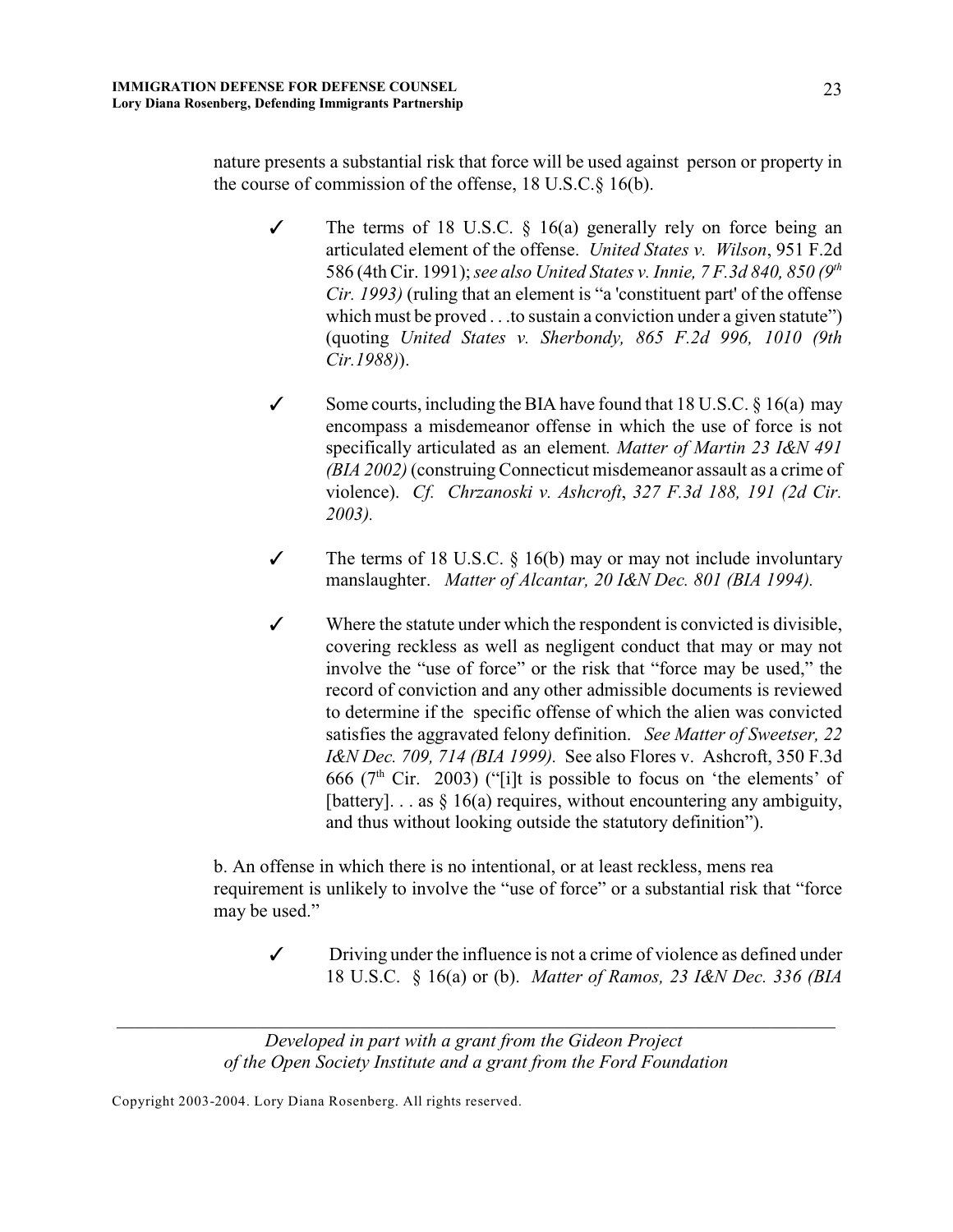nature presents a substantial risk that force will be used against person or property in the course of commission of the offense, 18 U.S.C.§ 16(b).

- $\checkmark$  The terms of 18 U.S.C. § 16(a) generally rely on force being an articulated element of the offense. *United States v. Wilson*, 951 F.2d 586 (4th Cir. 1991); *see also United States v. Innie, 7 F.3d 840, 850 (9th Cir. 1993)* (ruling that an element is "a 'constituent part' of the offense which must be proved . . .to sustain a conviction under a given statute") (quoting *United States v. Sherbondy, 865 F.2d 996, 1010 (9th Cir.1988)*).
- Some courts, including the BIA have found that 18 U.S.C.  $\S$  16(a) may encompass a misdemeanor offense in which the use of force is not specifically articulated as an element*. Matter of Martin 23 I&N 491 (BIA 2002)* (construing Connecticut misdemeanor assault as a crime of violence). *Cf. Chrzanoski v. Ashcroft*, *327 F.3d 188, 191 (2d Cir. 2003).*
- $\checkmark$  The terms of 18 U.S.C. § 16(b) may or may not include involuntary manslaughter. *Matter of Alcantar, 20 I&N Dec. 801 (BIA 1994).*
- $\checkmark$  Where the statute under which the respondent is convicted is divisible, covering reckless as well as negligent conduct that may or may not involve the "use of force" or the risk that "force may be used," the record of conviction and any other admissible documents is reviewed to determine if the specific offense of which the alien was convicted satisfies the aggravated felony definition. *See Matter of Sweetser, 22 I&N Dec. 709, 714 (BIA 1999).* See also Flores v. Ashcroft, 350 F.3d 666 ( $7<sup>th</sup>$  Cir. 2003) ("[i]t is possible to focus on 'the elements' of [battery]... as  $§$  16(a) requires, without encountering any ambiguity, and thus without looking outside the statutory definition").

b. An offense in which there is no intentional, or at least reckless, mens rea requirement is unlikely to involve the "use of force" or a substantial risk that "force may be used."

 $\checkmark$  Driving under the influence is not a crime of violence as defined under 18 U.S.C. § 16(a) or (b). *Matter of Ramos, 23 I&N Dec. 336 (BIA*

*Developed in part with a grant from the Gideon Project of the Open Society Institute and a grant from the Ford Foundation*

*\_\_\_\_\_\_\_\_\_\_\_\_\_\_\_\_\_\_\_\_\_\_\_\_\_\_\_\_\_\_\_\_\_\_\_\_\_\_\_\_\_\_\_\_\_\_\_\_\_\_\_\_\_\_\_\_\_\_\_\_\_\_\_\_\_\_\_\_\_\_\_\_\_\_\_\_\_*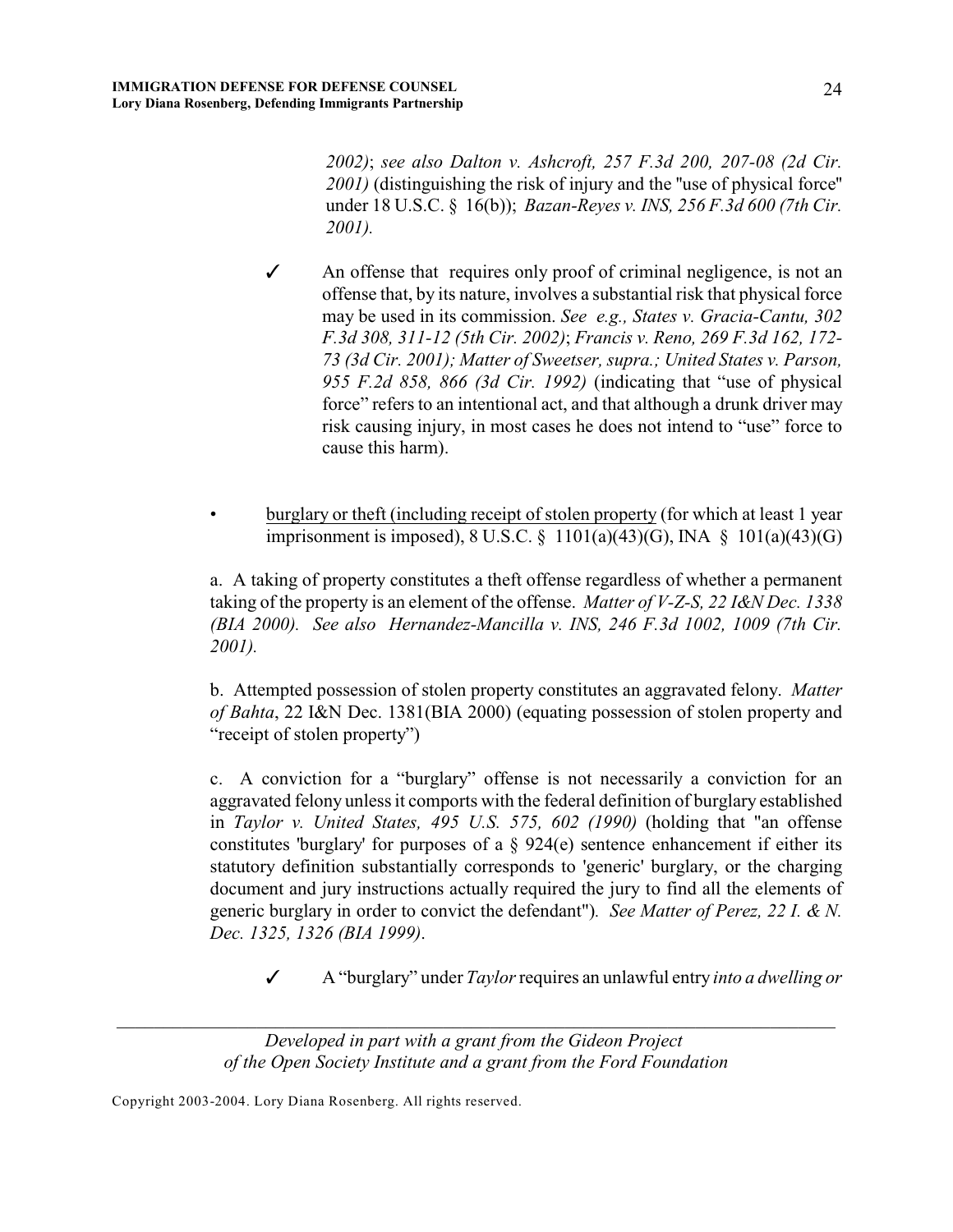*2002)*; *see also Dalton v. Ashcroft, 257 F.3d 200, 207-08 (2d Cir. 2001)* (distinguishing the risk of injury and the ''use of physical force'' under 18 U.S.C. § 16(b)); *Bazan-Reyes v. INS, 256 F.3d 600 (7th Cir. 2001).*

- $\checkmark$  An offense that requires only proof of criminal negligence, is not an offense that, by its nature, involves a substantial risk that physical force may be used in its commission. *See e.g., States v. Gracia-Cantu, 302 F.3d 308, 311-12 (5th Cir. 2002)*; *Francis v. Reno, 269 F.3d 162, 172- 73 (3d Cir. 2001); Matter of Sweetser, supra.; United States v. Parson, 955 F.2d 858, 866 (3d Cir. 1992)* (indicating that "use of physical force" refers to an intentional act, and that although a drunk driver may risk causing injury, in most cases he does not intend to "use" force to cause this harm).
- burglary or theft (including receipt of stolen property (for which at least 1 year imprisonment is imposed), 8 U.S.C. § 1101(a)(43)(G), INA § 101(a)(43)(G)

a. A taking of property constitutes a theft offense regardless of whether a permanent taking of the property is an element of the offense. *Matter of V-Z-S, 22 I&N Dec. 1338 (BIA 2000). See also Hernandez-Mancilla v. INS, 246 F.3d 1002, 1009 (7th Cir. 2001).* 

b. Attempted possession of stolen property constitutes an aggravated felony. *Matter of Bahta*, 22 I&N Dec. 1381(BIA 2000) (equating possession of stolen property and "receipt of stolen property")

c. A conviction for a "burglary" offense is not necessarily a conviction for an aggravated felony unless it comports with the federal definition of burglary established in *Taylor v. United States, 495 U.S. 575, 602 (1990)* (holding that "an offense constitutes 'burglary' for purposes of a  $\S$  924(e) sentence enhancement if either its statutory definition substantially corresponds to 'generic' burglary, or the charging document and jury instructions actually required the jury to find all the elements of generic burglary in order to convict the defendant")*.**See Matter of Perez, 22 I. & N. Dec. 1325, 1326 (BIA 1999)*.

T A "burglary" under *Taylor*requires an unlawful entry *into a dwelling or*

*Developed in part with a grant from the Gideon Project of the Open Society Institute and a grant from the Ford Foundation*

*\_\_\_\_\_\_\_\_\_\_\_\_\_\_\_\_\_\_\_\_\_\_\_\_\_\_\_\_\_\_\_\_\_\_\_\_\_\_\_\_\_\_\_\_\_\_\_\_\_\_\_\_\_\_\_\_\_\_\_\_\_\_\_\_\_\_\_\_\_\_\_\_\_\_\_\_\_*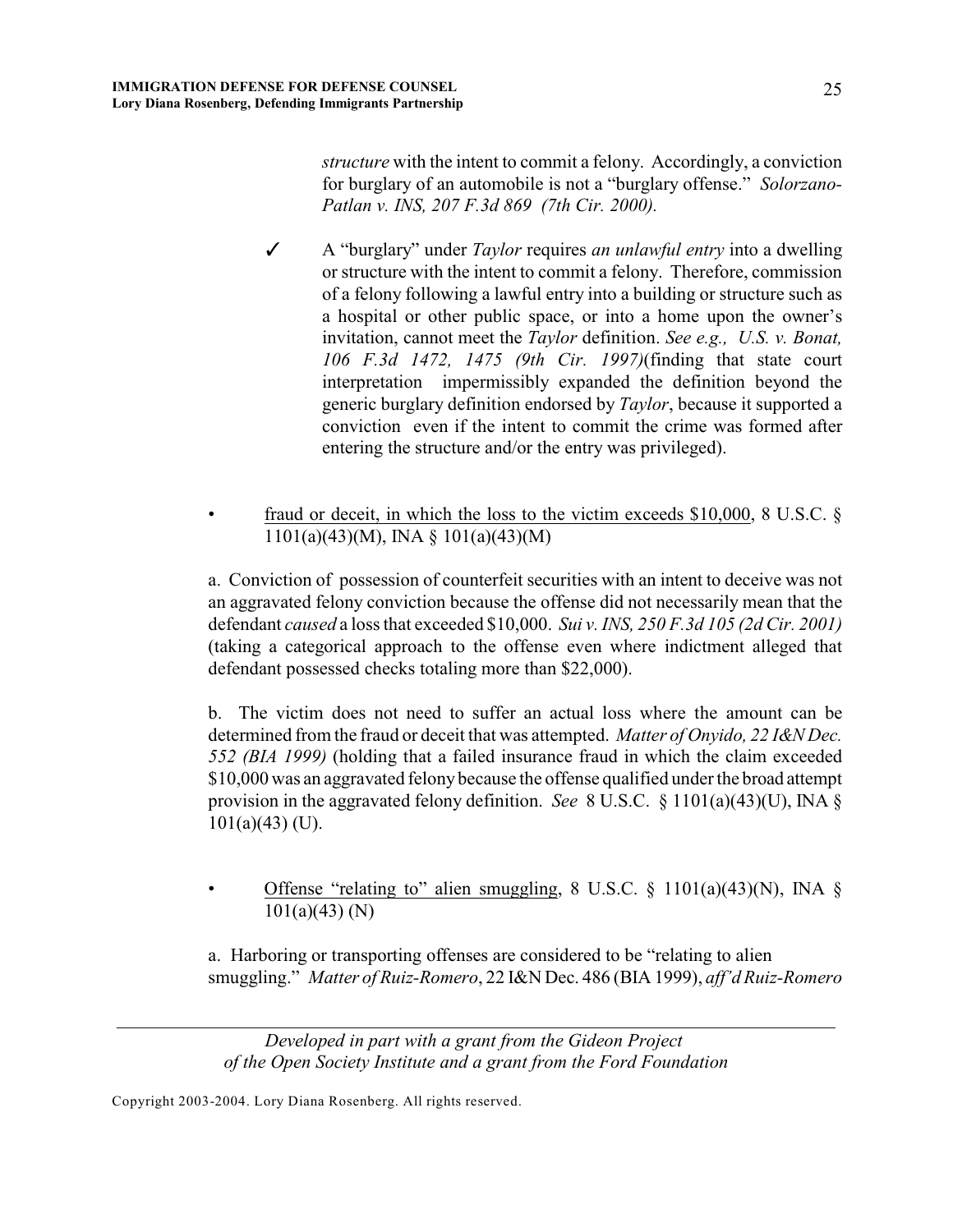*structure* with the intent to commit a felony. Accordingly, a conviction for burglary of an automobile is not a "burglary offense." *Solorzano-Patlan v. INS, 207 F.3d 869 (7th Cir. 2000).*

- *T* A "burglary" under *Taylor* requires *an unlawful entry* into a dwelling or structure with the intent to commit a felony. Therefore, commission of a felony following a lawful entry into a building or structure such as a hospital or other public space, or into a home upon the owner's invitation, cannot meet the *Taylor* definition. *See e.g., U.S. v. Bonat, 106 F.3d 1472, 1475 (9th Cir. 1997)*(finding that state court interpretation impermissibly expanded the definition beyond the generic burglary definition endorsed by *Taylor*, because it supported a conviction even if the intent to commit the crime was formed after entering the structure and/or the entry was privileged).
- fraud or deceit, in which the loss to the victim exceeds  $$10,000$ ,  $8$  U.S.C.  $§$ 1101(a)(43)(M), INA § 101(a)(43)(M)

a. Conviction of possession of counterfeit securities with an intent to deceive was not an aggravated felony conviction because the offense did not necessarily mean that the defendant *caused* a loss that exceeded \$10,000. *Sui v. INS, 250 F.3d 105 (2d Cir. 2001)* (taking a categorical approach to the offense even where indictment alleged that defendant possessed checks totaling more than \$22,000).

b. The victim does not need to suffer an actual loss where the amount can be determined from the fraud or deceit that was attempted. *Matter of Onyido, 22 I&N Dec. 552 (BIA 1999)* (holding that a failed insurance fraud in which the claim exceeded \$10,000 was an aggravated felony because the offense qualified under the broad attempt provision in the aggravated felony definition. *See* 8 U.S.C. § 1101(a)(43)(U), INA §  $101(a)(43)$  (U).

• Offense "relating to" alien smuggling,  $8 \text{ U.S.C. } \S 1101(a)(43)(\text{N})$ , INA  $\S$ 101(a)(43) (N)

a. Harboring or transporting offenses are considered to be "relating to alien smuggling." *Matter of Ruiz-Romero*, 22 I&N Dec. 486 (BIA 1999), *aff'd Ruiz-Romero*

*Developed in part with a grant from the Gideon Project of the Open Society Institute and a grant from the Ford Foundation*

*\_\_\_\_\_\_\_\_\_\_\_\_\_\_\_\_\_\_\_\_\_\_\_\_\_\_\_\_\_\_\_\_\_\_\_\_\_\_\_\_\_\_\_\_\_\_\_\_\_\_\_\_\_\_\_\_\_\_\_\_\_\_\_\_\_\_\_\_\_\_\_\_\_\_\_\_\_*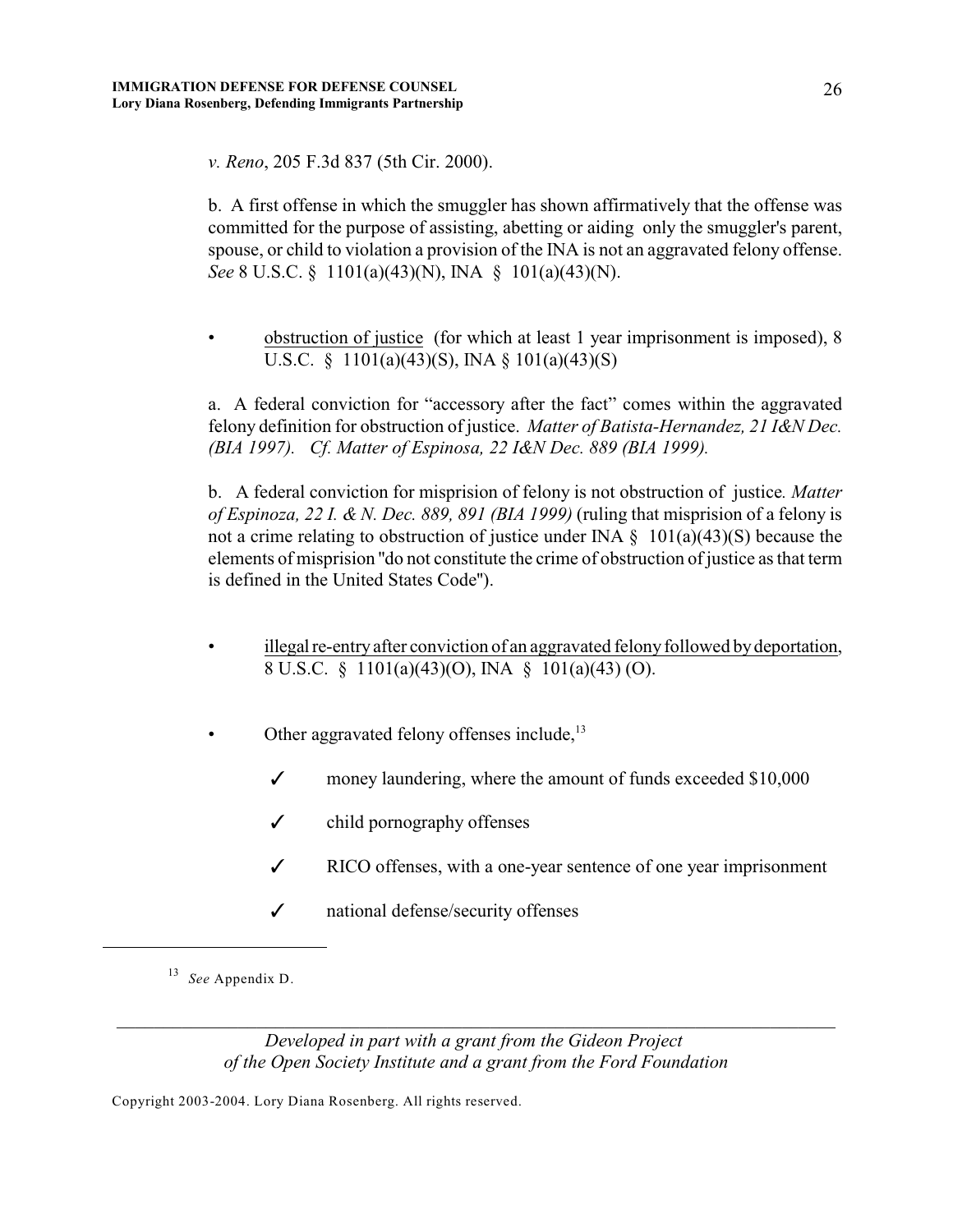*v. Reno*, 205 F.3d 837 (5th Cir. 2000).

b. A first offense in which the smuggler has shown affirmatively that the offense was committed for the purpose of assisting, abetting or aiding only the smuggler's parent, spouse, or child to violation a provision of the INA is not an aggravated felony offense. *See* 8 U.S.C. § 1101(a)(43)(N), INA § 101(a)(43)(N).

• obstruction of justice (for which at least 1 year imprisonment is imposed), 8 U.S.C. § 1101(a)(43)(S), INA § 101(a)(43)(S)

a. A federal conviction for "accessory after the fact" comes within the aggravated felony definition for obstruction of justice. *Matter of Batista-Hernandez, 21 I&N Dec. (BIA 1997). Cf. Matter of Espinosa, 22 I&N Dec. 889 (BIA 1999).* 

b.A federal conviction for misprision of felony is not obstruction of justice*. Matter of Espinoza, 22 I. & N. Dec. 889, 891 (BIA 1999)* (ruling that misprision of a felony is not a crime relating to obstruction of justice under INA  $\S$  101(a)(43)(S) because the elements of misprision ''do not constitute the crime of obstruction of justice as that term is defined in the United States Code'').

- illegal re-entry after conviction of an aggravated felony followed by deportation, 8 U.S.C. § 1101(a)(43)(O), INA § 101(a)(43) (O).
- Other aggravated felony offenses include,<sup>13</sup>
	- $\checkmark$  money laundering, where the amount of funds exceeded \$10,000
	- $\checkmark$  child pornography offenses
	- $\checkmark$  RICO offenses, with a one-year sentence of one year imprisonment
	- $\checkmark$  national defense/security offenses

<sup>13</sup> See Appendix D.

*Developed in part with a grant from the Gideon Project of the Open Society Institute and a grant from the Ford Foundation*

*\_\_\_\_\_\_\_\_\_\_\_\_\_\_\_\_\_\_\_\_\_\_\_\_\_\_\_\_\_\_\_\_\_\_\_\_\_\_\_\_\_\_\_\_\_\_\_\_\_\_\_\_\_\_\_\_\_\_\_\_\_\_\_\_\_\_\_\_\_\_\_\_\_\_\_\_\_*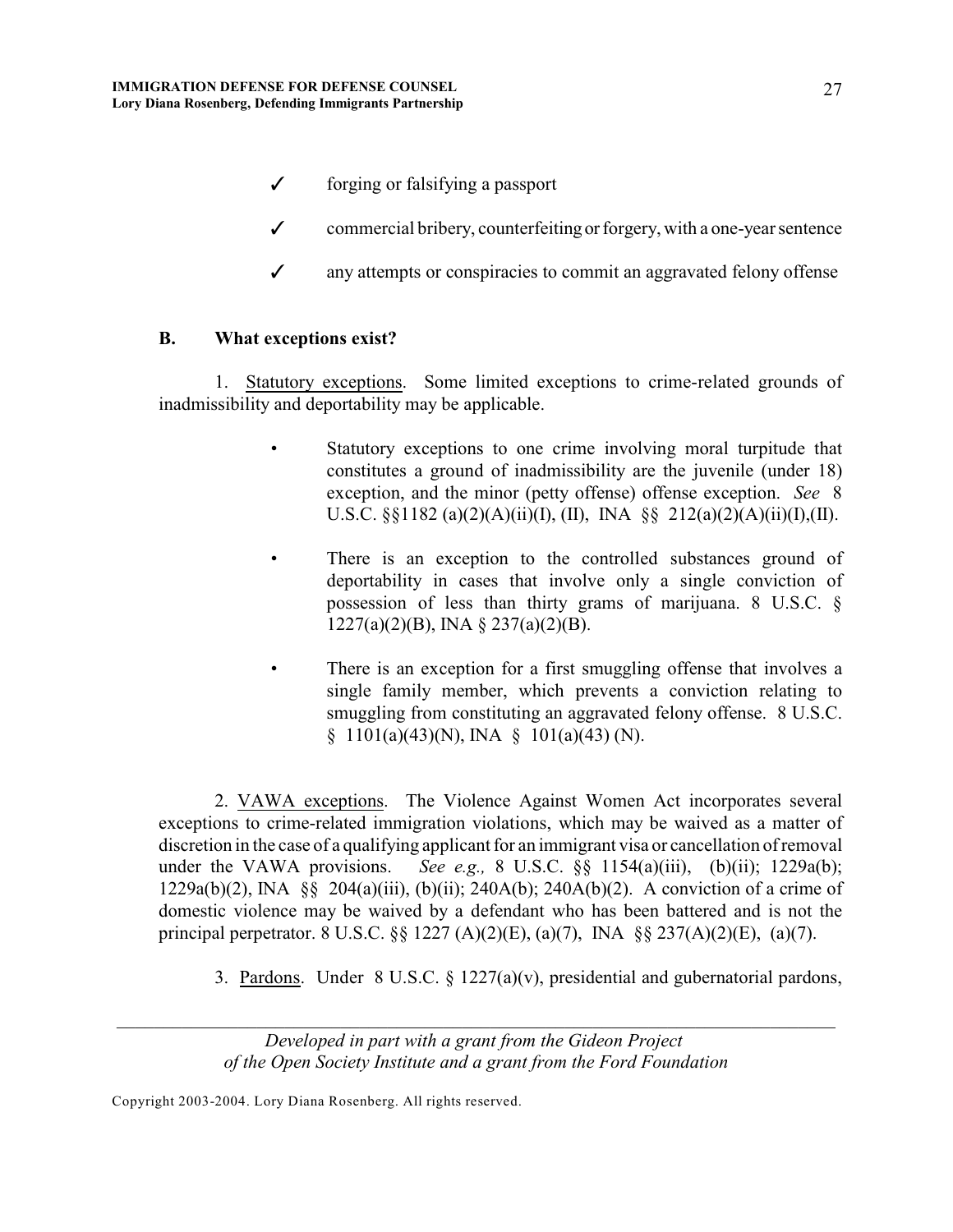- $\checkmark$  forging or falsifying a passport
- $\checkmark$  commercial bribery, counterfeiting or forgery, with a one-year sentence
- $\checkmark$  any attempts or conspiracies to commit an aggravated felony offense

## **B. What exceptions exist?**

1. Statutory exceptions. Some limited exceptions to crime-related grounds of inadmissibility and deportability may be applicable.

- Statutory exceptions to one crime involving moral turpitude that constitutes a ground of inadmissibility are the juvenile (under 18) exception, and the minor (petty offense) offense exception. *See* 8 U.S.C.  $\S$ [182 (a)(2)(A)(ii)(I), (II), INA  $\S$ [212(a)(2)(A)(ii)(I),(II).
- There is an exception to the controlled substances ground of deportability in cases that involve only a single conviction of possession of less than thirty grams of marijuana. 8 U.S.C. § 1227(a)(2)(B), INA § 237(a)(2)(B).
- There is an exception for a first smuggling offense that involves a single family member, which prevents a conviction relating to smuggling from constituting an aggravated felony offense. 8 U.S.C.  $§ 1101(a)(43)(N)$ , INA  $§ 101(a)(43)(N)$ .

2. VAWA exceptions. The Violence Against Women Act incorporates several exceptions to crime-related immigration violations, which may be waived as a matter of discretion in the case of a qualifying applicant for an immigrant visa or cancellation of removal under the VAWA provisions. *See e.g.,* 8 U.S.C. §§ 1154(a)(iii), (b)(ii); 1229a(b); 1229a(b)(2), INA §§ 204(a)(iii), (b)(ii); 240A(b); 240A(b)(2). A conviction of a crime of domestic violence may be waived by a defendant who has been battered and is not the principal perpetrator. 8 U.S.C. §§ 1227 (A)(2)(E), (a)(7), INA §§ 237(A)(2)(E), (a)(7).

3. Pardons. Under 8 U.S.C. § 1227(a)(v), presidential and gubernatorial pardons,

*\_\_\_\_\_\_\_\_\_\_\_\_\_\_\_\_\_\_\_\_\_\_\_\_\_\_\_\_\_\_\_\_\_\_\_\_\_\_\_\_\_\_\_\_\_\_\_\_\_\_\_\_\_\_\_\_\_\_\_\_\_\_\_\_\_\_\_\_\_\_\_\_\_\_\_\_\_*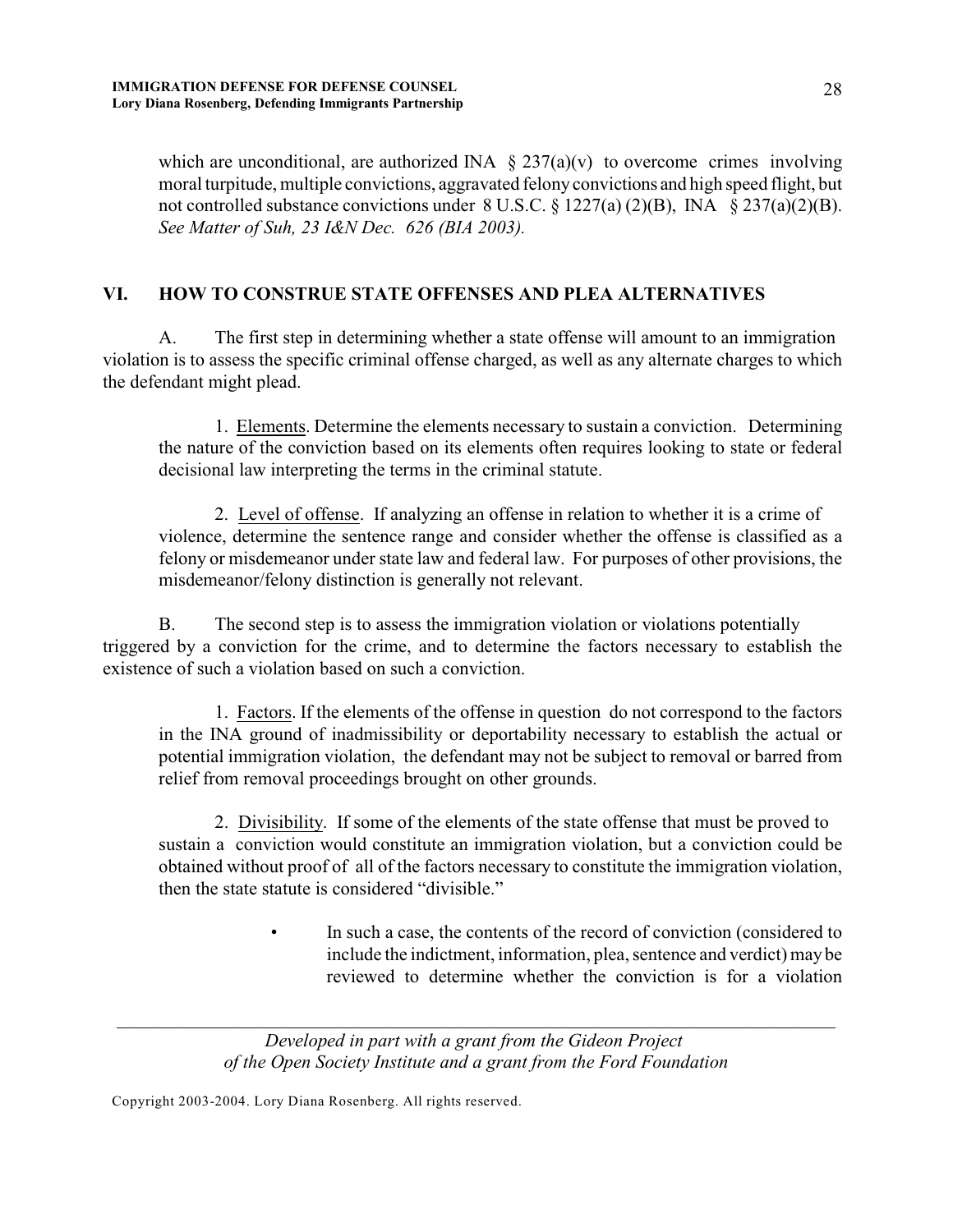which are unconditional, are authorized INA  $\S 237(a)(v)$  to overcome crimes involving moral turpitude, multiple convictions, aggravated felony convictions and high speed flight, but not controlled substance convictions under  $8 \text{ U.S.C.} \$ § 1227(a) (2)(B), INA  $\frac{8}{9}$  237(a)(2)(B). *See Matter of Suh, 23 I&N Dec. 626 (BIA 2003).*

## **VI. HOW TO CONSTRUE STATE OFFENSES AND PLEA ALTERNATIVES**

A. The first step in determining whether a state offense will amount to an immigration violation is to assess the specific criminal offense charged, as well as any alternate charges to which the defendant might plead.

1. Elements. Determine the elements necessary to sustain a conviction. Determining the nature of the conviction based on its elements often requires looking to state or federal decisional law interpreting the terms in the criminal statute.

2. Level of offense. If analyzing an offense in relation to whether it is a crime of violence, determine the sentence range and consider whether the offense is classified as a felony or misdemeanor under state law and federal law. For purposes of other provisions, the misdemeanor/felony distinction is generally not relevant.

B. The second step is to assess the immigration violation or violations potentially triggered by a conviction for the crime, and to determine the factors necessary to establish the existence of such a violation based on such a conviction.

1. Factors. If the elements of the offense in question do not correspond to the factors in the INA ground of inadmissibility or deportability necessary to establish the actual or potential immigration violation, the defendant may not be subject to removal or barred from relief from removal proceedings brought on other grounds.

2. Divisibility. If some of the elements of the state offense that must be proved to sustain a conviction would constitute an immigration violation, but a conviction could be obtained without proof of all of the factors necessary to constitute the immigration violation, then the state statute is considered "divisible."

> • In such a case, the contents of the record of conviction (considered to include the indictment, information, plea, sentence and verdict) may be reviewed to determine whether the conviction is for a violation

*Developed in part with a grant from the Gideon Project of the Open Society Institute and a grant from the Ford Foundation*

*\_\_\_\_\_\_\_\_\_\_\_\_\_\_\_\_\_\_\_\_\_\_\_\_\_\_\_\_\_\_\_\_\_\_\_\_\_\_\_\_\_\_\_\_\_\_\_\_\_\_\_\_\_\_\_\_\_\_\_\_\_\_\_\_\_\_\_\_\_\_\_\_\_\_\_\_\_*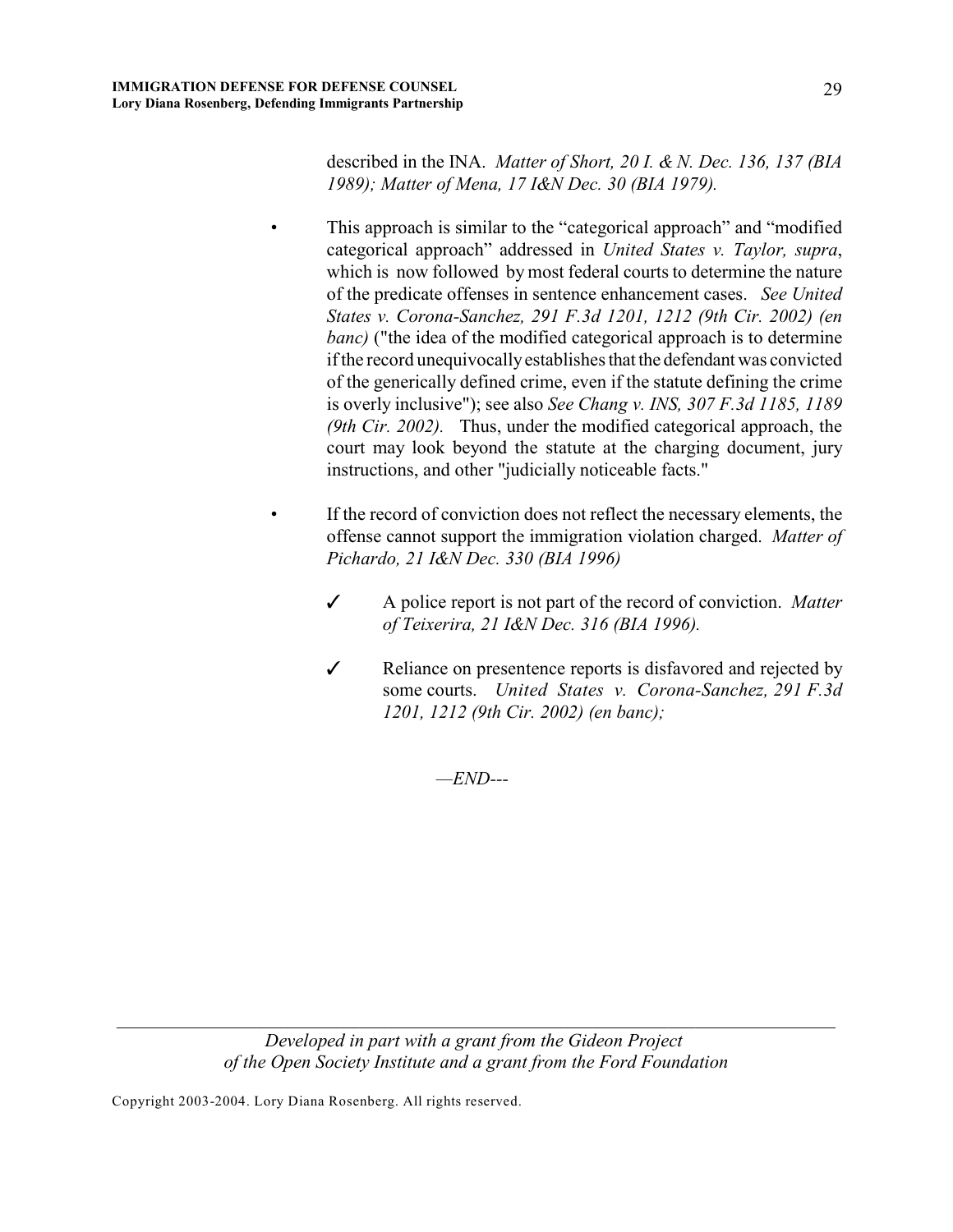described in the INA. *Matter of Short, 20 I. & N. Dec. 136, 137 (BIA 1989); Matter of Mena, 17 I&N Dec. 30 (BIA 1979).* 

This approach is similar to the "categorical approach" and "modified categorical approach" addressed in *United States v. Taylor, supra*, which is now followed by most federal courts to determine the nature of the predicate offenses in sentence enhancement cases. *See United States v. Corona-Sanchez, 291 F.3d 1201, 1212 (9th Cir. 2002) (en banc*) ("the idea of the modified categorical approach is to determine if the record unequivocally establishes that the defendant was convicted of the generically defined crime, even if the statute defining the crime is overly inclusive"); see also *See Chang v. INS, 307 F.3d 1185, 1189 (9th Cir. 2002).* Thus, under the modified categorical approach, the court may look beyond the statute at the charging document, jury instructions, and other "judicially noticeable facts."

- If the record of conviction does not reflect the necessary elements, the offense cannot support the immigration violation charged. *Matter of Pichardo, 21 I&N Dec. 330 (BIA 1996)* 
	- T A police report is not part of the record of conviction. *Matter of Teixerira, 21 I&N Dec. 316 (BIA 1996).*
	- *T* Reliance on presentence reports is disfavored and rejected by some courts. *United States v. Corona-Sanchez, 291 F.3d 1201, 1212 (9th Cir. 2002) (en banc);*

*—END---*

*Developed in part with a grant from the Gideon Project of the Open Society Institute and a grant from the Ford Foundation*

*\_\_\_\_\_\_\_\_\_\_\_\_\_\_\_\_\_\_\_\_\_\_\_\_\_\_\_\_\_\_\_\_\_\_\_\_\_\_\_\_\_\_\_\_\_\_\_\_\_\_\_\_\_\_\_\_\_\_\_\_\_\_\_\_\_\_\_\_\_\_\_\_\_\_\_\_\_*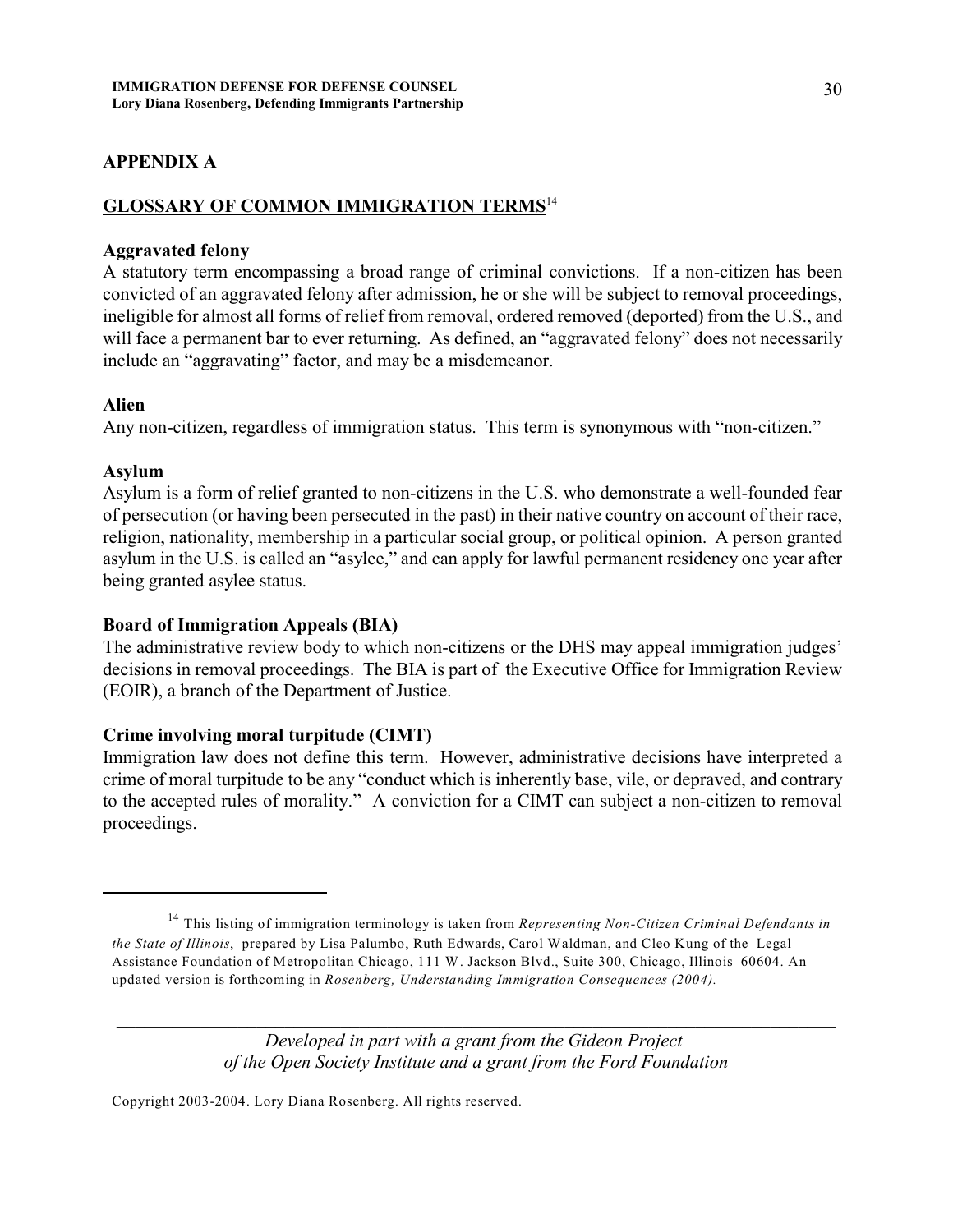# **APPENDIX A**

#### **GLOSSARY OF COMMON IMMIGRATION TERMS**<sup>14</sup>

#### **Aggravated felony**

A statutory term encompassing a broad range of criminal convictions. If a non-citizen has been convicted of an aggravated felony after admission, he or she will be subject to removal proceedings, ineligible for almost all forms of relief from removal, ordered removed (deported) from the U.S., and will face a permanent bar to ever returning. As defined, an "aggravated felony" does not necessarily include an "aggravating" factor, and may be a misdemeanor.

#### **Alien**

Any non-citizen, regardless of immigration status.This term is synonymous with "non-citizen."

#### **Asylum**

Asylum is a form of relief granted to non-citizens in the U.S. who demonstrate a well-founded fear of persecution (or having been persecuted in the past) in their native country on account of their race, religion, nationality, membership in a particular social group, or political opinion. A person granted asylum in the U.S. is called an "asylee," and can apply for lawful permanent residency one year after being granted asylee status.

#### **Board of Immigration Appeals (BIA)**

The administrative review body to which non-citizens or the DHS may appeal immigration judges' decisions in removal proceedings. The BIA is part of the Executive Office for Immigration Review (EOIR), a branch of the Department of Justice.

#### **Crime involving moral turpitude (CIMT)**

Immigration law does not define this term. However, administrative decisions have interpreted a crime of moral turpitude to be any "conduct which is inherently base, vile, or depraved, and contrary to the accepted rules of morality." A conviction for a CIMT can subject a non-citizen to removal proceedings.

*Developed in part with a grant from the Gideon Project of the Open Society Institute and a grant from the Ford Foundation*

*\_\_\_\_\_\_\_\_\_\_\_\_\_\_\_\_\_\_\_\_\_\_\_\_\_\_\_\_\_\_\_\_\_\_\_\_\_\_\_\_\_\_\_\_\_\_\_\_\_\_\_\_\_\_\_\_\_\_\_\_\_\_\_\_\_\_\_\_\_\_\_\_\_\_\_\_\_*

<sup>&</sup>lt;sup>14</sup> This listing of immigration terminology is taken from *Representing Non-Citizen Criminal Defendants in the State of Illinois*, prepared by Lisa Palumbo, Ruth Edwards, Carol Waldman, and Cleo Kung of the Legal Assistance Foundation of Metropolitan Chicago, 111 W. Jackson Blvd., Suite 300, Chicago, Illinois 60604. An updated version is forthcoming in *Rosenberg, Understanding Immigration Consequences (2004).*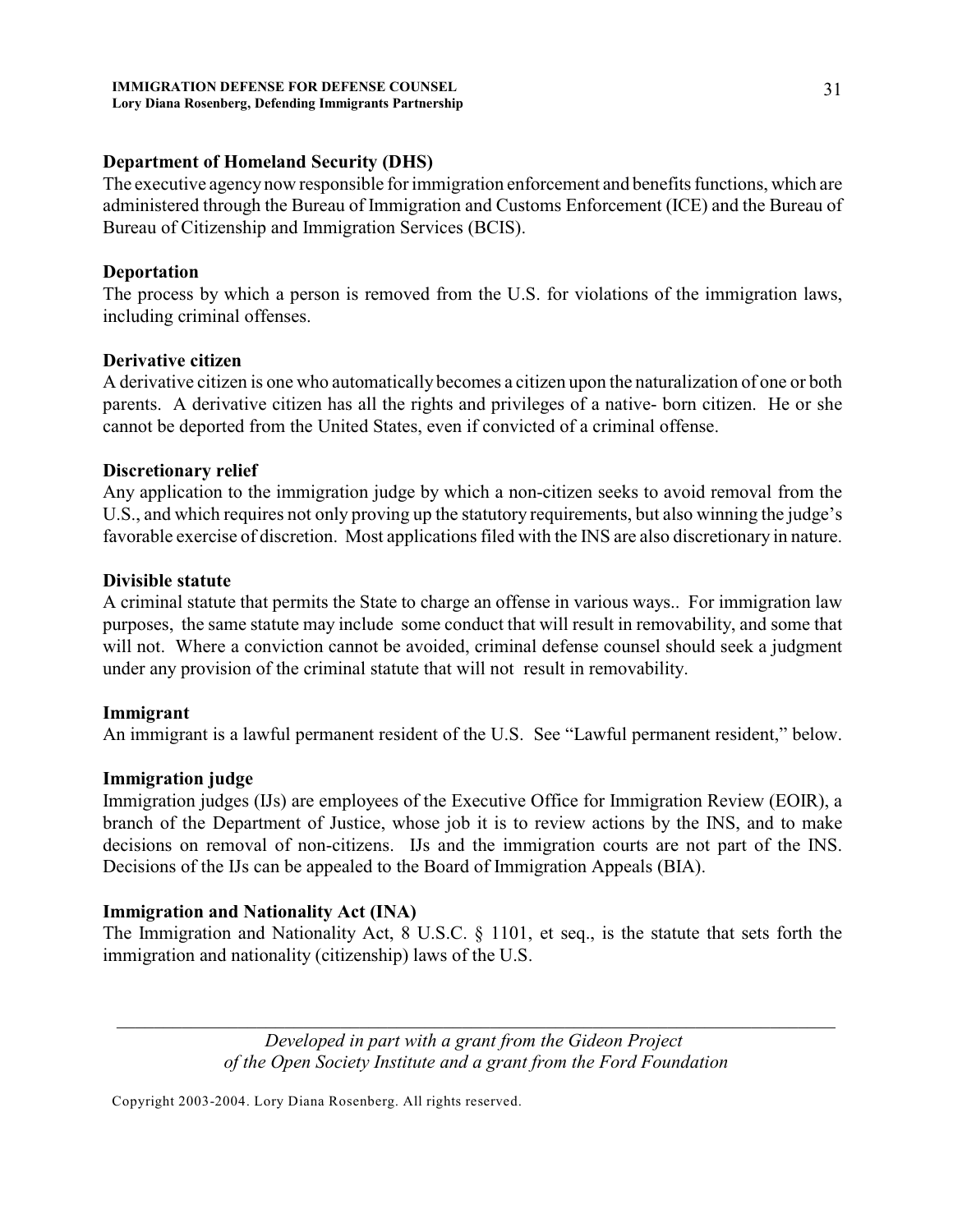## **Department of Homeland Security (DHS)**

The executive agency now responsible for immigration enforcement and benefits functions, which are administered through the Bureau of Immigration and Customs Enforcement (ICE) and the Bureau of Bureau of Citizenship and Immigration Services (BCIS).

## **Deportation**

The process by which a person is removed from the U.S. for violations of the immigration laws, including criminal offenses.

## **Derivative citizen**

A derivative citizen is one who automatically becomes a citizen upon the naturalization of one or both parents. A derivative citizen has all the rights and privileges of a native- born citizen. He or she cannot be deported from the United States, even if convicted of a criminal offense.

## **Discretionary relief**

Any application to the immigration judge by which a non-citizen seeks to avoid removal from the U.S., and which requires not only proving up the statutory requirements, but also winning the judge's favorable exercise of discretion. Most applications filed with the INS are also discretionary in nature.

## **Divisible statute**

A criminal statute that permits the State to charge an offense in various ways.. For immigration law purposes, the same statute may include some conduct that will result in removability, and some that will not. Where a conviction cannot be avoided, criminal defense counsel should seek a judgment under any provision of the criminal statute that will not result in removability.

# **Immigrant**

An immigrant is a lawful permanent resident of the U.S. See "Lawful permanent resident," below.

# **Immigration judge**

Immigration judges (IJs) are employees of the Executive Office for Immigration Review (EOIR), a branch of the Department of Justice, whose job it is to review actions by the INS, and to make decisions on removal of non-citizens. IJs and the immigration courts are not part of the INS. Decisions of the IJs can be appealed to the Board of Immigration Appeals (BIA).

# **Immigration and Nationality Act (INA)**

The Immigration and Nationality Act, 8 U.S.C. § 1101, et seq., is the statute that sets forth the immigration and nationality (citizenship) laws of the U.S.

> *Developed in part with a grant from the Gideon Project of the Open Society Institute and a grant from the Ford Foundation*

*\_\_\_\_\_\_\_\_\_\_\_\_\_\_\_\_\_\_\_\_\_\_\_\_\_\_\_\_\_\_\_\_\_\_\_\_\_\_\_\_\_\_\_\_\_\_\_\_\_\_\_\_\_\_\_\_\_\_\_\_\_\_\_\_\_\_\_\_\_\_\_\_\_\_\_\_\_*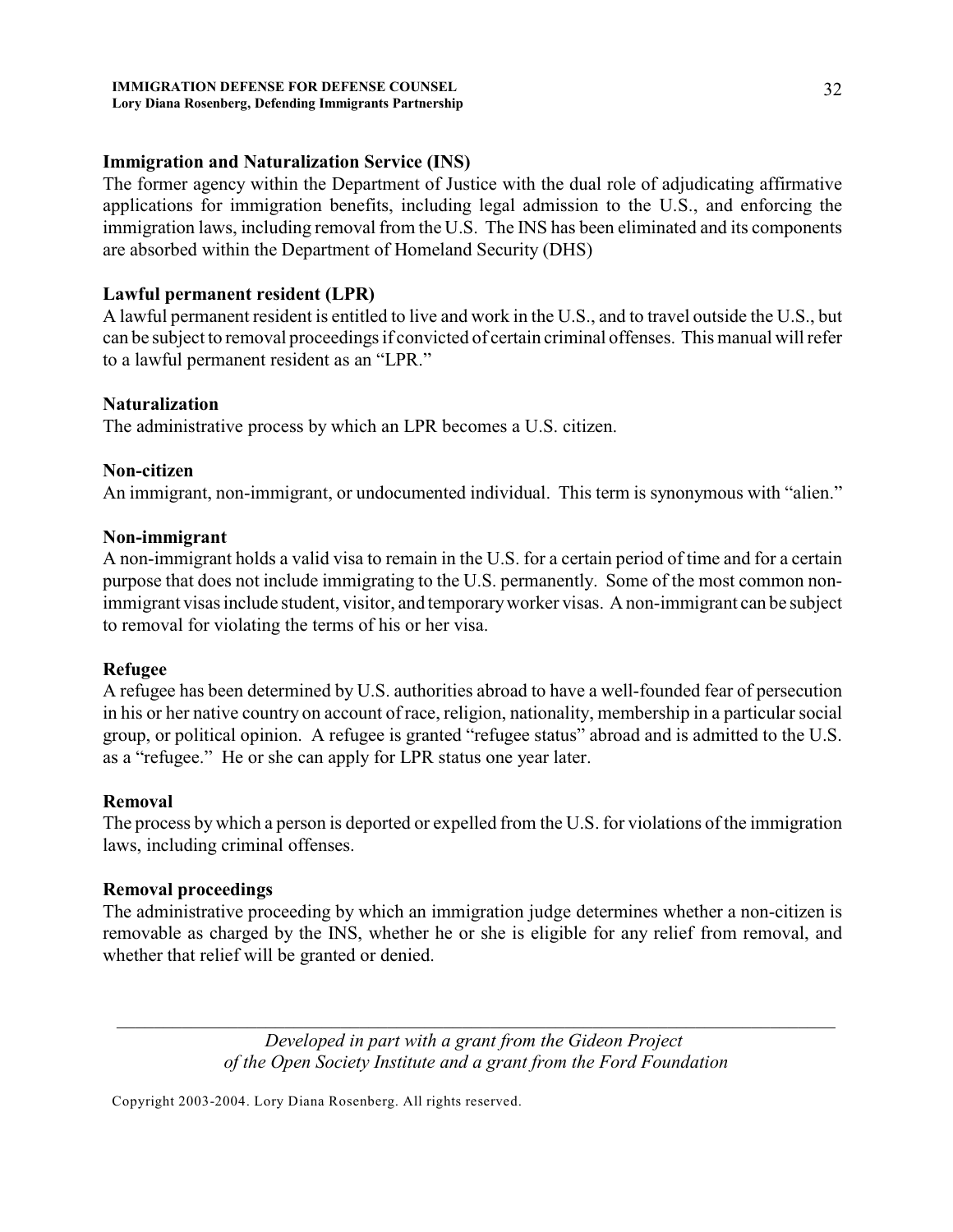#### **IMMIGRATION DEFENSE FOR DEFENSE COUNSEL Lory Diana Rosenberg, Defending Immigrants Partnership**

## **Immigration and Naturalization Service (INS)**

The former agency within the Department of Justice with the dual role of adjudicating affirmative applications for immigration benefits, including legal admission to the U.S., and enforcing the immigration laws, including removal from the U.S. The INS has been eliminated and its components are absorbed within the Department of Homeland Security (DHS)

## **Lawful permanent resident (LPR)**

A lawful permanent resident is entitled to live and work in the U.S., and to travel outside the U.S., but can be subject to removal proceedings if convicted of certain criminal offenses. This manual will refer to a lawful permanent resident as an "LPR."

#### **Naturalization**

The administrative process by which an LPR becomes a U.S. citizen.

## **Non-citizen**

An immigrant, non-immigrant, or undocumented individual.This term is synonymous with "alien."

## **Non-immigrant**

A non-immigrant holds a valid visa to remain in the U.S. for a certain period of time and for a certain purpose that does not include immigrating to the U.S. permanently. Some of the most common nonimmigrant visas include student, visitor, and temporary worker visas.A non-immigrant can be subject to removal for violating the terms of his or her visa.

#### **Refugee**

A refugee has been determined by U.S. authorities abroad to have a well-founded fear of persecution in his or her native country on account of race, religion, nationality, membership in a particular social group, or political opinion. A refugee is granted "refugee status" abroad and is admitted to the U.S. as a "refugee." He or she can apply for LPR status one year later.

#### **Removal**

The process by which a person is deported or expelled from the U.S. for violations of the immigration laws, including criminal offenses.

# **Removal proceedings**

The administrative proceeding by which an immigration judge determines whether a non-citizen is removable as charged by the INS, whether he or she is eligible for any relief from removal, and whether that relief will be granted or denied.

> *Developed in part with a grant from the Gideon Project of the Open Society Institute and a grant from the Ford Foundation*

*\_\_\_\_\_\_\_\_\_\_\_\_\_\_\_\_\_\_\_\_\_\_\_\_\_\_\_\_\_\_\_\_\_\_\_\_\_\_\_\_\_\_\_\_\_\_\_\_\_\_\_\_\_\_\_\_\_\_\_\_\_\_\_\_\_\_\_\_\_\_\_\_\_\_\_\_\_*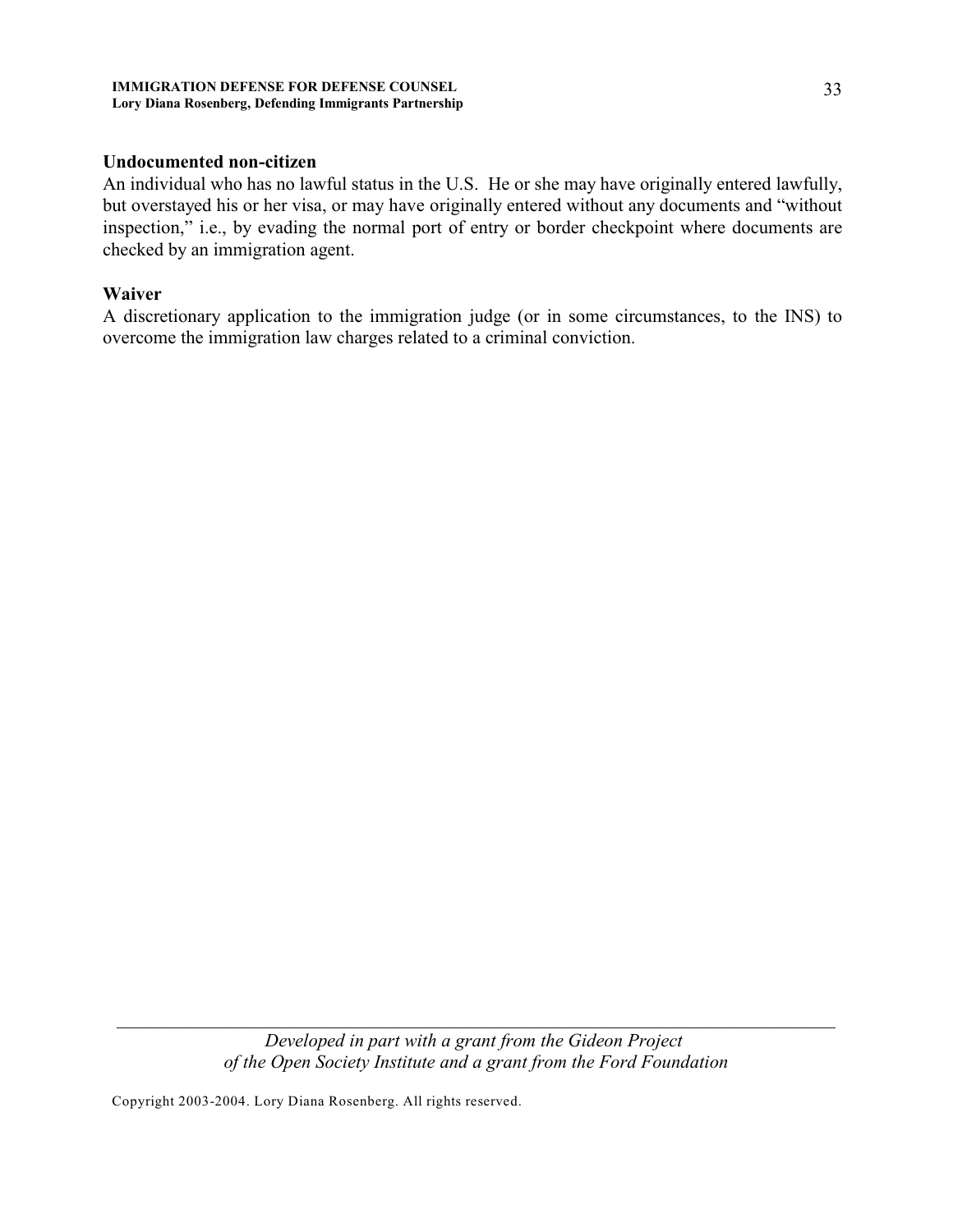#### **IMMIGRATION DEFENSE FOR DEFENSE COUNSEL Lory Diana Rosenberg, Defending Immigrants Partnership**

## **Undocumented non-citizen**

An individual who has no lawful status in the U.S. He or she may have originally entered lawfully, but overstayed his or her visa, or may have originally entered without any documents and "without inspection," i.e., by evading the normal port of entry or border checkpoint where documents are checked by an immigration agent.

#### **Waiver**

A discretionary application to the immigration judge (or in some circumstances, to the INS) to overcome the immigration law charges related to a criminal conviction.

> *Developed in part with a grant from the Gideon Project of the Open Society Institute and a grant from the Ford Foundation*

*\_\_\_\_\_\_\_\_\_\_\_\_\_\_\_\_\_\_\_\_\_\_\_\_\_\_\_\_\_\_\_\_\_\_\_\_\_\_\_\_\_\_\_\_\_\_\_\_\_\_\_\_\_\_\_\_\_\_\_\_\_\_\_\_\_\_\_\_\_\_\_\_\_\_\_\_\_*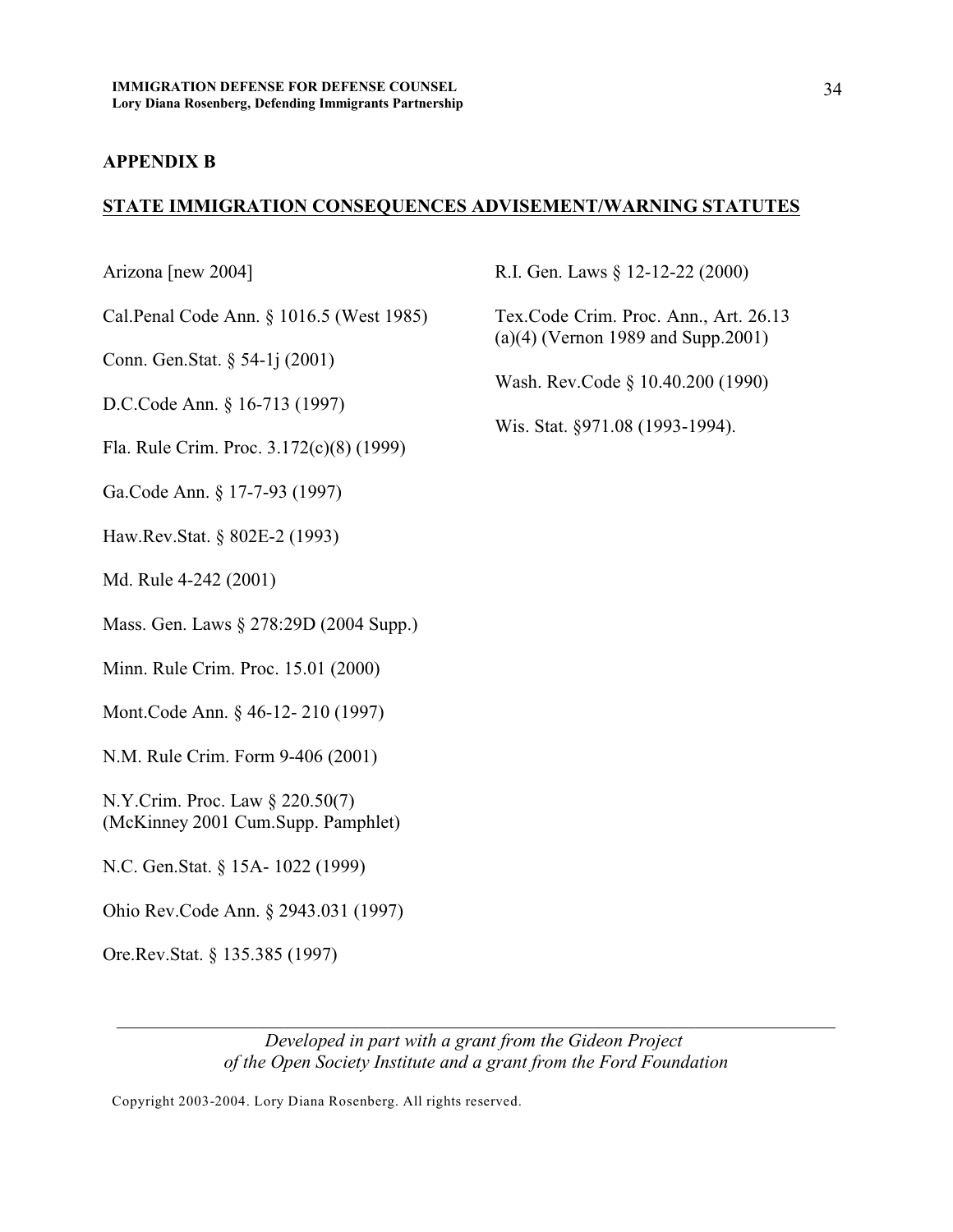#### **APPENDIX B**

#### **STATE IMMIGRATION CONSEQUENCES ADVISEMENT/WARNING STATUTES**

Arizona [new 2004]

Cal.Penal Code Ann. § 1016.5 (West 1985)

Conn. Gen.Stat. § 54-1j (2001)

D.C.Code Ann. § 16-713 (1997)

Fla. Rule Crim. Proc. 3.172(c)(8) (1999)

Ga.Code Ann. § 17-7-93 (1997)

Haw.Rev.Stat. § 802E-2 (1993)

Md. Rule 4-242 (2001)

Mass. Gen. Laws § 278:29D (2004 Supp.)

Minn. Rule Crim. Proc. 15.01 (2000)

Mont.Code Ann. § 46-12- 210 (1997)

N.M. Rule Crim. Form 9-406 (2001)

N.Y.Crim. Proc. Law § 220.50(7) (McKinney 2001 Cum.Supp. Pamphlet)

- N.C. Gen.Stat. § 15A- 1022 (1999)
- Ohio Rev.Code Ann. § 2943.031 (1997)

Ore.Rev.Stat. § 135.385 (1997)

R.I. Gen. Laws § 12-12-22 (2000)

Tex.Code Crim. Proc. Ann., Art. 26.13 (a)(4) (Vernon 1989 and Supp.2001)

Wash. Rev.Code § 10.40.200 (1990)

Wis. Stat. §971.08 (1993-1994).

*Developed in part with a grant from the Gideon Project of the Open Society Institute and a grant from the Ford Foundation*

*\_\_\_\_\_\_\_\_\_\_\_\_\_\_\_\_\_\_\_\_\_\_\_\_\_\_\_\_\_\_\_\_\_\_\_\_\_\_\_\_\_\_\_\_\_\_\_\_\_\_\_\_\_\_\_\_\_\_\_\_\_\_\_\_\_\_\_\_\_\_\_\_\_\_\_\_\_*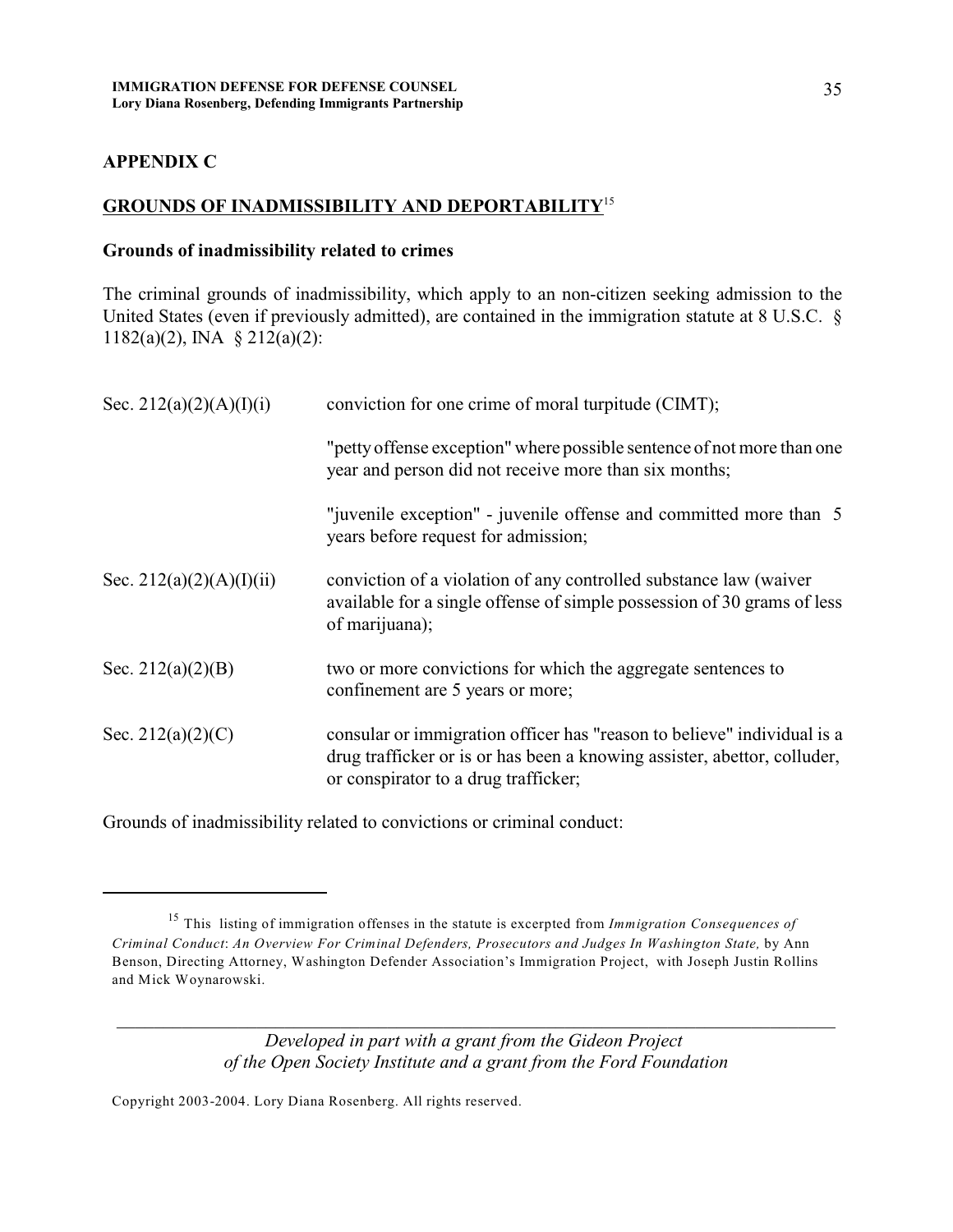## **APPENDIX C**

#### **GROUNDS OF INADMISSIBILITY AND DEPORTABILITY**<sup>15</sup>

#### **Grounds of inadmissibility related to crimes**

The criminal grounds of inadmissibility, which apply to an non-citizen seeking admission to the United States (even if previously admitted), are contained in the immigration statute at 8 U.S.C. § 1182(a)(2), INA § 212(a)(2):

| Sec. 212(a)(2)(A)(I)(i)  | conviction for one crime of moral turpitude (CIMT);                                                                                                                                         |
|--------------------------|---------------------------------------------------------------------------------------------------------------------------------------------------------------------------------------------|
|                          | "petty offense exception" where possible sentence of not more than one<br>year and person did not receive more than six months;                                                             |
|                          | "juvenile exception" - juvenile offense and committed more than 5<br>years before request for admission;                                                                                    |
| Sec. 212(a)(2)(A)(I)(ii) | conviction of a violation of any controlled substance law (waiver<br>available for a single offense of simple possession of 30 grams of less<br>of marijuana);                              |
| Sec. $212(a)(2)(B)$      | two or more convictions for which the aggregate sentences to<br>confinement are 5 years or more;                                                                                            |
| Sec. 212(a)(2)(C)        | consular or immigration officer has "reason to believe" individual is a<br>drug trafficker or is or has been a knowing assister, abettor, colluder,<br>or conspirator to a drug trafficker; |

Grounds of inadmissibility related to convictions or criminal conduct:

*Developed in part with a grant from the Gideon Project of the Open Society Institute and a grant from the Ford Foundation*

*\_\_\_\_\_\_\_\_\_\_\_\_\_\_\_\_\_\_\_\_\_\_\_\_\_\_\_\_\_\_\_\_\_\_\_\_\_\_\_\_\_\_\_\_\_\_\_\_\_\_\_\_\_\_\_\_\_\_\_\_\_\_\_\_\_\_\_\_\_\_\_\_\_\_\_\_\_*

<sup>&</sup>lt;sup>15</sup> This listing of immigration offenses in the statute is excerpted from *Immigration Consequences of Criminal Conduct*: *An Overview For Criminal Defenders, Prosecutors and Judges In Washington State,* by Ann Benson, Directing Attorney, Washington Defender Association's Immigration Project, with Joseph Justin Rollins and Mick Woynarowski.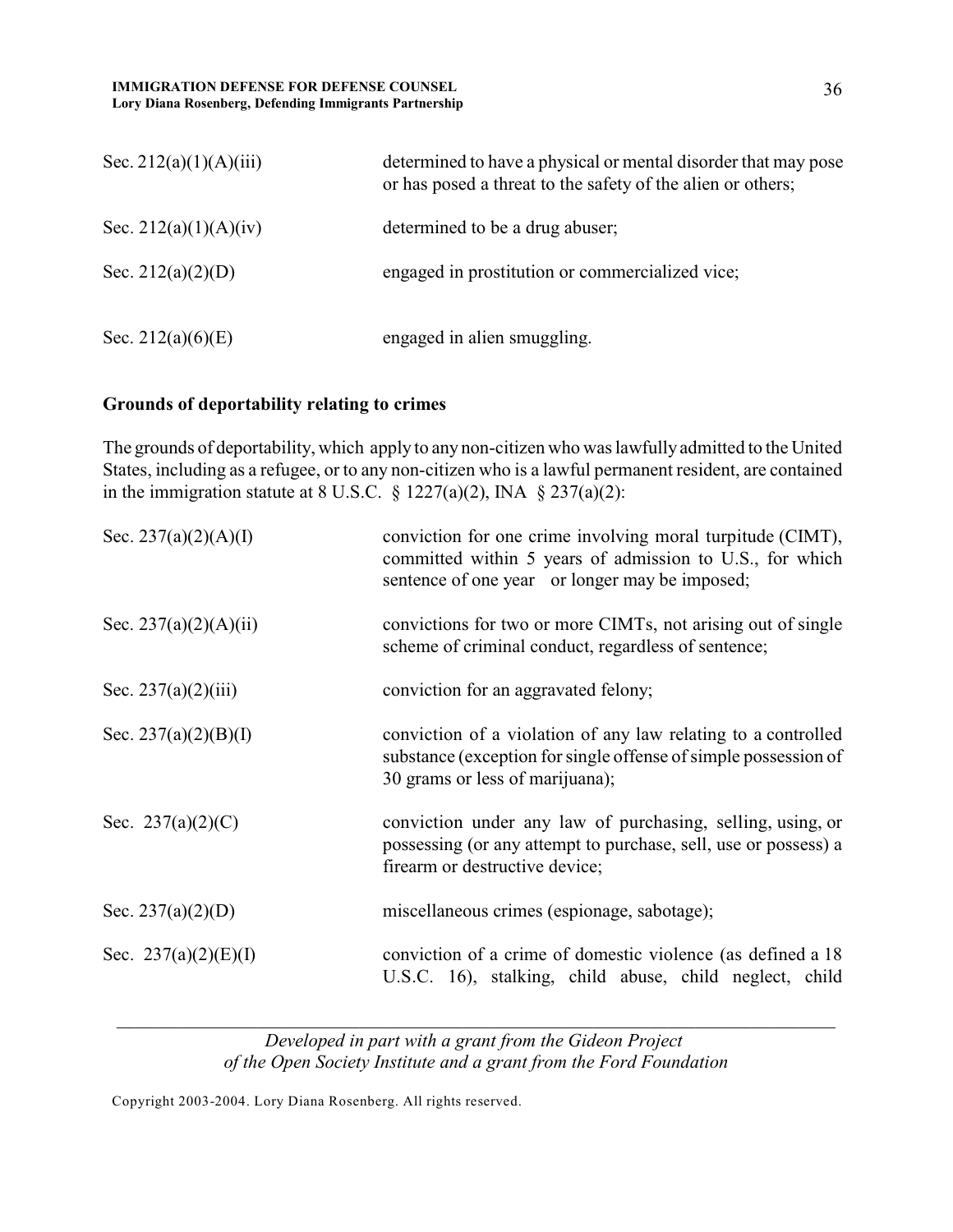#### **IMMIGRATION DEFENSE FOR DEFENSE COUNSEL Lory Diana Rosenberg, Defending Immigrants Partnership**

| Sec. 212(a)(1)(A)(iii) | determined to have a physical or mental disorder that may pose<br>or has posed a threat to the safety of the alien or others; |
|------------------------|-------------------------------------------------------------------------------------------------------------------------------|
| Sec. 212(a)(1)(A)(iv)  | determined to be a drug abuser;                                                                                               |
| Sec. $212(a)(2)(D)$    | engaged in prostitution or commercialized vice;                                                                               |
| Sec. 212(a) $(6)(E)$   | engaged in alien smuggling.                                                                                                   |

# **Grounds of deportability relating to crimes**

The grounds of deportability, which apply to any non-citizen who was lawfully admitted to the United States, including as a refugee, or to any non-citizen who is a lawful permanent resident, are contained in the immigration statute at 8 U.S.C. § 1227(a)(2), INA § 237(a)(2):

| Sec. 237(a)(2)(A)(I)  | conviction for one crime involving moral turpitude (CIMT),<br>committed within 5 years of admission to U.S., for which<br>sentence of one year or longer may be imposed; |
|-----------------------|--------------------------------------------------------------------------------------------------------------------------------------------------------------------------|
| Sec. 237(a)(2)(A)(ii) | convictions for two or more CIMTs, not arising out of single<br>scheme of criminal conduct, regardless of sentence;                                                      |
| Sec. $237(a)(2)(iii)$ | conviction for an aggravated felony;                                                                                                                                     |
| Sec. 237(a)(2)(B)(I)  | conviction of a violation of any law relating to a controlled<br>substance (exception for single offense of simple possession of<br>30 grams or less of marijuana);      |
| Sec. $237(a)(2)(C)$   | conviction under any law of purchasing, selling, using, or<br>possessing (or any attempt to purchase, sell, use or possess) a<br>firearm or destructive device;          |
| Sec. $237(a)(2)(D)$   | miscellaneous crimes (espionage, sabotage);                                                                                                                              |
| Sec. 237(a)(2)(E)(I)  | conviction of a crime of domestic violence (as defined a 18)<br>U.S.C. 16), stalking, child abuse, child neglect, child                                                  |

*Developed in part with a grant from the Gideon Project of the Open Society Institute and a grant from the Ford Foundation*

*\_\_\_\_\_\_\_\_\_\_\_\_\_\_\_\_\_\_\_\_\_\_\_\_\_\_\_\_\_\_\_\_\_\_\_\_\_\_\_\_\_\_\_\_\_\_\_\_\_\_\_\_\_\_\_\_\_\_\_\_\_\_\_\_\_\_\_\_\_\_\_\_\_\_\_\_\_*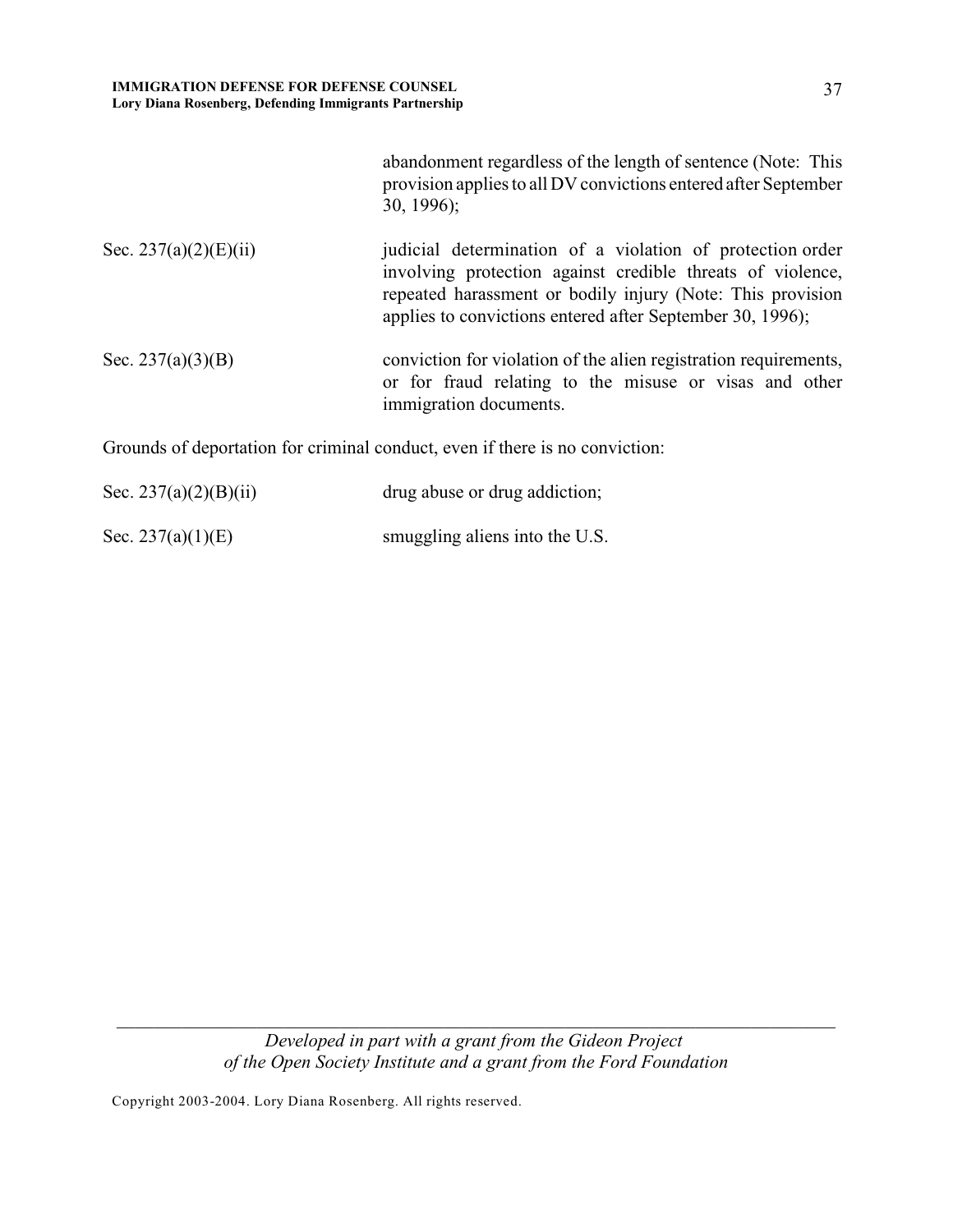|                       | abandonment regardless of the length of sentence (Note: This<br>provision applies to all DV convictions entered after September<br>$30, 1996$ ;                                                                                                    |
|-----------------------|----------------------------------------------------------------------------------------------------------------------------------------------------------------------------------------------------------------------------------------------------|
| Sec. 237(a)(2)(E)(ii) | judicial determination of a violation of protection order<br>involving protection against credible threats of violence,<br>repeated harassment or bodily injury (Note: This provision<br>applies to convictions entered after September 30, 1996); |
| Sec. $237(a)(3)(B)$   | conviction for violation of the alien registration requirements,<br>or for fraud relating to the misuse or visas and other<br>immigration documents.                                                                                               |
|                       | Grounds of deportation for criminal conduct, even if there is no conviction:                                                                                                                                                                       |
| Sec. 237(a)(2)(B)(ii) | drug abuse or drug addiction;                                                                                                                                                                                                                      |

*Developed in part with a grant from the Gideon Project of the Open Society Institute and a grant from the Ford Foundation*

*\_\_\_\_\_\_\_\_\_\_\_\_\_\_\_\_\_\_\_\_\_\_\_\_\_\_\_\_\_\_\_\_\_\_\_\_\_\_\_\_\_\_\_\_\_\_\_\_\_\_\_\_\_\_\_\_\_\_\_\_\_\_\_\_\_\_\_\_\_\_\_\_\_\_\_\_\_*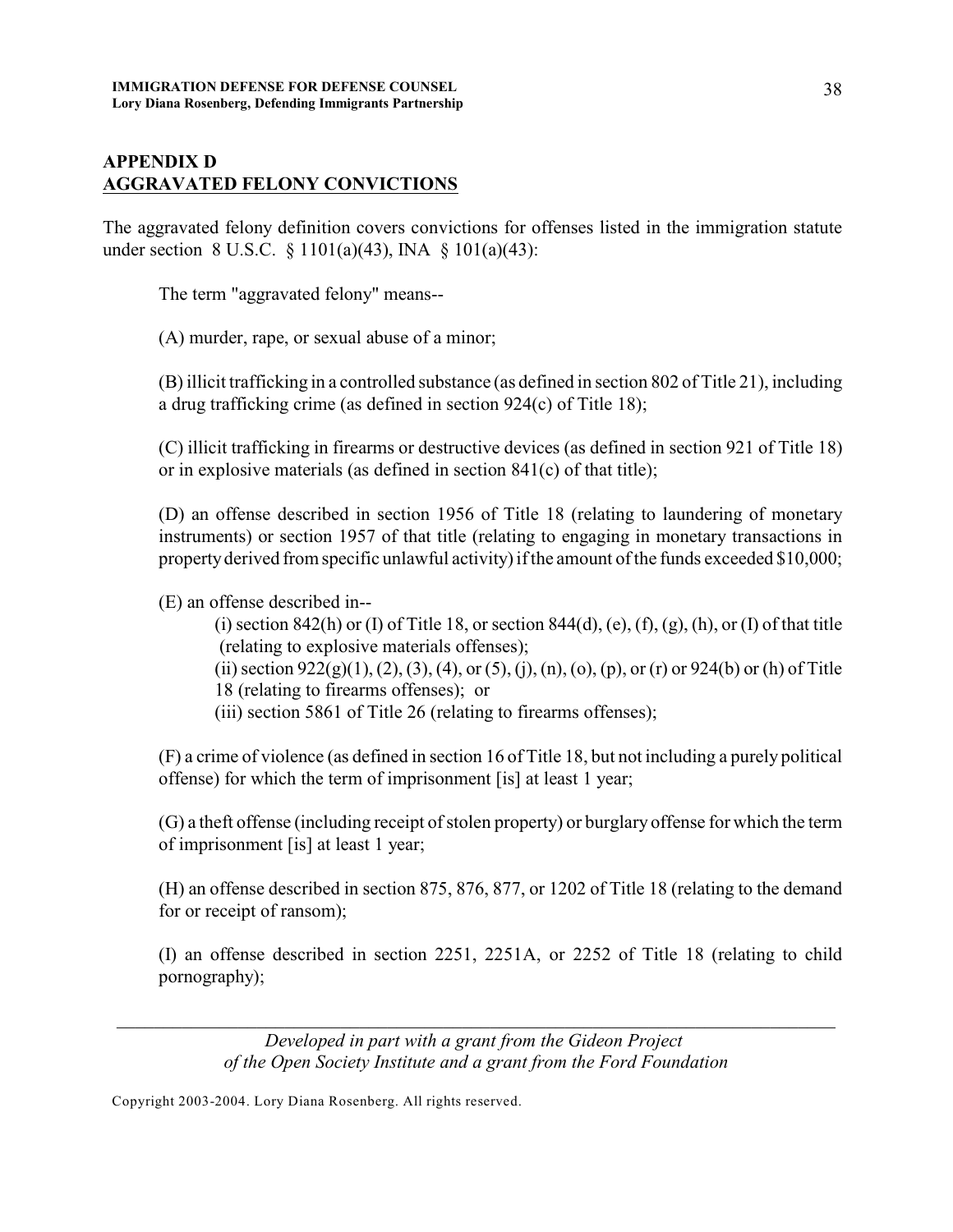# **APPENDIX D AGGRAVATED FELONY CONVICTIONS**

The aggravated felony definition covers convictions for offenses listed in the immigration statute under section 8 U.S.C. § 1101(a)(43), INA § 101(a)(43):

The term "aggravated felony" means--

(A) murder, rape, or sexual abuse of a minor;

(B) illicit trafficking in a controlled substance (as defined in section 802 of Title 21), including a drug trafficking crime (as defined in section 924(c) of Title 18);

(C) illicit trafficking in firearms or destructive devices (as defined in section 921 of Title 18) or in explosive materials (as defined in section 841(c) of that title);

(D) an offense described in section 1956 of Title 18 (relating to laundering of monetary instruments) or section 1957 of that title (relating to engaging in monetary transactions in property derived from specific unlawful activity) if the amount of the funds exceeded \$10,000;

(E) an offense described in--

- (i) section 842(h) or (I) of Title 18, or section 844(d), (e), (f), (g), (h), or (I) of that title (relating to explosive materials offenses);
- (ii) section  $922(g)(1)$ ,  $(2)$ ,  $(3)$ ,  $(4)$ , or  $(5)$ ,  $(i)$ ,  $(n)$ ,  $(o)$ ,  $(p)$ , or  $(r)$  or  $924(b)$  or  $(h)$  of Title 18 (relating to firearms offenses); or
- (iii) section 5861 of Title 26 (relating to firearms offenses);

(F) a crime of violence (as defined in section 16 of Title 18, but not including a purely political offense) for which the term of imprisonment [is] at least 1 year;

(G) a theft offense (including receipt of stolen property) or burglary offense for which the term of imprisonment [is] at least 1 year;

(H) an offense described in section 875, 876, 877, or 1202 of Title 18 (relating to the demand for or receipt of ransom);

(I) an offense described in section 2251, 2251A, or 2252 of Title 18 (relating to child pornography);

*Developed in part with a grant from the Gideon Project of the Open Society Institute and a grant from the Ford Foundation*

*\_\_\_\_\_\_\_\_\_\_\_\_\_\_\_\_\_\_\_\_\_\_\_\_\_\_\_\_\_\_\_\_\_\_\_\_\_\_\_\_\_\_\_\_\_\_\_\_\_\_\_\_\_\_\_\_\_\_\_\_\_\_\_\_\_\_\_\_\_\_\_\_\_\_\_\_\_*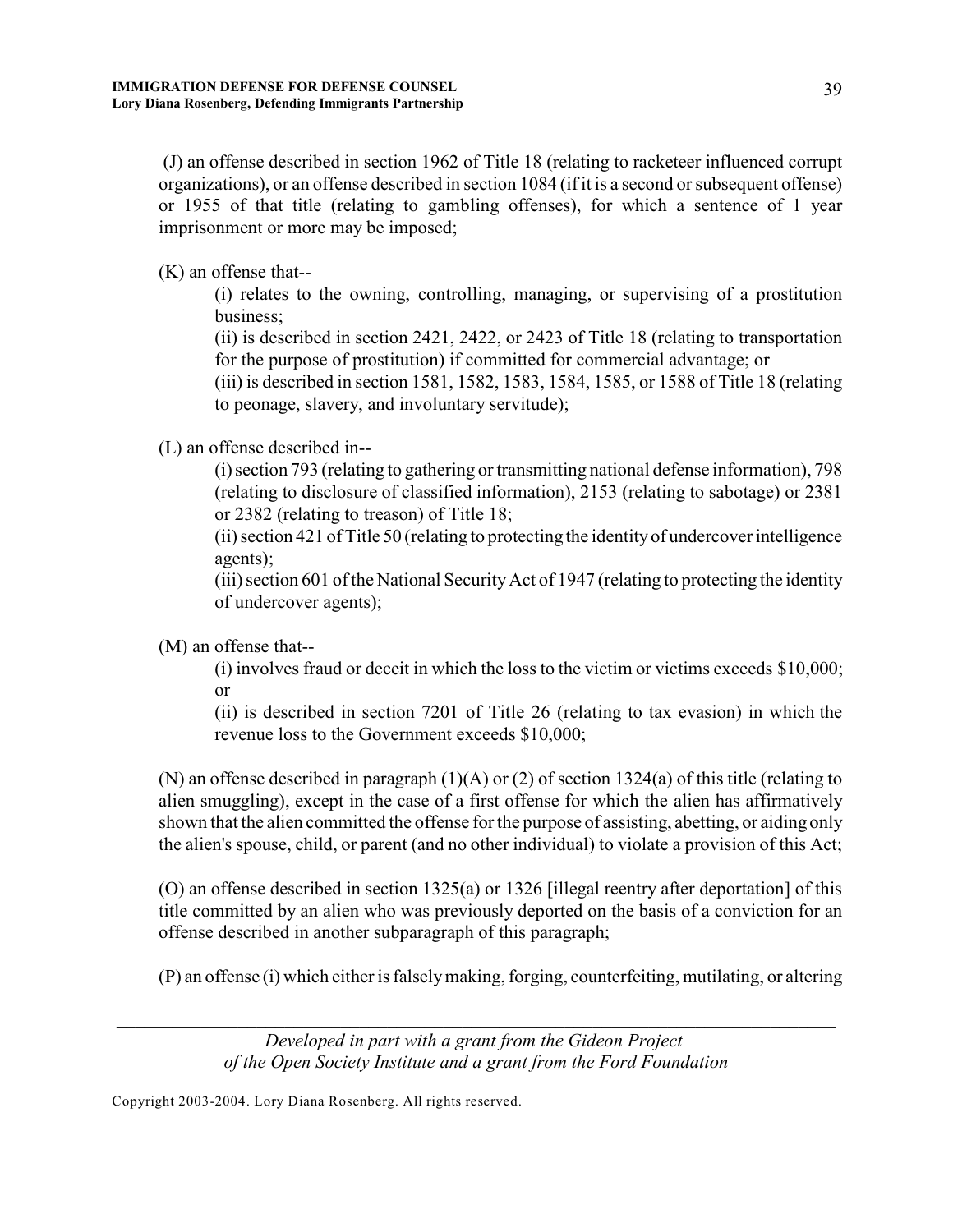(J) an offense described in section 1962 of Title 18 (relating to racketeer influenced corrupt organizations), or an offense described in section 1084 (if it is a second or subsequent offense) or 1955 of that title (relating to gambling offenses), for which a sentence of 1 year imprisonment or more may be imposed;

(K) an offense that--

(i) relates to the owning, controlling, managing, or supervising of a prostitution business;

(ii) is described in section 2421, 2422, or 2423 of Title 18 (relating to transportation for the purpose of prostitution) if committed for commercial advantage; or

(iii) is described in section 1581, 1582, 1583, 1584, 1585, or 1588 of Title 18 (relating to peonage, slavery, and involuntary servitude);

(L) an offense described in--

(i) section 793 (relating to gathering or transmitting national defense information), 798 (relating to disclosure of classified information), 2153 (relating to sabotage) or 2381 or 2382 (relating to treason) of Title 18;

(ii) section 421 of Title 50 (relating to protecting the identity of undercover intelligence agents);

(iii) section 601 of the National SecurityAct of 1947 (relating to protecting the identity of undercover agents);

(M) an offense that--

(i) involves fraud or deceit in which the loss to the victim or victims exceeds \$10,000; or

(ii) is described in section 7201 of Title 26 (relating to tax evasion) in which the revenue loss to the Government exceeds \$10,000;

(N) an offense described in paragraph (1)(A) or (2) of section 1324(a) of this title (relating to alien smuggling), except in the case of a first offense for which the alien has affirmatively shown that the alien committed the offense for the purpose of assisting, abetting, or aiding only the alien's spouse, child, or parent (and no other individual) to violate a provision of this Act;

(O) an offense described in section 1325(a) or 1326 [illegal reentry after deportation] of this title committed by an alien who was previously deported on the basis of a conviction for an offense described in another subparagraph of this paragraph;

(P) an offense (i) which either is falsely making, forging, counterfeiting, mutilating, or altering

*Developed in part with a grant from the Gideon Project of the Open Society Institute and a grant from the Ford Foundation*

*\_\_\_\_\_\_\_\_\_\_\_\_\_\_\_\_\_\_\_\_\_\_\_\_\_\_\_\_\_\_\_\_\_\_\_\_\_\_\_\_\_\_\_\_\_\_\_\_\_\_\_\_\_\_\_\_\_\_\_\_\_\_\_\_\_\_\_\_\_\_\_\_\_\_\_\_\_*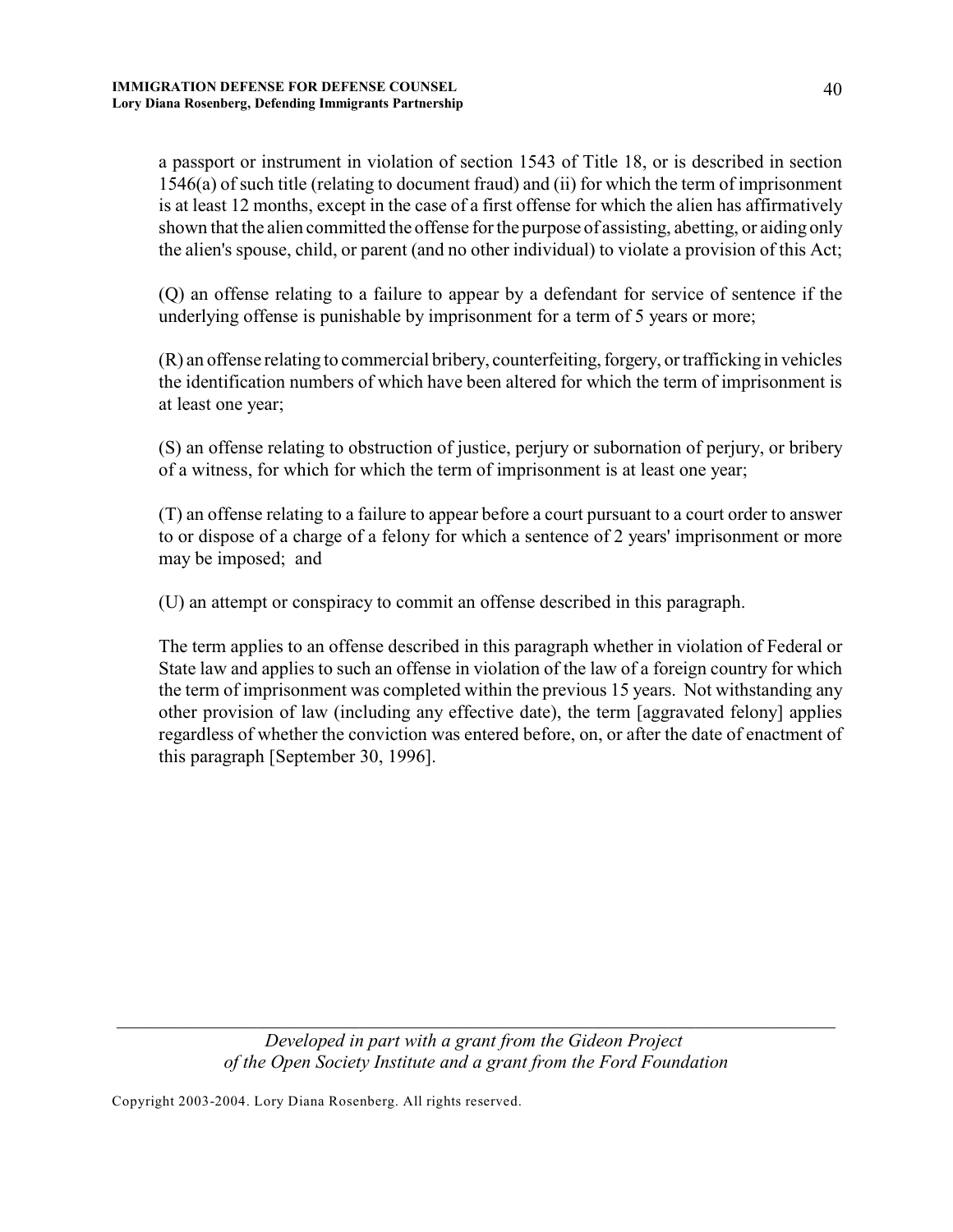a passport or instrument in violation of section 1543 of Title 18, or is described in section 1546(a) of such title (relating to document fraud) and (ii) for which the term of imprisonment is at least 12 months, except in the case of a first offense for which the alien has affirmatively shown that the alien committed the offense for the purpose of assisting, abetting, or aiding only the alien's spouse, child, or parent (and no other individual) to violate a provision of this Act;

(Q) an offense relating to a failure to appear by a defendant for service of sentence if the underlying offense is punishable by imprisonment for a term of 5 years or more;

(R) an offense relating to commercial bribery, counterfeiting, forgery, or trafficking in vehicles the identification numbers of which have been altered for which the term of imprisonment is at least one year;

(S) an offense relating to obstruction of justice, perjury or subornation of perjury, or bribery of a witness, for which for which the term of imprisonment is at least one year;

(T) an offense relating to a failure to appear before a court pursuant to a court order to answer to or dispose of a charge of a felony for which a sentence of 2 years' imprisonment or more may be imposed; and

(U) an attempt or conspiracy to commit an offense described in this paragraph.

The term applies to an offense described in this paragraph whether in violation of Federal or State law and applies to such an offense in violation of the law of a foreign country for which the term of imprisonment was completed within the previous 15 years. Not withstanding any other provision of law (including any effective date), the term [aggravated felony] applies regardless of whether the conviction was entered before, on, or after the date of enactment of this paragraph [September 30, 1996].

*Developed in part with a grant from the Gideon Project of the Open Society Institute and a grant from the Ford Foundation*

*\_\_\_\_\_\_\_\_\_\_\_\_\_\_\_\_\_\_\_\_\_\_\_\_\_\_\_\_\_\_\_\_\_\_\_\_\_\_\_\_\_\_\_\_\_\_\_\_\_\_\_\_\_\_\_\_\_\_\_\_\_\_\_\_\_\_\_\_\_\_\_\_\_\_\_\_\_*